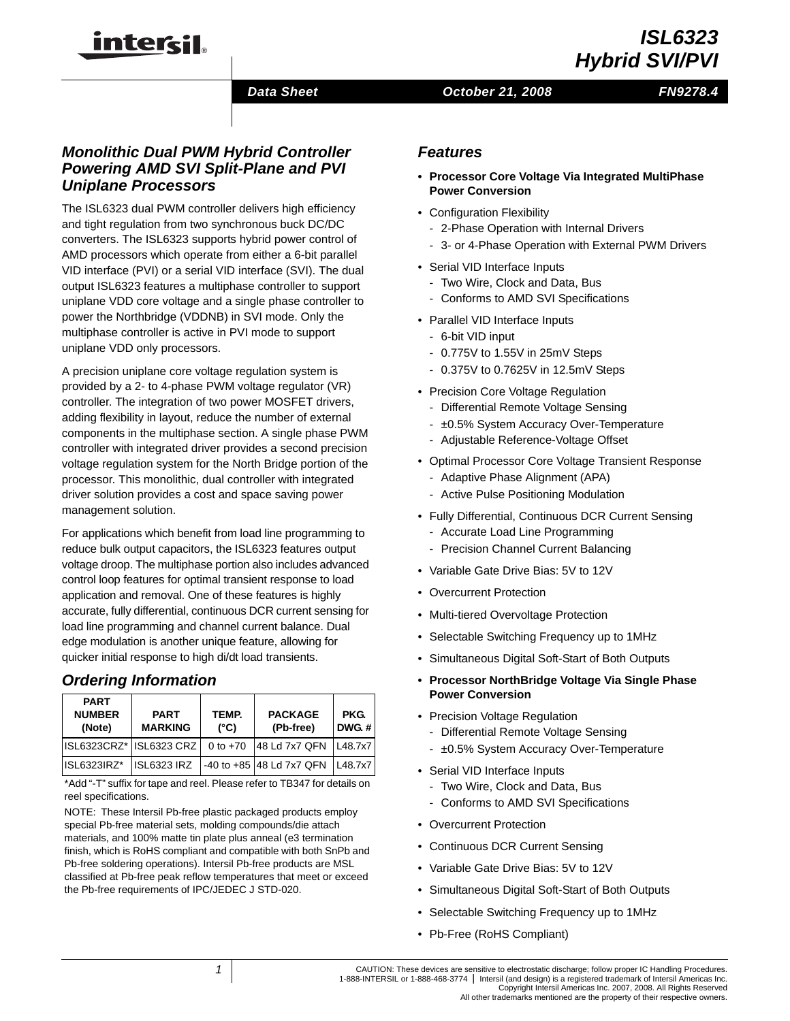

# *ISL6323 Hybrid SVI/PVI*

#### *Data Sheet*

#### *October 21, 2008*

## *FN9278.4*

## *Monolithic Dual PWM Hybrid Controller Powering AMD SVI Split-Plane and PVI Uniplane Processors*

The ISL6323 dual PWM controller delivers high efficiency and tight regulation from two synchronous buck DC/DC converters. The ISL6323 supports hybrid power control of AMD processors which operate from either a 6-bit parallel VID interface (PVI) or a serial VID interface (SVI). The dual output ISL6323 features a multiphase controller to support uniplane VDD core voltage and a single phase controller to power the Northbridge (VDDNB) in SVI mode. Only the multiphase controller is active in PVI mode to support uniplane VDD only processors.

A precision uniplane core voltage regulation system is provided by a 2- to 4-phase PWM voltage regulator (VR) controller. The integration of two power MOSFET drivers, adding flexibility in layout, reduce the number of external components in the multiphase section. A single phase PWM controller with integrated driver provides a second precision voltage regulation system for the North Bridge portion of the processor. This monolithic, dual controller with integrated driver solution provides a cost and space saving power management solution.

For applications which benefit from load line programming to reduce bulk output capacitors, the ISL6323 features output voltage droop. The multiphase portion also includes advanced control loop features for optimal transient response to load application and removal. One of these features is highly accurate, fully differential, continuous DCR current sensing for load line programming and channel current balance. Dual edge modulation is another unique feature, allowing for quicker initial response to high di/dt load transients.

## *Ordering Information*

| <b>PART</b><br><b>NUMBER</b><br>(Note) | <b>PART</b><br><b>MARKING</b> | TEMP.<br>$(^{\circ}C)$ | <b>PACKAGE</b><br>(Pb-free) | PKG.<br>DWG <sub>t</sub> |
|----------------------------------------|-------------------------------|------------------------|-----------------------------|--------------------------|
| ISL6323CRZ* ISL6323 CRZ                |                               | 0 to $+70$             | 48 Ld 7x7 QFN               | L48.7x7                  |
| ISL6323IRZ*                            | <b>ISL6323 IRZ</b>            |                        | -40 to +85 48 Ld 7x7 QFN    | L48.7x7                  |

[\\*Add "-T" suffix for tape and reel. Please refer to TB347 for details on](http://www.intersil.com/data/tb/tb347.pdf)  reel specifications.

NOTE: These Intersil Pb-free plastic packaged products employ special Pb-free material sets, molding compounds/die attach materials, and 100% matte tin plate plus anneal (e3 termination finish, which is RoHS compliant and compatible with both SnPb and Pb-free soldering operations). Intersil Pb-free products are MSL classified at Pb-free peak reflow temperatures that meet or exceed the Pb-free requirements of IPC/JEDEC J STD-020.

## *Features*

- **Processor Core Voltage Via Integrated MultiPhase Power Conversion**
- Configuration Flexibility
	- 2-Phase Operation with Internal Drivers
	- 3- or 4-Phase Operation with External PWM Drivers
- Serial VID Interface Inputs
	- Two Wire, Clock and Data, Bus
	- Conforms to AMD SVI Specifications
- Parallel VID Interface Inputs
	- 6-bit VID input
	- 0.775V to 1.55V in 25mV Steps
	- 0.375V to 0.7625V in 12.5mV Steps
- Precision Core Voltage Regulation
	- Differential Remote Voltage Sensing
	- ±0.5% System Accuracy Over-Temperature
	- Adjustable Reference-Voltage Offset
- Optimal Processor Core Voltage Transient Response
	- Adaptive Phase Alignment (APA)
	- Active Pulse Positioning Modulation
- Fully Differential, Continuous DCR Current Sensing
	- Accurate Load Line Programming
	- Precision Channel Current Balancing
- Variable Gate Drive Bias: 5V to 12V
- Overcurrent Protection
- Multi-tiered Overvoltage Protection
- Selectable Switching Frequency up to 1MHz
- Simultaneous Digital Soft-Start of Both Outputs
- **Processor NorthBridge Voltage Via Single Phase Power Conversion**
- Precision Voltage Regulation
	- Differential Remote Voltage Sensing
	- $\pm$ 0.5% System Accuracy Over-Temperature
- Serial VID Interface Inputs
	- Two Wire, Clock and Data, Bus
	- Conforms to AMD SVI Specifications
- Overcurrent Protection
- Continuous DCR Current Sensing
- Variable Gate Drive Bias: 5V to 12V
- Simultaneous Digital Soft-Start of Both Outputs
- Selectable Switching Frequency up to 1MHz
- Pb-Free (RoHS Compliant)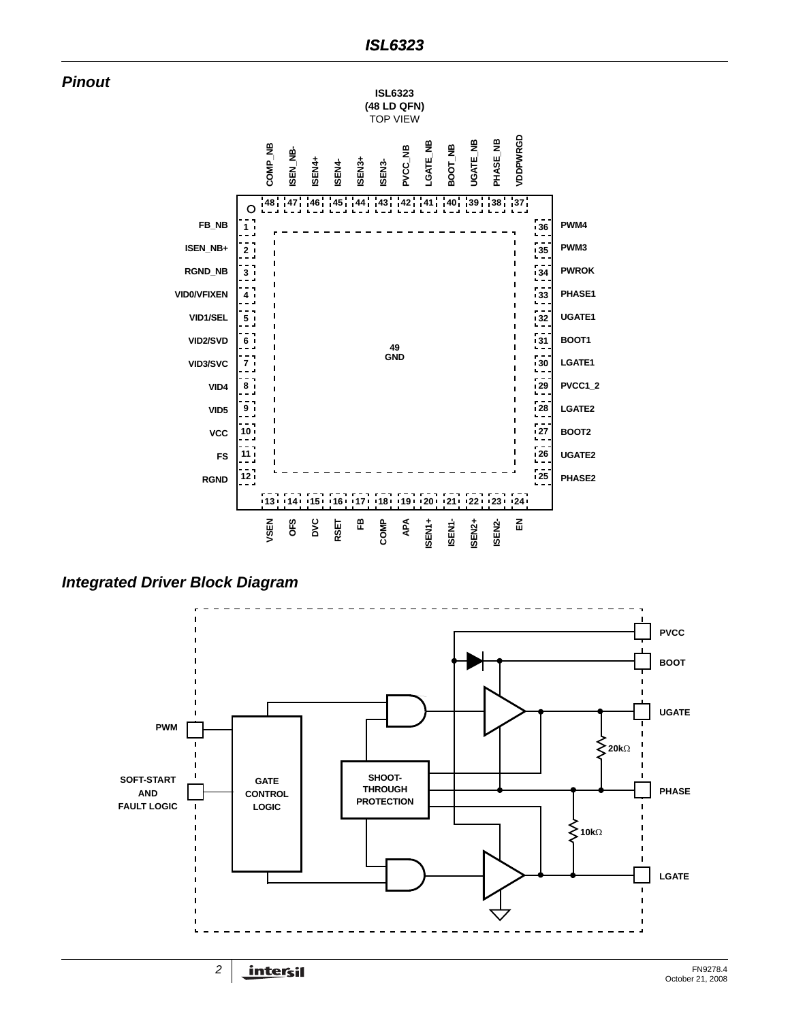



*Integrated Driver Block Diagram*

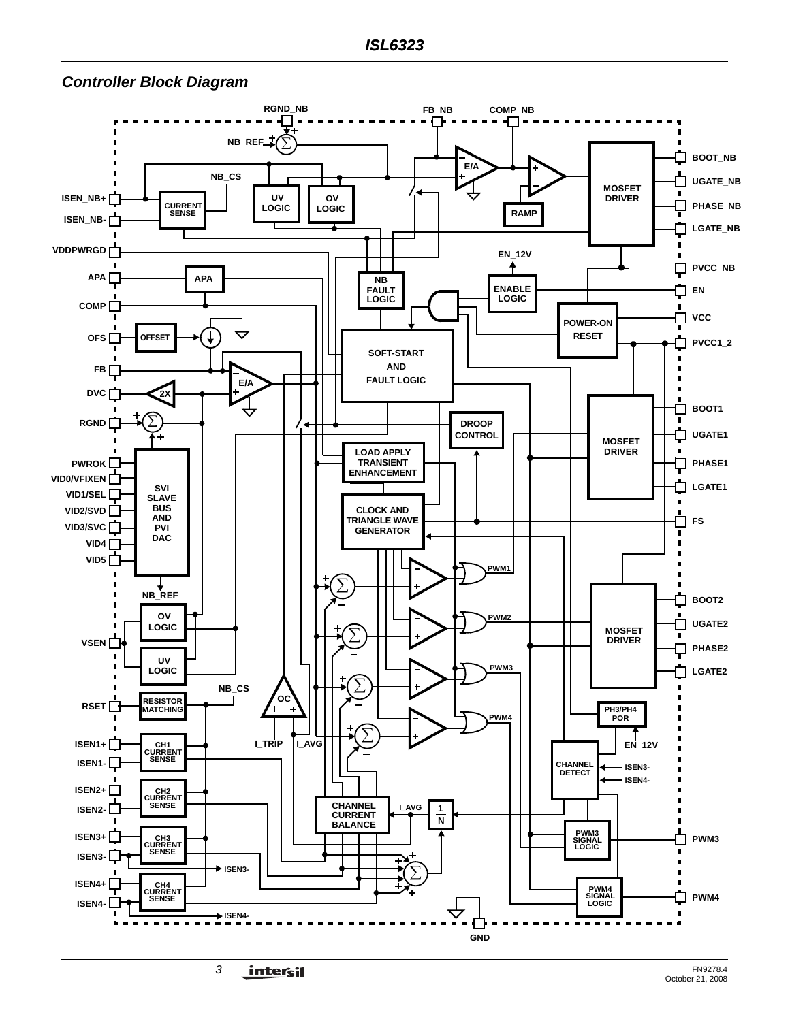#### $RGND_NB$ <br> $\blacksquare$ **FB\_NB COMP\_NB NB\_REF** ∑ **BOOT\_NB E/A NB\_CS UGATE\_NB** ⊓ **MOSFET UV OV ISEN\_NB+ DRIVER PHASE\_NB LOGIC LOGIC CURRENT SENSE RAMP ISEN\_NB-LGATE\_NB VDDPWRGD EN\_12V PVCC\_NB** ♠ **APA APA APA NB FAULT ENABLE EN LOGIC LOGIC COMP VCC** П **POWER-ON RESET OFS OFFSET PVCC1\_2 SOFT-START AND FB E/A FAULT LOGIC DVC 2X** П **BOOT1 RGND DROOP** J **CONTROL UGATE1 MOSFET LOAD APPLY DRIVER PWROK PHASE1** ᆛ **TRANSIENT ENHANCEMENT VID0/VFIXEN SVI LGATE1 VID1/SEL SLAVE**  $\blacksquare$ **BUS CLOCK AND VID2/SVD AND TRIANGLE WAVE** Ò **FS VID3/SVC PVI GENERATOR**  $\overline{\phantom{a}}$ **DAC VID4**  $\blacksquare$  $VID5$ <sup>-1</sup> **PWM1** ∑ **NB\_REF** 白 **BOOT2 OV PWM2 UGATE2 LOGIC**  $\mathcal{L}$ **MOSFET** ∑  $\blacksquare$ **DRIVER VSEN PHASE2** J. ī **UV**  $\blacksquare$ **LOGIC PWM3** ד **LGATE2** ∑ **NB\_CS OC** RSET **RESISTOR MATCHING PH3/PH4 PWM4 POR**  ∑ **ISEN1+ I\_TRIP I\_AVG EN\_12V CH1 CURRENT SENSE ISEN1- CHANNEL DETECT ISEN3- ISEN4- ISEN2+ CURRENT SENSE CHANNEL I\_AVG ISEN2- 1 CURRENT BALANCE N**  $ISEN3+$ **PWM3 SIGNAL LOGIC PWM3** П **CURRENT SENSE ISEN3- ISEN3-** ∑  $\blacksquare$  $ISEN4+$ Г **PWM4 SIGNAL LOGIC CURRENT SENSE PWM4** m **ISEN4- ISEN4-**П  $\blacksquare$  $\blacksquare$ Н ÷. **GND**

### <span id="page-2-0"></span>*Controller Block Diagram*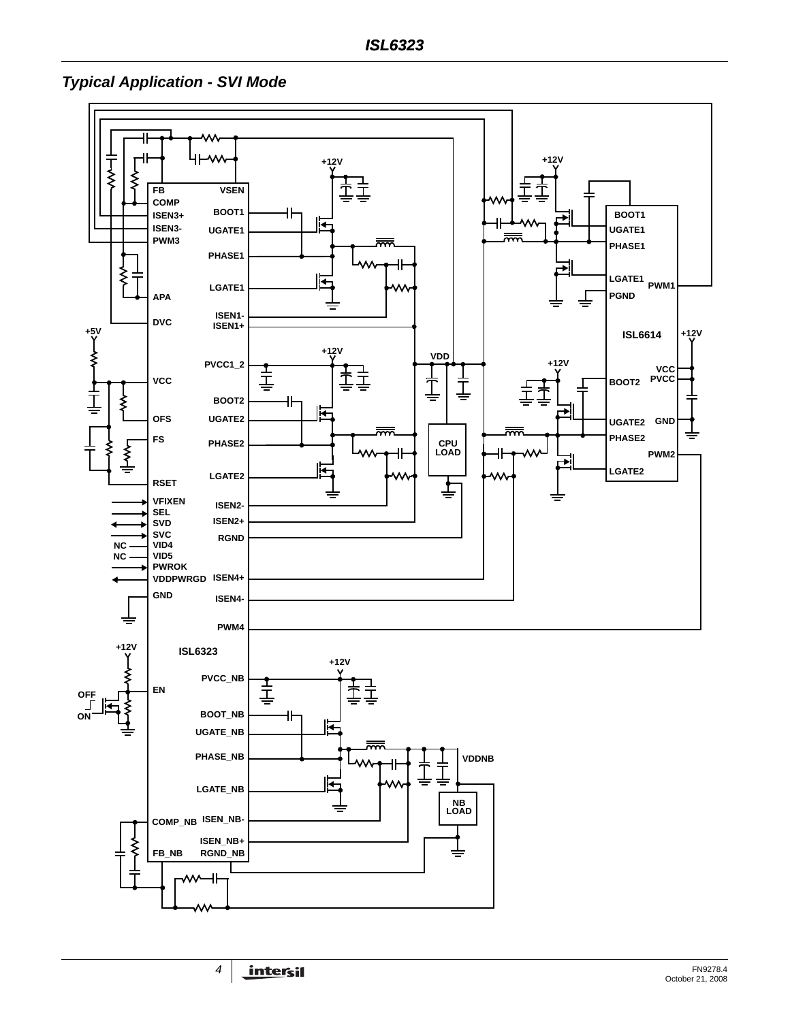*Typical Application - SVI Mode*

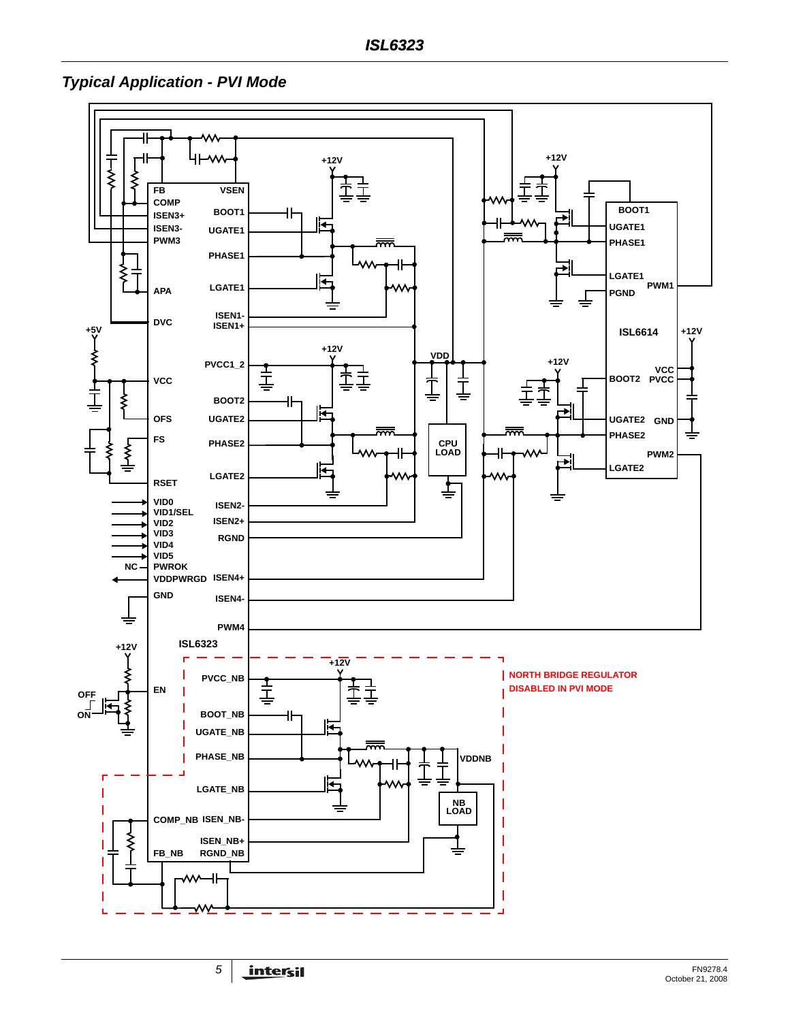*Typical Application - PVI Mode*

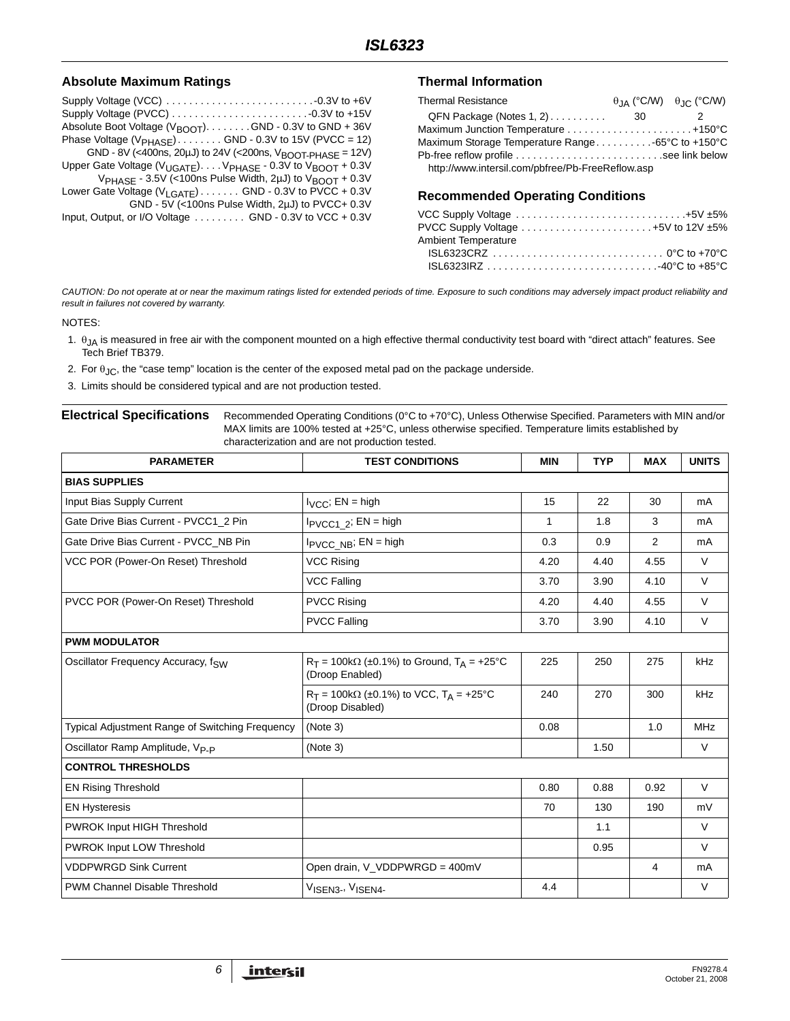#### Absolute Maximum Ratings **Thermal Information**

| Absolute Boot Voltage (V <sub>BOOT</sub> ). GND - 0.3V to GND + 36V             |
|---------------------------------------------------------------------------------|
| Phase Voltage $(VPHASE)$ GND - 0.3V to 15V (PVCC = 12)                          |
| GND - 8V (<400ns, 20µJ) to 24V (<200ns, $V_{\text{BOOT-PHASE}}$ = 12V)          |
| Upper Gate Voltage ( $V_{UGATE}$ ) $V_{PHASE}$ - 0.3V to $V_{BOOT}$ + 0.3V      |
| $V_{\text{PHASE}}$ - 3.5V (<100ns Pulse Width, 2µJ) to $V_{\text{BOOT}}$ + 0.3V |
| Lower Gate Voltage (V <sub>LGATE</sub> ) GND - 0.3V to PVCC + 0.3V              |
| GND - 5V (<100ns Pulse Width, 2uJ) to PVCC+ 0.3V                                |
| Input, Output, or I/O Voltage GND - 0.3V to VCC + 0.3V                          |

| <b>Thermal Resistance</b>                         |      | $\theta$ IA (°C/W) $\theta$ IC (°C/W) |
|---------------------------------------------------|------|---------------------------------------|
| QFN Package (Notes 1, 2)                          | - 30 |                                       |
|                                                   |      |                                       |
| Maximum Storage Temperature Range -65°C to +150°C |      |                                       |
|                                                   |      |                                       |
| http://www.intersil.com/pbfree/Pb-FreeReflow.asp  |      |                                       |

#### **Recommended Operating Conditions**

| VCC Supply Voltage $\ldots \ldots \ldots \ldots \ldots \ldots \ldots \ldots \ldots \ldots +5V \pm 5\%$                                                                  |
|-------------------------------------------------------------------------------------------------------------------------------------------------------------------------|
| PVCC Supply Voltage $\ldots \ldots \ldots \ldots \ldots \ldots \ldots +5V$ to 12V $\pm 5\%$                                                                             |
|                                                                                                                                                                         |
|                                                                                                                                                                         |
| $\mathsf{ISL}6323\mathsf{IRZ}\ldots\ldots\ldots\ldots\ldots\ldots\ldots\ldots\ldots\ldots\ldots\ldots\mathsf{40}^{\circ}\mathsf{C}$ to $\mathsf{+85}^{\circ}\mathsf{C}$ |
|                                                                                                                                                                         |

*CAUTION: Do not operate at or near the maximum ratings listed for extended periods of time. Exposure to such conditions may adversely impact product reliability and result in failures not covered by warranty.*

#### NOTES:

- 1.  $\theta_{JA}$  is measured in free air with the component mounted on a high effective thermal conductivity test board with "direct attach" features. See Tech Brief TB379.
- 2. For  $\theta_{\text{JC}}$ , the "case temp" location is the center of the exposed metal pad on the package underside.
- <span id="page-5-0"></span>3. Limits should be considered typical and are not production tested.

<span id="page-5-1"></span>

| <b>Electrical Specifications</b> | Recommended Operating Conditions (0°C to +70°C), Unless Otherwise Specified. Parameters with MIN and/or<br>MAX limits are 100% tested at +25°C, unless otherwise specified. Temperature limits established by |
|----------------------------------|---------------------------------------------------------------------------------------------------------------------------------------------------------------------------------------------------------------|
|                                  | characterization and are not production tested.                                                                                                                                                               |

| <b>PARAMETER</b>                                       | <b>TEST CONDITIONS</b>                                                        | <b>MIN</b> | <b>TYP</b> | <b>MAX</b> | <b>UNITS</b> |
|--------------------------------------------------------|-------------------------------------------------------------------------------|------------|------------|------------|--------------|
| <b>BIAS SUPPLIES</b>                                   |                                                                               |            |            |            |              |
| Input Bias Supply Current                              | $I_{VCC}$ ; EN = high                                                         | 15         | 22         | 30         | mA           |
| Gate Drive Bias Current - PVCC1 2 Pin                  | $I_{\text{PVCC1}}$ 2; EN = high                                               | 1          | 1.8        | 3          | mA           |
| Gate Drive Bias Current - PVCC NB Pin                  | $I_{\text{PVCC\_NB}}$ ; EN = high                                             | 0.3        | 0.9        | 2          | mA           |
| VCC POR (Power-On Reset) Threshold                     | <b>VCC Rising</b>                                                             | 4.20       | 4.40       | 4.55       | $\vee$       |
|                                                        | <b>VCC Falling</b>                                                            | 3.70       | 3.90       | 4.10       | $\vee$       |
| PVCC POR (Power-On Reset) Threshold                    | <b>PVCC Rising</b>                                                            | 4.20       | 4.40       | 4.55       | $\vee$       |
|                                                        | <b>PVCC Falling</b>                                                           | 3.70       | 3.90       | 4.10       | $\vee$       |
| <b>PWM MODULATOR</b>                                   |                                                                               |            |            |            |              |
| Oscillator Frequency Accuracy, fsw                     | $R_T = 100k\Omega$ (±0.1%) to Ground, $T_A = +25^{\circ}C$<br>(Droop Enabled) | 225        | 250        | 275        | kHz          |
|                                                        | $R_T = 100k\Omega$ (±0.1%) to VCC, $T_A = +25$ °C<br>(Droop Disabled)         | 240        | 270        | 300        | kHz          |
| <b>Typical Adjustment Range of Switching Frequency</b> | (Note 3)                                                                      | 0.08       |            | 1.0        | <b>MHz</b>   |
| Oscillator Ramp Amplitude, V <sub>P-P</sub>            | (Note 3)                                                                      |            | 1.50       |            | $\vee$       |
| <b>CONTROL THRESHOLDS</b>                              |                                                                               |            |            |            |              |
| <b>EN Rising Threshold</b>                             |                                                                               | 0.80       | 0.88       | 0.92       | $\vee$       |
| <b>EN Hysteresis</b>                                   |                                                                               | 70         | 130        | 190        | mV           |
| PWROK Input HIGH Threshold                             |                                                                               |            | 1.1        |            | $\vee$       |
| PWROK Input LOW Threshold                              |                                                                               |            | 0.95       |            | $\vee$       |
| <b>VDDPWRGD Sink Current</b>                           | Open drain, V_VDDPWRGD = 400mV                                                |            |            | 4          | mA           |
| <b>PWM Channel Disable Threshold</b>                   | VISEN3-, VISEN4-                                                              | 4.4        |            |            | $\vee$       |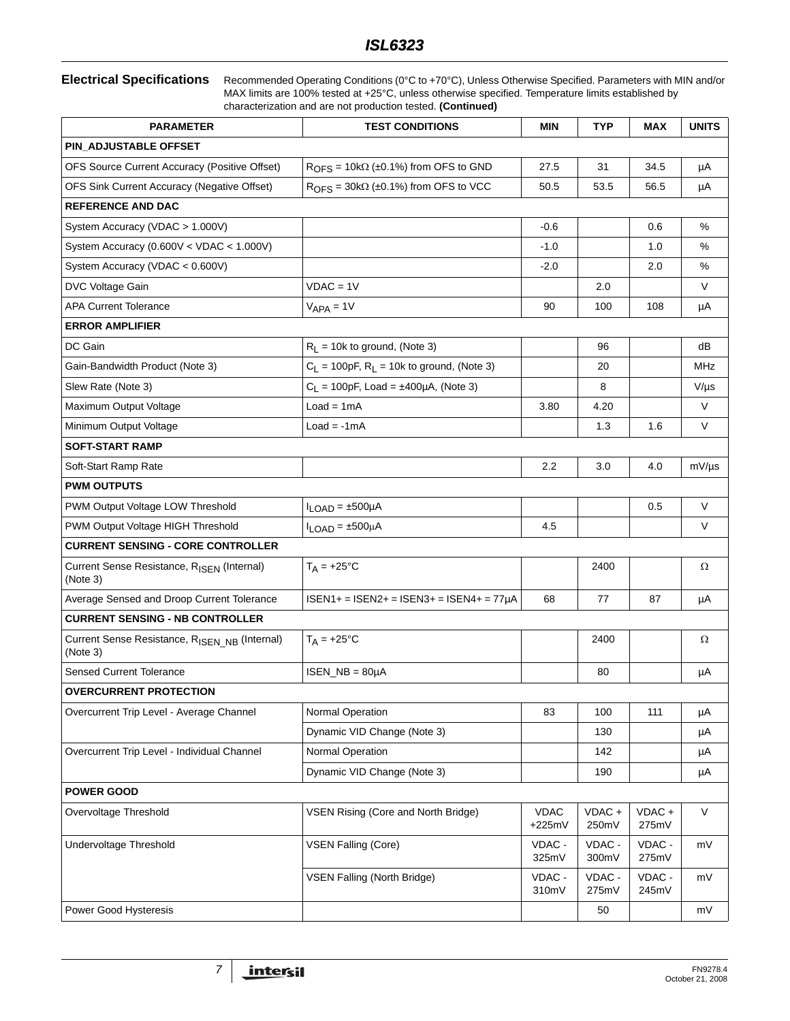**Electrical Specifications** Recommended Operating Conditions (0°C to +70°C), Unless Otherwise Specified. Parameters with MIN and/or MAX limits are 100% tested at +25°C, unless otherwise specified. Temperature limits established by characterization and are not production tested. **(Continued)**

| <b>PARAMETER</b>                                                      | <b>TEST CONDITIONS</b>                         | <b>MIN</b>              | <b>TYP</b>        | MAX             | <b>UNITS</b> |
|-----------------------------------------------------------------------|------------------------------------------------|-------------------------|-------------------|-----------------|--------------|
| PIN_ADJUSTABLE OFFSET                                                 |                                                |                         |                   |                 |              |
| OFS Source Current Accuracy (Positive Offset)                         | $ROFS = 10k\Omega$ (±0.1%) from OFS to GND     | 27.5                    | 31                | 34.5            | μA           |
| OFS Sink Current Accuracy (Negative Offset)                           | $ROFS = 30k\Omega$ (±0.1%) from OFS to VCC     | 50.5                    | 53.5              | 56.5            | μA           |
| <b>REFERENCE AND DAC</b>                                              |                                                |                         |                   |                 |              |
| System Accuracy (VDAC > 1.000V)                                       |                                                | $-0.6$                  |                   | 0.6             | $\%$         |
| System Accuracy (0.600V < VDAC < 1.000V)                              |                                                | $-1.0$                  |                   | 1.0             | %            |
| System Accuracy (VDAC < 0.600V)                                       |                                                | $-2.0$                  |                   | 2.0             | %            |
| DVC Voltage Gain                                                      | $VDAC = 1V$                                    |                         | 2.0               |                 | $\vee$       |
| <b>APA Current Tolerance</b>                                          | $VAPA = 1V$                                    | 90                      | 100               | 108             | μA           |
| <b>ERROR AMPLIFIER</b>                                                |                                                |                         |                   |                 |              |
| DC Gain                                                               | $R_L$ = 10k to ground, (Note 3)                |                         | 96                |                 | dB           |
| Gain-Bandwidth Product (Note 3)                                       | $C_L$ = 100pF, $R_L$ = 10k to ground, (Note 3) |                         | 20                |                 | MHz          |
| Slew Rate (Note 3)                                                    | $C_L$ = 100pF, Load = ±400µA, (Note 3)         |                         | 8                 |                 | $V/\mu s$    |
| Maximum Output Voltage                                                | $Load = 1mA$                                   | 3.80                    | 4.20              |                 | V            |
| Minimum Output Voltage                                                | $Load = -1mA$                                  |                         | 1.3               | 1.6             | V            |
| <b>SOFT-START RAMP</b>                                                |                                                |                         |                   |                 |              |
| Soft-Start Ramp Rate                                                  |                                                | 2.2                     | 3.0               | 4.0             | $mV/\mu s$   |
| <b>PWM OUTPUTS</b>                                                    |                                                |                         |                   |                 |              |
| PWM Output Voltage LOW Threshold                                      | $I_{LOAD} = \pm 500 \mu A$                     |                         |                   | 0.5             | V            |
| PWM Output Voltage HIGH Threshold                                     | $I_{LOAD} = \pm 500 \mu A$                     | 4.5                     |                   |                 | V            |
| <b>CURRENT SENSING - CORE CONTROLLER</b>                              |                                                |                         |                   |                 |              |
| Current Sense Resistance, RISEN (Internal)<br>(Note 3)                | $T_A = +25$ °C                                 |                         | 2400              |                 | Ω            |
| Average Sensed and Droop Current Tolerance                            | $ISEN1+ = ISEN2+ = ISEN3+ = ISEN4+ = 77µA$     | 68                      | 77                | 87              | μA           |
| <b>CURRENT SENSING - NB CONTROLLER</b>                                |                                                |                         |                   |                 |              |
| Current Sense Resistance, R <sub>ISEN NB</sub> (Internal)<br>(Note 3) | $T_A = +25$ °C                                 |                         | 2400              |                 | Ω            |
| <b>Sensed Current Tolerance</b>                                       | $ISBN$ <sub>NB</sub> = $80\mu$ A               |                         | 80                |                 | μA           |
| <b>OVERCURRENT PROTECTION</b>                                         |                                                |                         |                   |                 |              |
| Overcurrent Trip Level - Average Channel                              | Normal Operation                               | 83                      | 100               | 111             | μA           |
|                                                                       | Dynamic VID Change (Note 3)                    |                         | 130               |                 | μA           |
| Overcurrent Trip Level - Individual Channel                           | Normal Operation                               |                         | 142               |                 | μA           |
|                                                                       | Dynamic VID Change (Note 3)                    |                         | 190               |                 | μA           |
| <b>POWER GOOD</b>                                                     |                                                |                         |                   |                 |              |
| Overvoltage Threshold                                                 | VSEN Rising (Core and North Bridge)            | <b>VDAC</b><br>$+225mV$ | $VDAC +$<br>250mV | VDAC+<br>275mV  | V            |
| Undervoltage Threshold                                                | <b>VSEN Falling (Core)</b>                     | VDAC -<br>325mV         | VDAC -<br>300mV   | VDAC -<br>275mV | mV           |
|                                                                       | VSEN Falling (North Bridge)                    | VDAC -<br>310mV         | VDAC -<br>275mV   | VDAC -<br>245mV | mV           |
| Power Good Hysteresis                                                 |                                                |                         | 50                |                 | mV           |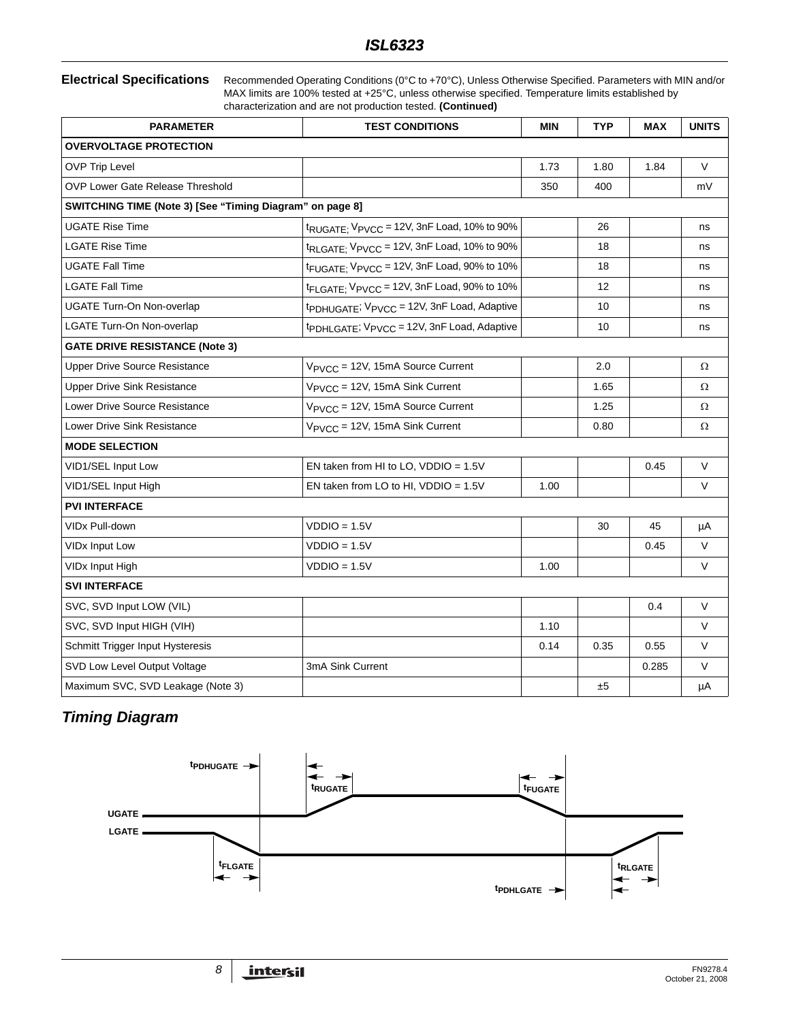**Electrical Specifications** Recommended Operating Conditions (0°C to +70°C), Unless Otherwise Specified. Parameters with MIN and/or MAX limits are 100% tested at +25°C, unless otherwise specified. Temperature limits established by characterization and are not production tested. **(Continued)**

| <b>PARAMETER</b>                                         | <b>TEST CONDITIONS</b>                                              | <b>MIN</b> | <b>TYP</b> | <b>MAX</b> | <b>UNITS</b> |
|----------------------------------------------------------|---------------------------------------------------------------------|------------|------------|------------|--------------|
| <b>OVERVOLTAGE PROTECTION</b>                            |                                                                     |            |            |            |              |
| <b>OVP Trip Level</b>                                    |                                                                     | 1.73       | 1.80       | 1.84       | V            |
| OVP Lower Gate Release Threshold                         |                                                                     | 350        | 400        |            | mV           |
| SWITCHING TIME (Note 3) [See "Timing Diagram" on page 8] |                                                                     |            |            |            |              |
| <b>UGATE Rise Time</b>                                   | $t_{\text{RUGATE}}$ , $V_{\text{PVCC}}$ = 12V, 3nF Load, 10% to 90% |            | 26         |            | ns           |
| <b>LGATE Rise Time</b>                                   | t <sub>RLGATE;</sub> V <sub>PVCC</sub> = 12V, 3nF Load, 10% to 90%  |            | 18         |            | ns           |
| <b>UGATE Fall Time</b>                                   | t <sub>FUGATE;</sub> V <sub>PVCC</sub> = 12V, 3nF Load, 90% to 10%  |            | 18         |            | ns           |
| <b>LGATE Fall Time</b>                                   | t <sub>FLGATE;</sub> V <sub>PVCC</sub> = 12V, 3nF Load, 90% to 10%  |            | 12         |            | ns           |
| <b>UGATE Turn-On Non-overlap</b>                         | tpDHUGATE; VPVCC = 12V, 3nF Load, Adaptive                          |            | 10         |            | ns           |
| <b>LGATE Turn-On Non-overlap</b>                         | tpDHLGATE; VPVCC = 12V, 3nF Load, Adaptive                          |            | 10         |            | ns           |
| <b>GATE DRIVE RESISTANCE (Note 3)</b>                    |                                                                     |            |            |            |              |
| <b>Upper Drive Source Resistance</b>                     | V <sub>PVCC</sub> = 12V, 15mA Source Current                        |            | 2.0        |            | Ω            |
| <b>Upper Drive Sink Resistance</b>                       | V <sub>PVCC</sub> = 12V, 15mA Sink Current                          |            | 1.65       |            | Ω            |
| Lower Drive Source Resistance                            | V <sub>PVCC</sub> = 12V, 15mA Source Current                        |            | 1.25       |            | $\Omega$     |
| Lower Drive Sink Resistance                              | V <sub>PVCC</sub> = 12V, 15mA Sink Current                          |            | 0.80       |            | Ω            |
| <b>MODE SELECTION</b>                                    |                                                                     |            |            |            |              |
| VID1/SEL Input Low                                       | EN taken from HI to LO, $VDDIO = 1.5V$                              |            |            | 0.45       | V            |
| VID1/SEL Input High                                      | EN taken from LO to HI, VDDIO = 1.5V                                | 1.00       |            |            | V            |
| <b>PVI INTERFACE</b>                                     |                                                                     |            |            |            |              |
| <b>VIDx Pull-down</b>                                    | $VDDO = 1.5V$                                                       |            | 30         | 45         | μA           |
| <b>VIDx Input Low</b>                                    | $VDDIO = 1.5V$                                                      |            |            | 0.45       | V            |
| VIDx Input High                                          | $VDDO = 1.5V$                                                       | 1.00       |            |            | V            |
| <b>SVI INTERFACE</b>                                     |                                                                     |            |            |            |              |
| SVC, SVD Input LOW (VIL)                                 |                                                                     |            |            | 0.4        | V            |
| SVC, SVD Input HIGH (VIH)                                |                                                                     | 1.10       |            |            | V            |
| Schmitt Trigger Input Hysteresis                         |                                                                     | 0.14       | 0.35       | 0.55       | V            |
| SVD Low Level Output Voltage                             | 3mA Sink Current                                                    |            |            | 0.285      | V            |
| Maximum SVC, SVD Leakage (Note 3)                        |                                                                     |            | ±5         |            | $\mu A$      |

# <span id="page-7-0"></span>*Timing Diagram*

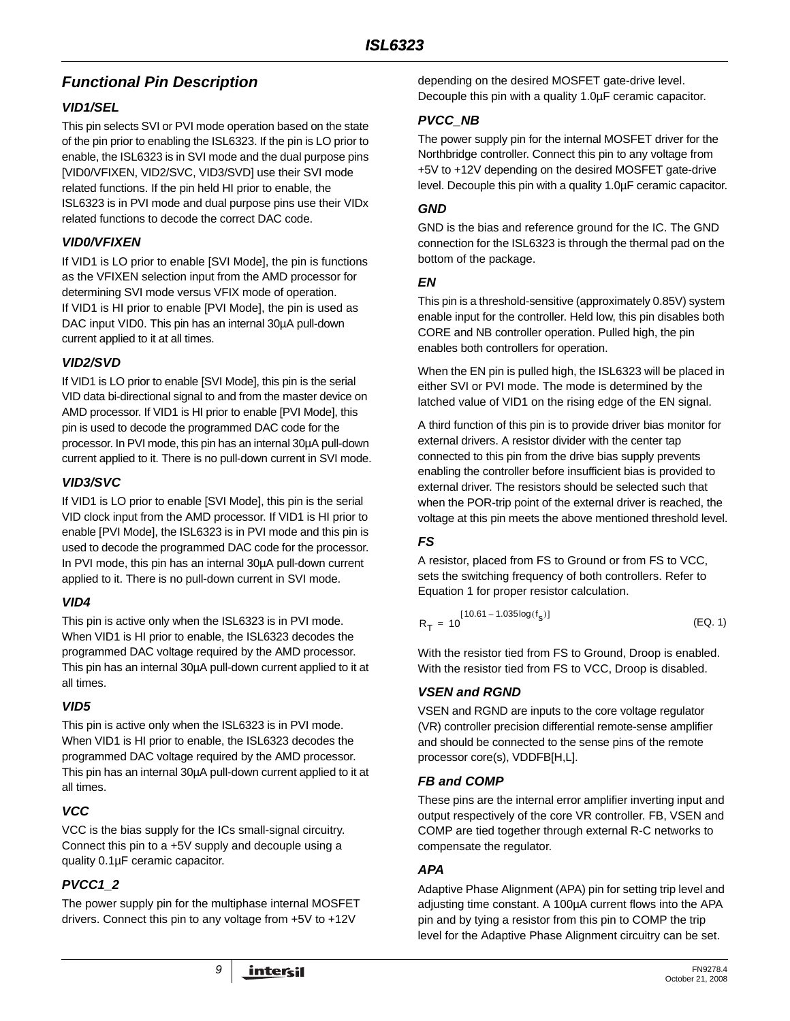# *Functional Pin Description*

## *VID1/SEL*

This pin selects SVI or PVI mode operation based on the state of the pin prior to enabling the ISL6323. If the pin is LO prior to enable, the ISL6323 is in SVI mode and the dual purpose pins [VID0/VFIXEN, VID2/SVC, VID3/SVD] use their SVI mode related functions. If the pin held HI prior to enable, the ISL6323 is in PVI mode and dual purpose pins use their VIDx related functions to decode the correct DAC code.

## *VID0/VFIXEN*

If VID1 is LO prior to enable [SVI Mode], the pin is functions as the VFIXEN selection input from the AMD processor for determining SVI mode versus VFIX mode of operation. If VID1 is HI prior to enable [PVI Mode], the pin is used as DAC input VID0. This pin has an internal 30µA pull-down current applied to it at all times.

## *VID2/SVD*

If VID1 is LO prior to enable [SVI Mode], this pin is the serial VID data bi-directional signal to and from the master device on AMD processor. If VID1 is HI prior to enable [PVI Mode], this pin is used to decode the programmed DAC code for the processor. In PVI mode, this pin has an internal 30µA pull-down current applied to it. There is no pull-down current in SVI mode.

## *VID3/SVC*

If VID1 is LO prior to enable [SVI Mode], this pin is the serial VID clock input from the AMD processor. If VID1 is HI prior to enable [PVI Mode], the ISL6323 is in PVI mode and this pin is used to decode the programmed DAC code for the processor. In PVI mode, this pin has an internal 30µA pull-down current applied to it. There is no pull-down current in SVI mode.

## *VID4*

This pin is active only when the ISL6323 is in PVI mode. When VID1 is HI prior to enable, the ISL6323 decodes the programmed DAC voltage required by the AMD processor. This pin has an internal 30µA pull-down current applied to it at all times.

## *VID5*

This pin is active only when the ISL6323 is in PVI mode. When VID1 is HI prior to enable, the ISL6323 decodes the programmed DAC voltage required by the AMD processor. This pin has an internal 30µA pull-down current applied to it at all times.

## *VCC*

VCC is the bias supply for the ICs small-signal circuitry. Connect this pin to a +5V supply and decouple using a quality 0.1µF ceramic capacitor.

## *PVCC1\_2*

The power supply pin for the multiphase internal MOSFET drivers. Connect this pin to any voltage from +5V to +12V

depending on the desired MOSFET gate-drive level. Decouple this pin with a quality 1.0µF ceramic capacitor.

## *PVCC\_NB*

The power supply pin for the internal MOSFET driver for the Northbridge controller. Connect this pin to any voltage from +5V to +12V depending on the desired MOSFET gate-drive level. Decouple this pin with a quality 1.0µF ceramic capacitor.

## *GND*

GND is the bias and reference ground for the IC. The GND connection for the ISL6323 is through the thermal pad on the bottom of the package.

## *EN*

This pin is a threshold-sensitive (approximately 0.85V) system enable input for the controller. Held low, this pin disables both CORE and NB controller operation. Pulled high, the pin enables both controllers for operation.

When the EN pin is pulled high, the ISL6323 will be placed in either SVI or PVI mode. The mode is determined by the latched value of VID1 on the rising edge of the EN signal.

A third function of this pin is to provide driver bias monitor for external drivers. A resistor divider with the center tap connected to this pin from the drive bias supply prevents enabling the controller before insufficient bias is provided to external driver. The resistors should be selected such that when the POR-trip point of the external driver is reached, the voltage at this pin meets the above mentioned threshold level.

# *FS*

A resistor, placed from FS to Ground or from FS to VCC, sets the switching frequency of both controllers. Refer to Equation [1](#page-8-0) for proper resistor calculation.

<span id="page-8-0"></span>
$$
R_T = 10^{[10.61 - 1.035\log(f_s)]}
$$
 (EQ. 1)

With the resistor tied from FS to Ground, Droop is enabled. With the resistor tied from FS to VCC, Droop is disabled.

## *VSEN and RGND*

VSEN and RGND are inputs to the core voltage regulator (VR) controller precision differential remote-sense amplifier and should be connected to the sense pins of the remote processor core(s), VDDFB[H,L].

## *FB and COMP*

These pins are the internal error amplifier inverting input and output respectively of the core VR controller. FB, VSEN and COMP are tied together through external R-C networks to compensate the regulator.

## *APA*

Adaptive Phase Alignment (APA) pin for setting trip level and adjusting time constant. A 100µA current flows into the APA pin and by tying a resistor from this pin to COMP the trip level for the Adaptive Phase Alignment circuitry can be set.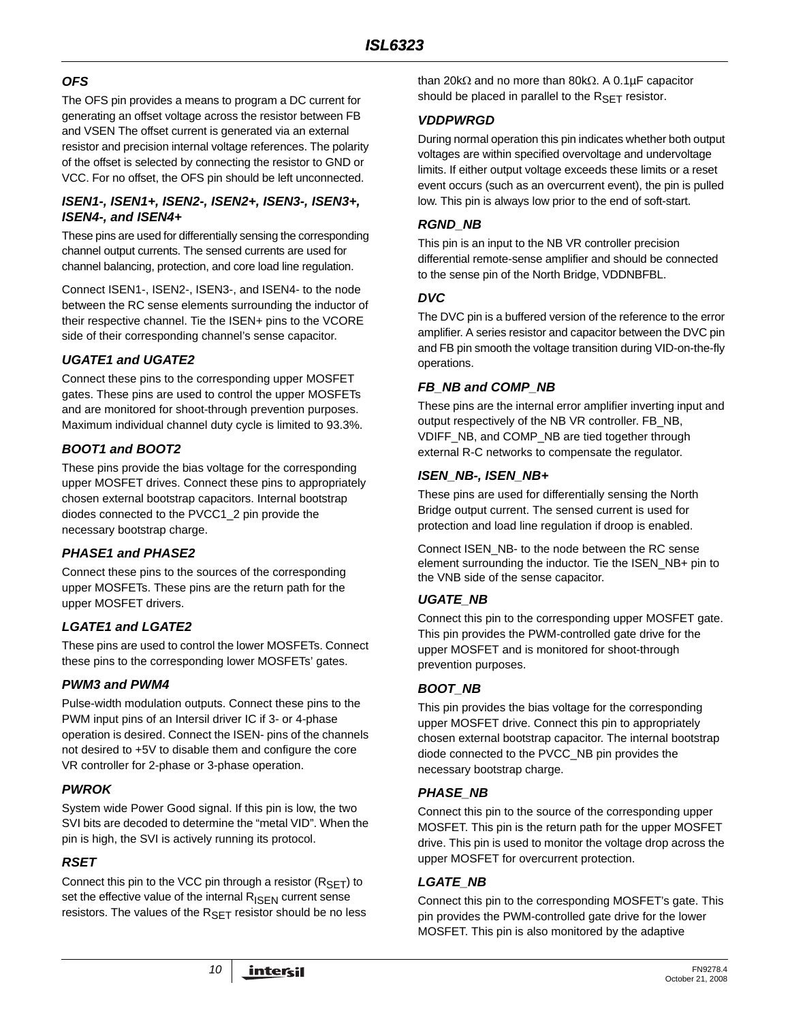## *OFS*

The OFS pin provides a means to program a DC current for generating an offset voltage across the resistor between FB and VSEN The offset current is generated via an external resistor and precision internal voltage references. The polarity of the offset is selected by connecting the resistor to GND or VCC. For no offset, the OFS pin should be left unconnected.

## *ISEN1-, ISEN1+, ISEN2-, ISEN2+, ISEN3-, ISEN3+, ISEN4-, and ISEN4+*

These pins are used for differentially sensing the corresponding channel output currents. The sensed currents are used for channel balancing, protection, and core load line regulation.

Connect ISEN1-, ISEN2-, ISEN3-, and ISEN4- to the node between the RC sense elements surrounding the inductor of their respective channel. Tie the ISEN+ pins to the VCORE side of their corresponding channel's sense capacitor.

## *UGATE1 and UGATE2*

Connect these pins to the corresponding upper MOSFET gates. These pins are used to control the upper MOSFETs and are monitored for shoot-through prevention purposes. Maximum individual channel duty cycle is limited to 93.3%.

## *BOOT1 and BOOT2*

These pins provide the bias voltage for the corresponding upper MOSFET drives. Connect these pins to appropriately chosen external bootstrap capacitors. Internal bootstrap diodes connected to the PVCC1\_2 pin provide the necessary bootstrap charge.

## *PHASE1 and PHASE2*

Connect these pins to the sources of the corresponding upper MOSFETs. These pins are the return path for the upper MOSFET drivers.

## *LGATE1 and LGATE2*

These pins are used to control the lower MOSFETs. Connect these pins to the corresponding lower MOSFETs' gates.

## *PWM3 and PWM4*

Pulse-width modulation outputs. Connect these pins to the PWM input pins of an Intersil driver IC if 3- or 4-phase operation is desired. Connect the ISEN- pins of the channels not desired to +5V to disable them and configure the core VR controller for 2-phase or 3-phase operation.

## *PWROK*

System wide Power Good signal. If this pin is low, the two SVI bits are decoded to determine the "metal VID". When the pin is high, the SVI is actively running its protocol.

## *RSET*

Connect this pin to the VCC pin through a resistor  $(R_{\text{SFT}})$  to set the effective value of the internal  $R_{\text{ISEN}}$  current sense resistors. The values of the  $R_{\text{SET}}$  resistor should be no less than 20kΩ and no more than 80kΩ. A 0.1µF capacitor should be placed in parallel to the  $R_{\text{SFT}}$  resistor.

## *VDDPWRGD*

During normal operation this pin indicates whether both output voltages are within specified overvoltage and undervoltage limits. If either output voltage exceeds these limits or a reset event occurs (such as an overcurrent event), the pin is pulled low. This pin is always low prior to the end of soft-start.

## *RGND\_NB*

This pin is an input to the NB VR controller precision differential remote-sense amplifier and should be connected to the sense pin of the North Bridge, VDDNBFBL.

## *DVC*

The DVC pin is a buffered version of the reference to the error amplifier. A series resistor and capacitor between the DVC pin and FB pin smooth the voltage transition during VID-on-the-fly operations.

## *FB\_NB and COMP\_NB*

These pins are the internal error amplifier inverting input and output respectively of the NB VR controller. FB\_NB, VDIFF\_NB, and COMP\_NB are tied together through external R-C networks to compensate the regulator.

## *ISEN\_NB-, ISEN\_NB+*

These pins are used for differentially sensing the North Bridge output current. The sensed current is used for protection and load line regulation if droop is enabled.

Connect ISEN\_NB- to the node between the RC sense element surrounding the inductor. Tie the ISEN\_NB+ pin to the VNB side of the sense capacitor.

## *UGATE\_NB*

Connect this pin to the corresponding upper MOSFET gate. This pin provides the PWM-controlled gate drive for the upper MOSFET and is monitored for shoot-through prevention purposes.

## *BOOT\_NB*

This pin provides the bias voltage for the corresponding upper MOSFET drive. Connect this pin to appropriately chosen external bootstrap capacitor. The internal bootstrap diode connected to the PVCC\_NB pin provides the necessary bootstrap charge.

## *PHASE\_NB*

Connect this pin to the source of the corresponding upper MOSFET. This pin is the return path for the upper MOSFET drive. This pin is used to monitor the voltage drop across the upper MOSFET for overcurrent protection.

## *LGATE\_NB*

Connect this pin to the corresponding MOSFET's gate. This pin provides the PWM-controlled gate drive for the lower MOSFET. This pin is also monitored by the adaptive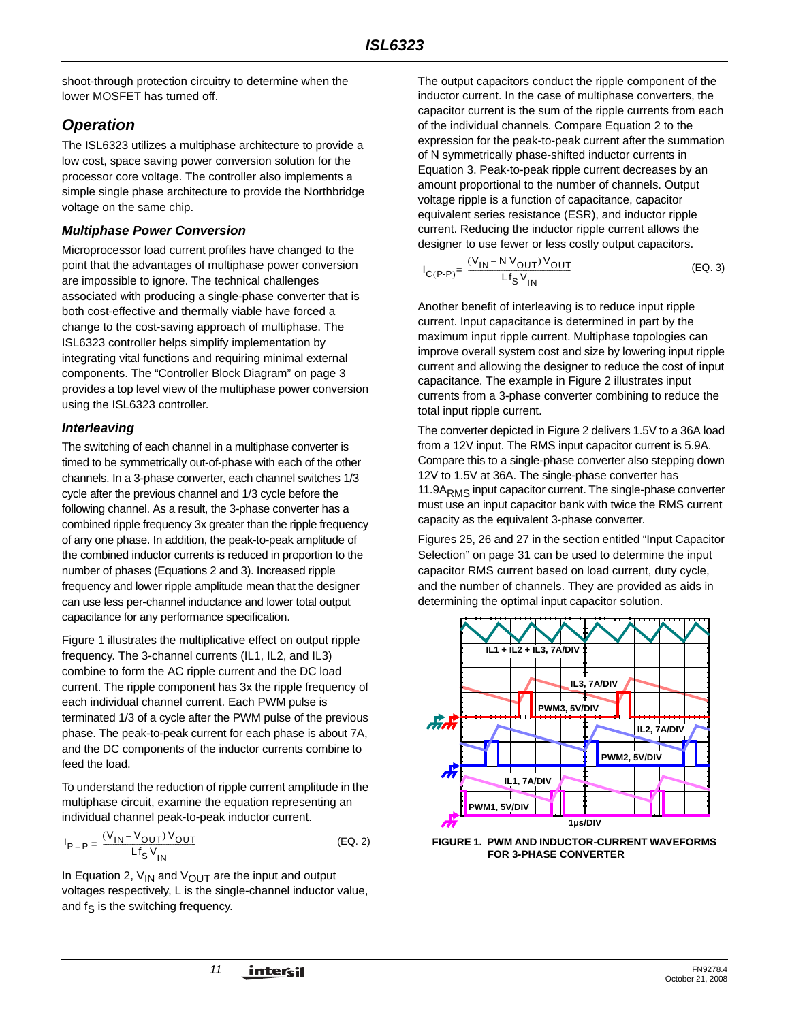shoot-through protection circuitry to determine when the lower MOSFET has turned off.

# *Operation*

The ISL6323 utilizes a multiphase architecture to provide a low cost, space saving power conversion solution for the processor core voltage. The controller also implements a simple single phase architecture to provide the Northbridge voltage on the same chip.

## *Multiphase Power Conversion*

Microprocessor load current profiles have changed to the point that the advantages of multiphase power conversion are impossible to ignore. The technical challenges associated with producing a single-phase converter that is both cost-effective and thermally viable have forced a change to the cost-saving approach of multiphase. The ISL6323 controller helps simplify implementation by integrating vital functions and requiring minimal external components. The ["Controller Block Diagram" on page 3](#page-2-0)  provides a top level view of the multiphase power conversion using the ISL6323 controller.

## *Interleaving*

The switching of each channel in a multiphase converter is timed to be symmetrically out-of-phase with each of the other channels. In a 3-phase converter, each channel switches 1/3 cycle after the previous channel and 1/3 cycle before the following channel. As a result, the 3-phase converter has a combined ripple frequency 3x greater than the ripple frequency of any one phase. In addition, the peak-to-peak amplitude of the combined inductor currents is reduced in proportion to the number of phases (Equations 2 and 3). Increased ripple frequency and lower ripple amplitude mean that the designer can use less per-channel inductance and lower total output capacitance for any performance specification.

Figure 1 illustrates the multiplicative effect on output ripple frequency. The 3-channel currents (IL1, IL2, and IL3) combine to form the AC ripple current and the DC load current. The ripple component has 3x the ripple frequency of each individual channel current. Each PWM pulse is terminated 1/3 of a cycle after the PWM pulse of the previous phase. The peak-to-peak current for each phase is about 7A, and the DC components of the inductor currents combine to feed the load.

To understand the reduction of ripple current amplitude in the multiphase circuit, examine the equation representing an individual channel peak-to-peak inductor current.

$$
I_{P-P} = \frac{(V_{1N} - V_{OUT})V_{OUT}}{Lf_{N}V_{IN}}
$$
 (EQ. 2)

In Equation 2,  $V_{IN}$  and  $V_{OUT}$  are the input and output voltages respectively, L is the single-channel inductor value, and  $f_S$  is the switching frequency.

The output capacitors conduct the ripple component of the inductor current. In the case of multiphase converters, the capacitor current is the sum of the ripple currents from each of the individual channels. Compare Equation 2 to the expression for the peak-to-peak current after the summation of N symmetrically phase-shifted inductor currents in Equation 3. Peak-to-peak ripple current decreases by an amount proportional to the number of channels. Output voltage ripple is a function of capacitance, capacitor equivalent series resistance (ESR), and inductor ripple current. Reducing the inductor ripple current allows the designer to use fewer or less costly output capacitors.

$$
I_{C(P-P)} = \frac{(V_{IN} - N V_{OUT}) V_{OUT}}{Lf_S V_{IN}}
$$
 (EQ. 3)

Another benefit of interleaving is to reduce input ripple current. Input capacitance is determined in part by the maximum input ripple current. Multiphase topologies can improve overall system cost and size by lowering input ripple current and allowing the designer to reduce the cost of input capacitance. The example in Figure [2](#page-11-0) illustrates input currents from a 3-phase converter combining to reduce the total input ripple current.

The converter depicted in Figure [2](#page-11-0) delivers 1.5V to a 36A load from a 12V input. The RMS input capacitor current is 5.9A. Compare this to a single-phase converter also stepping down 12V to 1.5V at 36A. The single-phase converter has 11.9A<sub>RMS</sub> input capacitor current. The single-phase converter must use an input capacitor bank with twice the RMS current capacity as the equivalent 3-phase converter.

Figures 25, 26 and 27 in the section entitled ["Input Capacitor](#page-30-0)  [Selection" on page 31](#page-30-0) can be used to determine the input capacitor RMS current based on load current, duty cycle, and the number of channels. They are provided as aids in determining the optimal input capacitor solution.



**FIGURE 1. PWM AND INDUCTOR-CURRENT WAVEFORMS FOR 3-PHASE CONVERTER**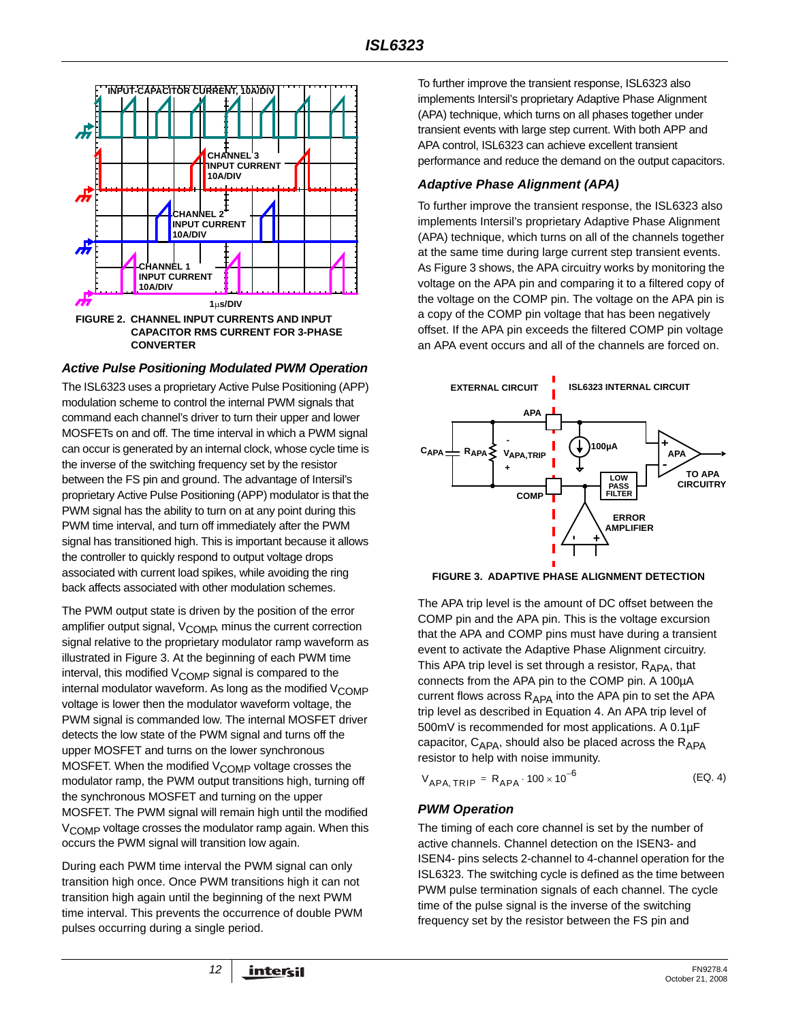

#### <span id="page-11-0"></span>*Active Pulse Positioning Modulated PWM Operation*

The ISL6323 uses a proprietary Active Pulse Positioning (APP) modulation scheme to control the internal PWM signals that command each channel's driver to turn their upper and lower MOSFETs on and off. The time interval in which a PWM signal can occur is generated by an internal clock, whose cycle time is the inverse of the switching frequency set by the resistor between the FS pin and ground. The advantage of Intersil's proprietary Active Pulse Positioning (APP) modulator is that the PWM signal has the ability to turn on at any point during this PWM time interval, and turn off immediately after the PWM signal has transitioned high. This is important because it allows the controller to quickly respond to output voltage drops associated with current load spikes, while avoiding the ring back affects associated with other modulation schemes.

The PWM output state is driven by the position of the error amplifier output signal,  $V_{\text{COMP}}$ , minus the current correction signal relative to the proprietary modulator ramp waveform as illustrated in Figure [3](#page-11-1). At the beginning of each PWM time interval, this modified  $V_{\text{COMP}}$  signal is compared to the internal modulator waveform. As long as the modified  $V_{\rm COMP}$ voltage is lower then the modulator waveform voltage, the PWM signal is commanded low. The internal MOSFET driver detects the low state of the PWM signal and turns off the upper MOSFET and turns on the lower synchronous MOSFET. When the modified  $V_{\text{COMP}}$  voltage crosses the modulator ramp, the PWM output transitions high, turning off the synchronous MOSFET and turning on the upper MOSFET. The PWM signal will remain high until the modified V<sub>COMP</sub> voltage crosses the modulator ramp again. When this occurs the PWM signal will transition low again.

During each PWM time interval the PWM signal can only transition high once. Once PWM transitions high it can not transition high again until the beginning of the next PWM time interval. This prevents the occurrence of double PWM pulses occurring during a single period.

To further improve the transient response, ISL6323 also implements Intersil's proprietary Adaptive Phase Alignment (APA) technique, which turns on all phases together under transient events with large step current. With both APP and APA control, ISL6323 can achieve excellent transient performance and reduce the demand on the output capacitors.

#### *Adaptive Phase Alignment (APA)*

To further improve the transient response, the ISL6323 also implements Intersil's proprietary Adaptive Phase Alignment (APA) technique, which turns on all of the channels together at the same time during large current step transient events. As Figure [3](#page-11-1) shows, the APA circuitry works by monitoring the voltage on the APA pin and comparing it to a filtered copy of the voltage on the COMP pin. The voltage on the APA pin is a copy of the COMP pin voltage that has been negatively offset. If the APA pin exceeds the filtered COMP pin voltage an APA event occurs and all of the channels are forced on.



<span id="page-11-1"></span>**FIGURE 3. ADAPTIVE PHASE ALIGNMENT DETECTION**

The APA trip level is the amount of DC offset between the COMP pin and the APA pin. This is the voltage excursion that the APA and COMP pins must have during a transient event to activate the Adaptive Phase Alignment circuitry. This APA trip level is set through a resistor,  $R_{APA}$ , that connects from the APA pin to the COMP pin. A 100µA current flows across  $R_{APA}$  into the APA pin to set the APA trip level as described in Equation [4.](#page-11-2) An APA trip level of 500mV is recommended for most applications. A 0.1µF capacitor,  $C_{APA}$ , should also be placed across the  $R_{APA}$ resistor to help with noise immunity.

<span id="page-11-2"></span>
$$
V_{APA, TRIP} = R_{APA} \cdot 100 \times 10^{-6}
$$
 (EQ. 4)

### <span id="page-11-3"></span>*PWM Operation*

The timing of each core channel is set by the number of active channels. Channel detection on the ISEN3- and ISEN4- pins selects 2-channel to 4-channel operation for the ISL6323. The switching cycle is defined as the time between PWM pulse termination signals of each channel. The cycle time of the pulse signal is the inverse of the switching frequency set by the resistor between the FS pin and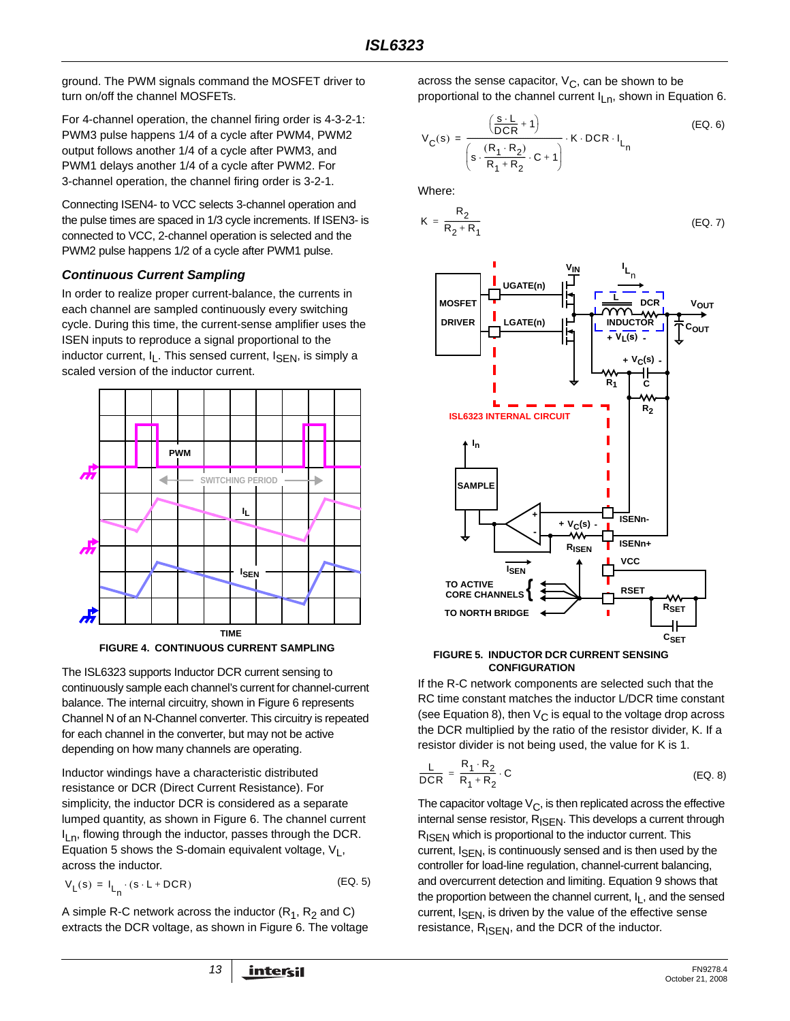ground. The PWM signals command the MOSFET driver to turn on/off the channel MOSFETs.

For 4-channel operation, the channel firing order is 4-3-2-1: PWM3 pulse happens 1/4 of a cycle after PWM4, PWM2 output follows another 1/4 of a cycle after PWM3, and PWM1 delays another 1/4 of a cycle after PWM2. For 3-channel operation, the channel firing order is 3-2-1.

Connecting ISEN4- to VCC selects 3-channel operation and the pulse times are spaced in 1/3 cycle increments. If ISEN3- is connected to VCC, 2-channel operation is selected and the PWM2 pulse happens 1/2 of a cycle after PWM1 pulse.

### <span id="page-12-4"></span>*Continuous Current Sampling*

In order to realize proper current-balance, the currents in each channel are sampled continuously every switching cycle. During this time, the current-sense amplifier uses the ISEN inputs to reproduce a signal proportional to the inductor current,  $I_1$ . This sensed current,  $I_{\text{SFN}}$ , is simply a scaled version of the inductor current.



**FIGURE 4. CONTINUOUS CURRENT SAMPLING**

The ISL6323 supports Inductor DCR current sensing to continuously sample each channel's current for channel-current balance. The internal circuitry, shown in Figure 6 represents Channel N of an N-Channel converter. This circuitry is repeated for each channel in the converter, but may not be active depending on how many channels are operating.

Inductor windings have a characteristic distributed resistance or DCR (Direct Current Resistance). For simplicity, the inductor DCR is considered as a separate lumped quantity, as shown in Figure 6. The channel current I<sub>Ln</sub>, flowing through the inductor, passes through the DCR. Equation [5](#page-12-1) shows the S-domain equivalent voltage,  $V_L$ , across the inductor.

$$
V_{L}(s) = I_{L_{n}} \cdot (s \cdot L + DCR)
$$
 (EQ. 5)

A simple R-C network across the inductor  $(R_1, R_2$  and C) extracts the DCR voltage, as shown in Figure 6. The voltage across the sense capacitor,  $V_C$ , can be shown to be proportional to the channel current  $I_{Ln}$ , shown in Equation [6.](#page-12-2)

<span id="page-12-2"></span>
$$
V_C(s) = \frac{\left(\frac{s \cdot L}{DCR} + 1\right)}{\left(s \cdot \frac{(R_1 \cdot R_2)}{R_1 + R_2} \cdot C + 1\right)} \cdot K \cdot DCR \cdot I_{L_n}
$$
(EQ. 6)

Where:

$$
K = \frac{R_2}{R_2 + R_1}
$$
 (EQ. 7)

<span id="page-12-3"></span>

**FIGURE 5. INDUCTOR DCR CURRENT SENSING CONFIGURATION**

If the R-C network components are selected such that the RC time constant matches the inductor L/DCR time constant (see Equation [8](#page-12-0)), then  $V_{\rm C}$  is equal to the voltage drop across the DCR multiplied by the ratio of the resistor divider, K. If a resistor divider is not being used, the value for K is 1.

<span id="page-12-0"></span>
$$
\frac{\mathsf{L}}{\mathsf{DCR}} = \frac{\mathsf{R}_1 \cdot \mathsf{R}_2}{\mathsf{R}_1 + \mathsf{R}_2} \cdot \mathsf{C}
$$
 (EQ. 8)

<span id="page-12-1"></span>The capacitor voltage  $V_C$ , is then replicated across the effective internal sense resistor, R<sub>ISEN</sub>. This develops a current through R<sub>ISEN</sub> which is proportional to the inductor current. This current, I<sub>SEN</sub>, is continuously sensed and is then used by the controller for load-line regulation, channel-current balancing, and overcurrent detection and limiting. Equation 9 shows that the proportion between the channel current,  $I_L$ , and the sensed current, I<sub>SEN</sub>, is driven by the value of the effective sense resistance,  $R_{\text{ISEN}}$ , and the DCR of the inductor.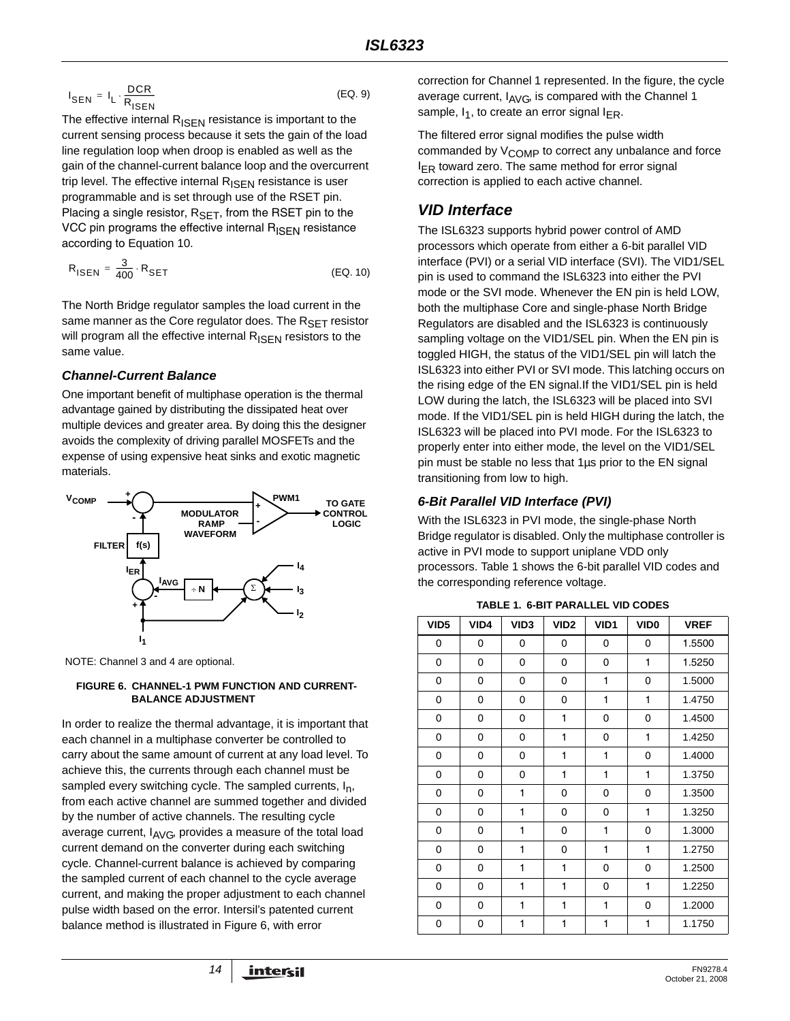$$
I_{\text{SEN}} = I_{\text{L}} \cdot \frac{\text{DCR}}{R_{\text{ISBN}}}
$$
 (EQ. 9)

The effective internal  $R_{\text{ISEN}}$  resistance is important to the current sensing process because it sets the gain of the load line regulation loop when droop is enabled as well as the gain of the channel-current balance loop and the overcurrent trip level. The effective internal  $R_{\text{ISEN}}$  resistance is user programmable and is set through use of the RSET pin. Placing a single resistor,  $R_{\text{SET}}$ , from the RSET pin to the VCC pin programs the effective internal  $R_{\text{ISFN}}$  resistance according to Equation [10](#page-13-0).

$$
R_{\text{ISEN}} = \frac{3}{400} \cdot R_{\text{SET}} \tag{Eq. 10}
$$

The North Bridge regulator samples the load current in the same manner as the Core regulator does. The  $R_{\text{SFT}}$  resistor will program all the effective internal  $R_{\text{ISEN}}$  resistors to the same value.

## *Channel-Current Balance*

One important benefit of multiphase operation is the thermal advantage gained by distributing the dissipated heat over multiple devices and greater area. By doing this the designer avoids the complexity of driving parallel MOSFETs and the expense of using expensive heat sinks and exotic magnetic materials.



NOTE: Channel 3 and 4 are optional.

#### **FIGURE 6. CHANNEL-1 PWM FUNCTION AND CURRENT-BALANCE ADJUSTMENT**

In order to realize the thermal advantage, it is important that each channel in a multiphase converter be controlled to carry about the same amount of current at any load level. To achieve this, the currents through each channel must be sampled every switching cycle. The sampled currents,  $I_n$ , from each active channel are summed together and divided by the number of active channels. The resulting cycle average current,  $I_{AVG}$ , provides a measure of the total load current demand on the converter during each switching cycle. Channel-current balance is achieved by comparing the sampled current of each channel to the cycle average current, and making the proper adjustment to each channel pulse width based on the error. Intersil's patented current balance method is illustrated in Figure 6, with error

correction for Channel 1 represented. In the figure, the cycle average current,  $I_{AVG}$ , is compared with the Channel 1 sample,  $I_1$ , to create an error signal  $I_{FR}$ .

The filtered error signal modifies the pulse width commanded by V<sub>COMP</sub> to correct any unbalance and force  $I_{FR}$  toward zero. The same method for error signal correction is applied to each active channel.

# *VID Interface*

<span id="page-13-0"></span>The ISL6323 supports hybrid power control of AMD processors which operate from either a 6-bit parallel VID interface (PVI) or a serial VID interface (SVI). The VID1/SEL pin is used to command the ISL6323 into either the PVI mode or the SVI mode. Whenever the EN pin is held LOW, both the multiphase Core and single-phase North Bridge Regulators are disabled and the ISL6323 is continuously sampling voltage on the VID1/SEL pin. When the EN pin is toggled HIGH, the status of the VID1/SEL pin will latch the ISL6323 into either PVI or SVI mode. This latching occurs on the rising edge of the EN signal.If the VID1/SEL pin is held LOW during the latch, the ISL6323 will be placed into SVI mode. If the VID1/SEL pin is held HIGH during the latch, the ISL6323 will be placed into PVI mode. For the ISL6323 to properly enter into either mode, the level on the VID1/SEL pin must be stable no less that 1µs prior to the EN signal transitioning from low to high.

## *6-Bit Parallel VID Interface (PVI)*

With the ISL6323 in PVI mode, the single-phase North Bridge regulator is disabled. Only the multiphase controller is active in PVI mode to support uniplane VDD only processors. Table [1](#page-13-1) shows the 6-bit parallel VID codes and the corresponding reference voltage.

**TABLE 1. 6-BIT PARALLEL VID CODES**

<span id="page-13-1"></span>

| VID <sub>5</sub> | VID4 | VID <sub>3</sub> | VID <sub>2</sub> | VID1 | VID <sub>0</sub> | <b>VREF</b> |
|------------------|------|------------------|------------------|------|------------------|-------------|
| 0                | 0    | 0                | 0                | 0    | 0                | 1.5500      |
| 0                | 0    | 0                | 0                | 0    | 1                | 1.5250      |
| 0                | 0    | 0                | 0                | 1    | 0                | 1.5000      |
| 0                | 0    | 0                | 0                | 1    | 1                | 1.4750      |
| 0                | 0    | 0                | 1                | 0    | 0                | 1.4500      |
| 0                | 0    | 0                | 1                | 0    | 1                | 1.4250      |
| 0                | 0    | 0                | 1                | 1    | 0                | 1.4000      |
| 0                | 0    | 0                | 1                | 1    | 1                | 1.3750      |
| 0                | 0    | 1                | 0                | 0    | 0                | 1.3500      |
| 0                | 0    | 1                | 0                | 0    | 1                | 1.3250      |
| 0                | 0    | 1                | 0                | 1    | 0                | 1.3000      |
| 0                | 0    | 1                | 0                | 1    | 1                | 1.2750      |
| 0                | 0    | 1                | 1                | 0    | 0                | 1.2500      |
| 0                | 0    | 1                | 1                | 0    | 1                | 1.2250      |
| 0                | 0    | 1                | 1                | 1    | 0                | 1.2000      |
| 0                | 0    | 1                | 1                | 1    | 1                | 1.1750      |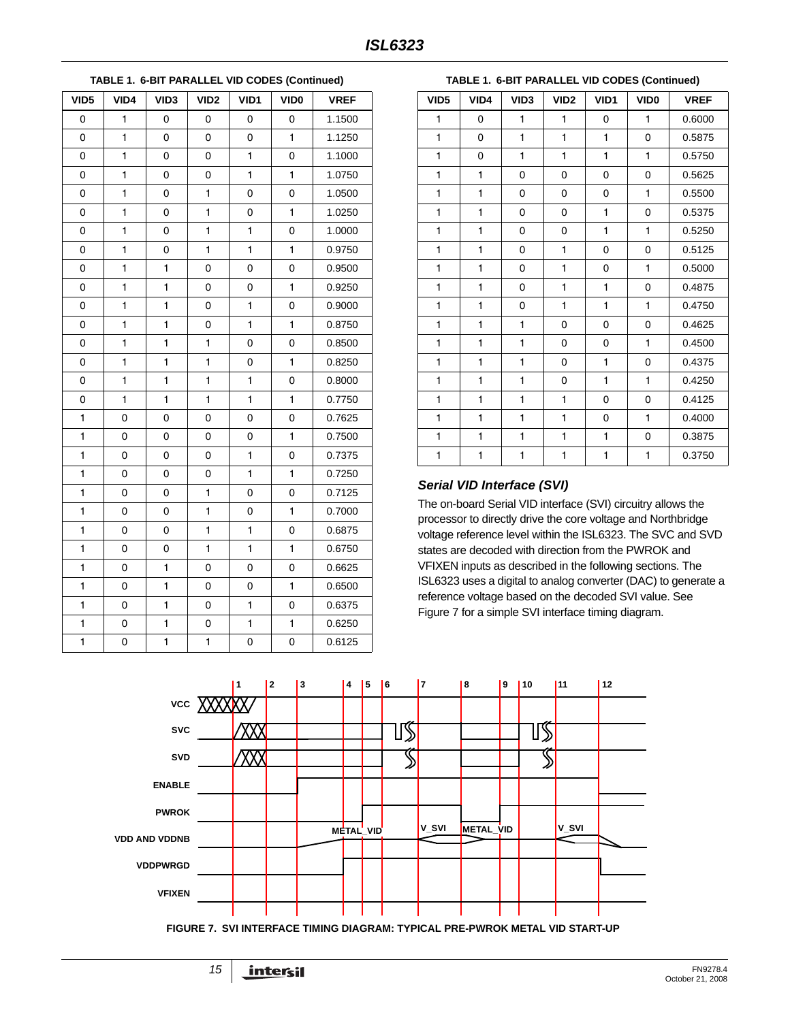0 1 0 0 0 0 1.1500 0 | 1 | 0 | 0 | 0 | 1 | 1.1250 0 1 0 0 1 0 1.1000 0 1 0 0 1 1 1 1.0750 0 1 0 1 0 0 1.0500 0 | 1 | 0 | 1 | 0 | 1 | 1.0250 0 1 0 1 1 0 1.0000 0 1 0 1 1 1 0.9750 0 1 1 0 0 0 0.9500 011001 0.9250 0 1 1 0 1 0 0.9000 011011 0.8750 0 1 1 1 1 0 0 0.8500 011101 0.8250 0 1 1 1 1 1 0 0.8000 0 1 1 1 1 1 1 0.7750 1 0 0 0 0 0 0.7625 1 0 0 0 0 1 0.7500 1 0 0 0 1 0 0.7375 1 0 0 0 1 1 0.7250 100100 0.7125 1 0 0 1 0 1 0.7000 100110 0.6875 1 0 0 1 1 1 1 0.6750 1 0 1 0 0 0 0.6625 101001 0.6500 1 0 1 0 1 0 0.6375 1 0 1 0 1 1 1 0.6250 1 0 1 1 0 0 0.6125 **TABLE 1. 6-BIT PARALLEL VID CODES (Continued) VID5 VID4 VID3 VID2 VID1 VID0 VREF**

#### **TABLE 1. 6-BIT PARALLEL VID CODES (Continued)**

| VID <sub>5</sub> | VID4         | VID <sub>3</sub> | VID <sub>2</sub> | VID1         | VID <sub>0</sub> | <b>VREF</b> |
|------------------|--------------|------------------|------------------|--------------|------------------|-------------|
| 1                | 0            | 1                | 1                | 0            | 1                | 0.6000      |
| $\mathbf{1}$     | 0            | $\mathbf{1}$     | $\mathbf{1}$     | 1            | 0                | 0.5875      |
| $\mathbf{1}$     | 0            | 1                | $\mathbf{1}$     | 1            | $\mathbf{1}$     | 0.5750      |
| $\mathbf{1}$     | 1            | 0                | 0                | 0            | 0                | 0.5625      |
| $\mathbf{1}$     | 1            | $\Omega$         | 0                | 0            | 1                | 0.5500      |
| $\mathbf{1}$     | $\mathbf{1}$ | 0                | 0                | 1            | 0                | 0.5375      |
| $\mathbf{1}$     | 1            | 0                | 0                | 1            | $\mathbf{1}$     | 0.5250      |
| 1                | 1            | 0                | 1                | 0            | 0                | 0.5125      |
| 1                | 1            | 0                | 1                | 0            | 1                | 0.5000      |
| $\mathbf{1}$     | 1            | 0                | $\mathbf{1}$     | 1            | 0                | 0.4875      |
| 1                | 1            | 0                | $\mathbf{1}$     | 1            | $\mathbf{1}$     | 0.4750      |
| $\mathbf{1}$     | 1            | 1                | 0                | $\mathbf 0$  | 0                | 0.4625      |
| 1                | 1            | 1                | 0                | 0            | 1                | 0.4500      |
| $\mathbf{1}$     | 1            | $\mathbf{1}$     | 0                | 1            | 0                | 0.4375      |
| $\mathbf{1}$     | $\mathbf{1}$ | $\mathbf{1}$     | 0                | $\mathbf{1}$ | $\mathbf{1}$     | 0.4250      |
| $\mathbf{1}$     | 1            | 1                | 1                | 0            | 0                | 0.4125      |
| 1                | 1            | 1                | 1                | 0            | $\mathbf{1}$     | 0.4000      |
| 1                | 1            | 1                | $\mathbf{1}$     | 1            | 0                | 0.3875      |
| $\mathbf{1}$     | 1            | 1                | $\mathbf{1}$     | 1            | 1                | 0.3750      |

## <span id="page-14-0"></span>*Serial VID Interface (SVI)*

The on-board Serial VID interface (SVI) circuitry allows the processor to directly drive the core voltage and Northbridge voltage reference level within the ISL6323. The SVC and SVD states are decoded with direction from the PWROK and VFIXEN inputs as described in the following sections. The ISL6323 uses a digital to analog converter (DAC) to generate a reference voltage based on the decoded SVI value. See Figure 7 for a simple SVI interface timing diagram.



**FIGURE 7. SVI INTERFACE TIMING DIAGRAM: TYPICAL PRE-PWROK METAL VID START-UP**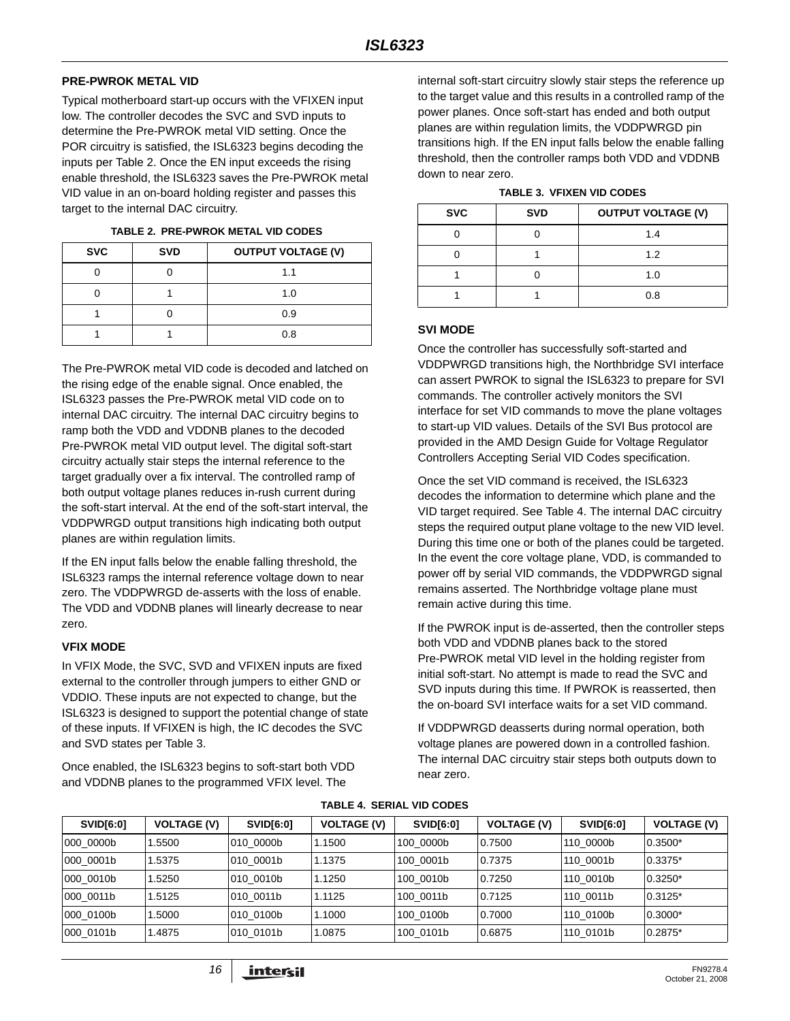#### **PRE-PWROK METAL VID**

Typical motherboard start-up occurs with the VFIXEN input low. The controller decodes the SVC and SVD inputs to determine the Pre-PWROK metal VID setting. Once the POR circuitry is satisfied, the ISL6323 begins decoding the inputs per Table 2. Once the EN input exceeds the rising enable threshold, the ISL6323 saves the Pre-PWROK metal VID value in an on-board holding register and passes this target to the internal DAC circuitry.

| <b>SVC</b> | <b>SVD</b> | <b>OUTPUT VOLTAGE (V)</b> |
|------------|------------|---------------------------|
|            |            | 1.1                       |
|            |            | 1.0                       |
|            |            | 0.9                       |
|            |            | 0.8                       |

**TABLE 2. PRE-PWROK METAL VID CODES**

The Pre-PWROK metal VID code is decoded and latched on the rising edge of the enable signal. Once enabled, the ISL6323 passes the Pre-PWROK metal VID code on to internal DAC circuitry. The internal DAC circuitry begins to ramp both the VDD and VDDNB planes to the decoded Pre-PWROK metal VID output level. The digital soft-start circuitry actually stair steps the internal reference to the target gradually over a fix interval. The controlled ramp of both output voltage planes reduces in-rush current during the soft-start interval. At the end of the soft-start interval, the VDDPWRGD output transitions high indicating both output planes are within regulation limits.

If the EN input falls below the enable falling threshold, the ISL6323 ramps the internal reference voltage down to near zero. The VDDPWRGD de-asserts with the loss of enable. The VDD and VDDNB planes will linearly decrease to near zero.

#### **VFIX MODE**

In VFIX Mode, the SVC, SVD and VFIXEN inputs are fixed external to the controller through jumpers to either GND or VDDIO. These inputs are not expected to change, but the ISL6323 is designed to support the potential change of state of these inputs. If VFIXEN is high, the IC decodes the SVC and SVD states per Table 3.

Once enabled, the ISL6323 begins to soft-start both VDD and VDDNB planes to the programmed VFIX level. The

internal soft-start circuitry slowly stair steps the reference up to the target value and this results in a controlled ramp of the power planes. Once soft-start has ended and both output planes are within regulation limits, the VDDPWRGD pin transitions high. If the EN input falls below the enable falling threshold, then the controller ramps both VDD and VDDNB down to near zero.

| TABLE 3.  VFIXEN VID CODES |  |  |
|----------------------------|--|--|
|                            |  |  |

| <b>SVC</b> | <b>SVD</b> | <b>OUTPUT VOLTAGE (V)</b> |  |  |
|------------|------------|---------------------------|--|--|
|            |            | 1.4                       |  |  |
|            |            | 1.2                       |  |  |
|            |            | 1.0                       |  |  |
|            |            | 0.8                       |  |  |

#### **SVI MODE**

Once the controller has successfully soft-started and VDDPWRGD transitions high, the Northbridge SVI interface can assert PWROK to signal the ISL6323 to prepare for SVI commands. The controller actively monitors the SVI interface for set VID commands to move the plane voltages to start-up VID values. Details of the SVI Bus protocol are provided in the AMD Design Guide for Voltage Regulator Controllers Accepting Serial VID Codes specification.

Once the set VID command is received, the ISL6323 decodes the information to determine which plane and the VID target required. See Table [4](#page-15-0). The internal DAC circuitry steps the required output plane voltage to the new VID level. During this time one or both of the planes could be targeted. In the event the core voltage plane, VDD, is commanded to power off by serial VID commands, the VDDPWRGD signal remains asserted. The Northbridge voltage plane must remain active during this time.

If the PWROK input is de-asserted, then the controller steps both VDD and VDDNB planes back to the stored Pre-PWROK metal VID level in the holding register from initial soft-start. No attempt is made to read the SVC and SVD inputs during this time. If PWROK is reasserted, then the on-board SVI interface waits for a set VID command.

If VDDPWRGD deasserts during normal operation, both voltage planes are powered down in a controlled fashion. The internal DAC circuitry stair steps both outputs down to near zero.

<span id="page-15-0"></span>

| <b>SVID[6:0]</b> | <b>VOLTAGE (V)</b> | <b>SVID[6:0]</b> | <b>VOLTAGE (V)</b> | <b>SVID[6:0]</b> | <b>VOLTAGE (V)</b> | <b>SVID[6:0]</b> | <b>VOLTAGE (V)</b> |
|------------------|--------------------|------------------|--------------------|------------------|--------------------|------------------|--------------------|
| 000 0000b        | .5500              | 010 0000b        | 1.1500             | 100 0000b        | 0.7500             | 110 0000b        | $0.3500*$          |
| 000 0001b        | 1.5375             | 010 0001b        | 1.1375             | 100 0001b        | 0.7375             | 110 0001b        | $0.3375*$          |
| 000 0010b        | .5250              | 010 0010b        | 1.1250             | 100 0010b        | 0.7250             | 110 0010b        | $0.3250*$          |
| 000 0011b        | 1.5125             | 010 0011b        | 1.1125             | 100 0011b        | 0.7125             | 110 0011b        | $0.3125*$          |
| 000 0100b        | .5000              | 010 0100b        | 1.1000             | 100 0100b        | 0.7000             | 110 0100b        | $0.3000*$          |
| 000 0101b        | 1.4875             | 010 0101b        | 1.0875             | 100 0101b        | 0.6875             | 110 0101b        | $0.2875*$          |

#### **TABLE 4. SERIAL VID CODES**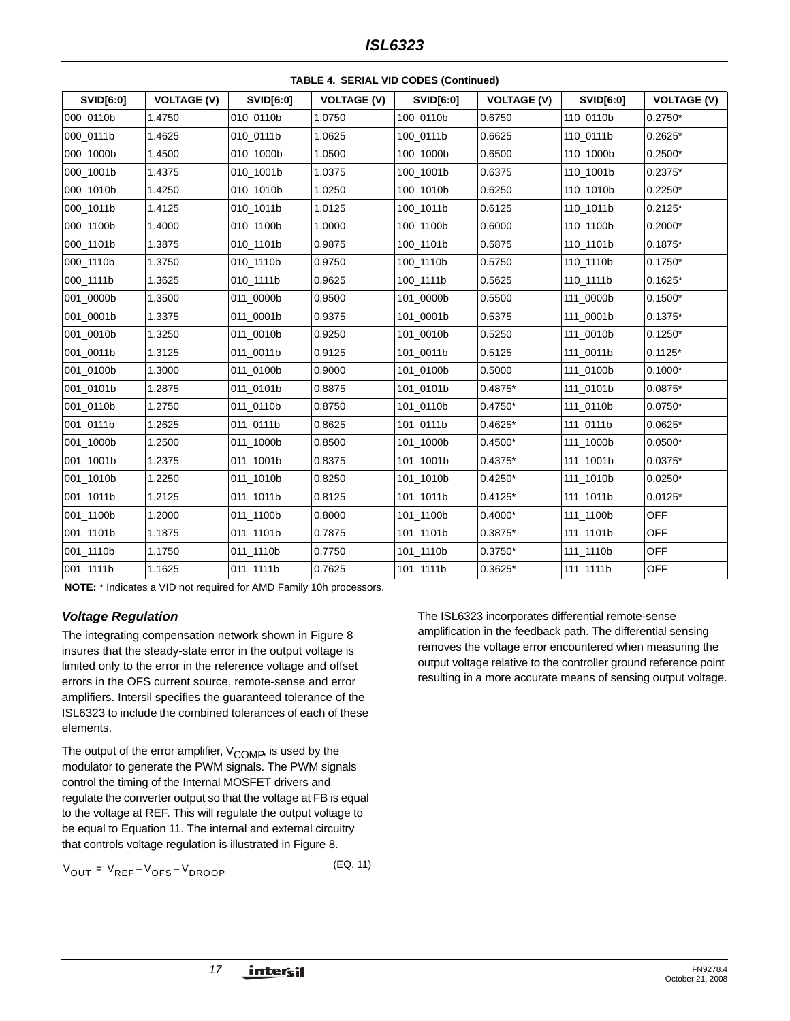| SVID[6:0] | <b>VOLTAGE (V)</b> | SVID[6:0] | <b>VOLTAGE (V)</b> | SVID[6:0] | <b>VOLTAGE (V)</b> | <b>SVID[6:0]</b> | <b>VOLTAGE (V)</b> |
|-----------|--------------------|-----------|--------------------|-----------|--------------------|------------------|--------------------|
| 000_0110b | 1.4750             | 010_0110b | 1.0750             | 100_0110b | 0.6750             | 110_0110b        | $0.2750*$          |
| 000_0111b | 1.4625             | 010_0111b | 1.0625             | 100_0111b | 0.6625             | 110_0111b        | $0.2625*$          |
| 000_1000b | 1.4500             | 010_1000b | 1.0500             | 100_1000b | 0.6500             | 110_1000b        | $0.2500*$          |
| 000_1001b | 1.4375             | 010_1001b | 1.0375             | 100_1001b | 0.6375             | 110 1001b        | $0.2375*$          |
| 000_1010b | 1.4250             | 010 1010b | 1.0250             | 100 1010b | 0.6250             | 110_1010b        | $0.2250*$          |
| 000_1011b | 1.4125             | 010_1011b | 1.0125             | 100_1011b | 0.6125             | 110_1011b        | $0.2125*$          |
| 000_1100b | 1.4000             | 010_1100b | 1.0000             | 100_1100b | 0.6000             | 110_1100b        | $0.2000*$          |
| 000_1101b | 1.3875             | 010_1101b | 0.9875             | 100_1101b | 0.5875             | 110_1101b        | $0.1875*$          |
| 000_1110b | 1.3750             | 010_1110b | 0.9750             | 100_1110b | 0.5750             | 110_1110b        | $0.1750*$          |
| 000_1111b | 1.3625             | 010_1111b | 0.9625             | 100 1111b | 0.5625             | 110_1111b        | $0.1625*$          |
| 001_0000b | 1.3500             | 011_0000b | 0.9500             | 101_0000b | 0.5500             | 111_0000b        | $0.1500*$          |
| 001_0001b | 1.3375             | 011_0001b | 0.9375             | 101_0001b | 0.5375             | 111_0001b        | $0.1375*$          |
| 001_0010b | 1.3250             | 011 0010b | 0.9250             | 101_0010b | 0.5250             | 111_0010b        | $0.1250*$          |
| 001_0011b | 1.3125             | 011_0011b | 0.9125             | 101_0011b | 0.5125             | 111_0011b        | $0.1125*$          |
| 001_0100b | 1.3000             | 011_0100b | 0.9000             | 101_0100b | 0.5000             | 111_0100b        | $0.1000*$          |
| 001_0101b | 1.2875             | 011_0101b | 0.8875             | 101_0101b | $0.4875*$          | 111_0101b        | $0.0875*$          |
| 001_0110b | 1.2750             | 011_0110b | 0.8750             | 101_0110b | $0.4750*$          | 111_0110b        | $0.0750*$          |
| 001_0111b | 1.2625             | 011_0111b | 0.8625             | 101_0111b | $0.4625*$          | 111_0111b        | $0.0625*$          |
| 001_1000b | 1.2500             | 011_1000b | 0.8500             | 101_1000b | $0.4500*$          | 111_1000b        | $0.0500*$          |
| 001_1001b | 1.2375             | 011_1001b | 0.8375             | 101_1001b | $0.4375*$          | 111_1001b        | $0.0375*$          |
| 001_1010b | 1.2250             | 011_1010b | 0.8250             | 101_1010b | $0.4250*$          | 111_1010b        | $0.0250*$          |
| 001_1011b | 1.2125             | 011_1011b | 0.8125             | 101_1011b | $0.4125*$          | 111_1011b        | $0.0125*$          |
| 001_1100b | 1.2000             | 011_1100b | 0.8000             | 101_1100b | $0.4000*$          | 111_1100b        | <b>OFF</b>         |
| 001_1101b | 1.1875             | 011_1101b | 0.7875             | 101_1101b | 0.3875*            | 111_1101b        | <b>OFF</b>         |
| 001_1110b | 1.1750             | 011_1110b | 0.7750             | 101_1110b | $0.3750*$          | 111_1110b        | OFF                |
| 001_1111b | 1.1625             | 011_1111b | 0.7625             | 101_1111b | 0.3625*            | 111_1111b        | OFF                |

**TABLE 4. SERIAL VID CODES (Continued)**

**NOTE:** \* Indicates a VID not required for AMD Family 10h processors.

### *Voltage Regulation*

The integrating compensation network shown in Figure 8 insures that the steady-state error in the output voltage is limited only to the error in the reference voltage and offset errors in the OFS current source, remote-sense and error amplifiers. Intersil specifies the guaranteed tolerance of the ISL6323 to include the combined tolerances of each of these elements.

The output of the error amplifier,  $V_{\text{COMP}}$ , is used by the modulator to generate the PWM signals. The PWM signals control the timing of the Internal MOSFET drivers and regulate the converter output so that the voltage at FB is equal to the voltage at REF. This will regulate the output voltage to be equal to Equation 11. The internal and external circuitry that controls voltage regulation is illustrated in Figure 8.

 $V_{\text{OUT}} = V_{\text{REF}} - V_{\text{OPS}} - V_{\text{DROOP}}$  (EQ. 11)

The ISL6323 incorporates differential remote-sense amplification in the feedback path. The differential sensing removes the voltage error encountered when measuring the output voltage relative to the controller ground reference point resulting in a more accurate means of sensing output voltage.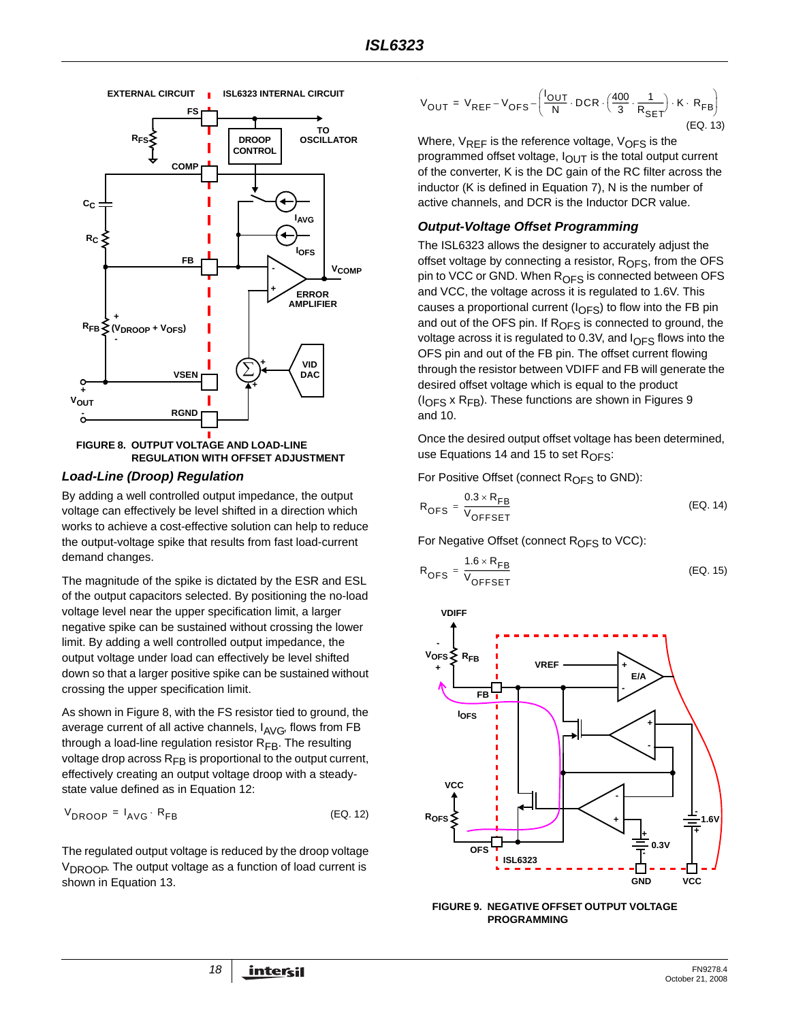

**FIGURE 8. OUTPUT VOLTAGE AND LOAD-LINE REGULATION WITH OFFSET ADJUSTMENT**

#### *Load-Line (Droop) Regulation*

By adding a well controlled output impedance, the output voltage can effectively be level shifted in a direction which works to achieve a cost-effective solution can help to reduce the output-voltage spike that results from fast load-current demand changes.

The magnitude of the spike is dictated by the ESR and ESL of the output capacitors selected. By positioning the no-load voltage level near the upper specification limit, a larger negative spike can be sustained without crossing the lower limit. By adding a well controlled output impedance, the output voltage under load can effectively be level shifted down so that a larger positive spike can be sustained without crossing the upper specification limit.

As shown in Figure 8, with the FS resistor tied to ground, the average current of all active channels,  $I_{\text{AVG}}$ , flows from FB through a load-line regulation resistor  $R_{FB}$ . The resulting voltage drop across  $R_{FB}$  is proportional to the output current, effectively creating an output voltage droop with a steadystate value defined as in Equation 12:

$$
V_{\text{DROOP}} = I_{\text{AVG}} \cdot R_{\text{FB}} \tag{Eq. 12}
$$

The regulated output voltage is reduced by the droop voltage  $V_{\text{DROOP}}$ . The output voltage as a function of load current is shown in Equation 13.

$$
V_{OUT} = V_{REF} - V_{OFS} - \left(\frac{I_{OUT}}{N} \cdot DCR \cdot \left(\frac{400}{3} \cdot \frac{1}{R_{SET}}\right) \cdot K \cdot R_{FB}\right)
$$
\n(EQ. 13)

Where,  $V_{REF}$  is the reference voltage,  $V_{OFF}$  is the programmed offset voltage,  $I_{\text{OUT}}$  is the total output current of the converter, K is the DC gain of the RC filter across the inductor (K is defined in Equation [7](#page-12-3)), N is the number of active channels, and DCR is the Inductor DCR value.

## *Output-Voltage Offset Programming*

The ISL6323 allows the designer to accurately adjust the offset voltage by connecting a resistor,  $R<sub>OFS</sub>$ , from the OFS pin to VCC or GND. When R<sub>OFS</sub> is connected between OFS and VCC, the voltage across it is regulated to 1.6V. This causes a proportional current  $(I_{\text{OFS}})$  to flow into the FB pin and out of the OFS pin. If  $R<sub>OFS</sub>$  is connected to ground, the voltage across it is regulated to 0.3V, and  $I<sub>OFS</sub>$  flows into the OFS pin and out of the FB pin. The offset current flowing through the resistor between VDIFF and FB will generate the desired offset voltage which is equal to the product  $(I<sub>OFS</sub> x R<sub>FB</sub>)$ . These functions are shown in Figures [9](#page-17-0) and [10](#page-18-0).

Once the desired output offset voltage has been determined, use Equations [14](#page-17-1) and [15](#page-17-2) to set  $R_{\text{OFS}}$ :

For Positive Offset (connect  $R_{\text{OFS}}$  to GND):

<span id="page-17-1"></span>
$$
R_{\text{OFS}} = \frac{0.3 \times R_{\text{FB}}}{V_{\text{OFFSET}}}
$$
 (EQ. 14)

For Negative Offset (connect  $R_{\text{OFS}}$  to VCC):

<span id="page-17-2"></span>
$$
R_{\text{OFS}} = \frac{1.6 \times R_{\text{FB}}}{V_{\text{OFFSET}}}
$$
 (EQ. 15)



<span id="page-17-0"></span>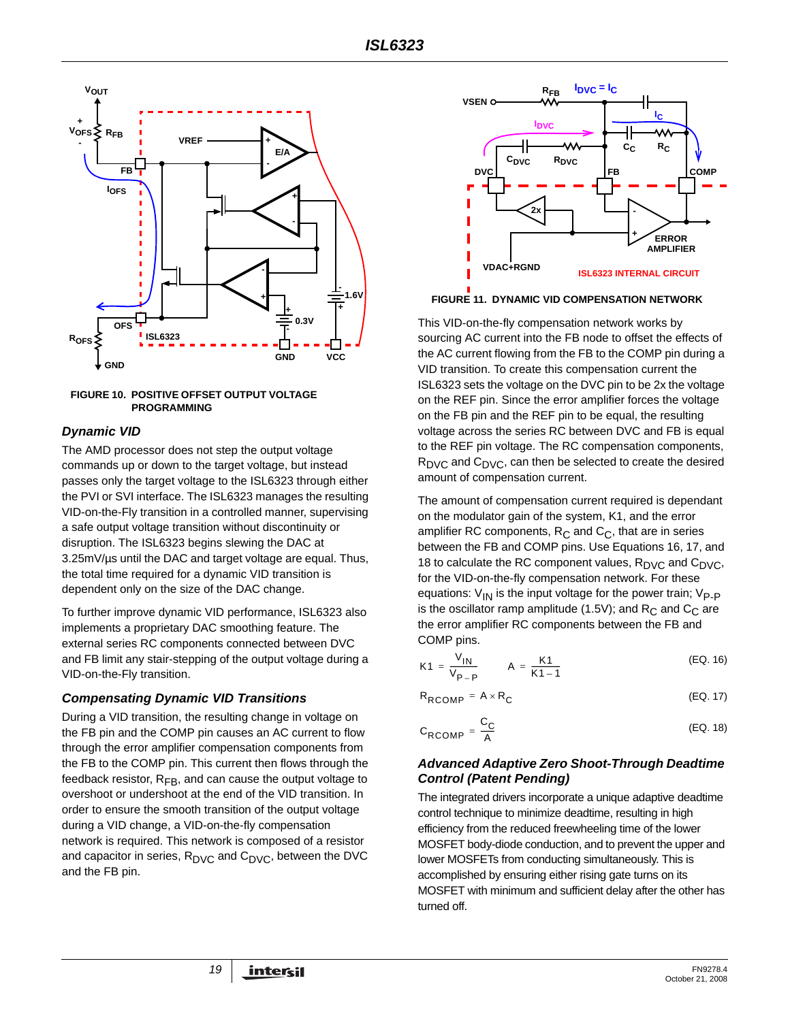

#### <span id="page-18-0"></span>**FIGURE 10. POSITIVE OFFSET OUTPUT VOLTAGE PROGRAMMING**

## *Dynamic VID*

The AMD processor does not step the output voltage commands up or down to the target voltage, but instead passes only the target voltage to the ISL6323 through either the PVI or SVI interface. The ISL6323 manages the resulting VID-on-the-Fly transition in a controlled manner, supervising a safe output voltage transition without discontinuity or disruption. The ISL6323 begins slewing the DAC at 3.25mV/µs until the DAC and target voltage are equal. Thus, the total time required for a dynamic VID transition is dependent only on the size of the DAC change.

To further improve dynamic VID performance, ISL6323 also implements a proprietary DAC smoothing feature. The external series RC components connected between DVC and FB limit any stair-stepping of the output voltage during a VID-on-the-Fly transition.

### *Compensating Dynamic VID Transitions*

During a VID transition, the resulting change in voltage on the FB pin and the COMP pin causes an AC current to flow through the error amplifier compensation components from the FB to the COMP pin. This current then flows through the feedback resistor,  $R_{FB}$ , and can cause the output voltage to overshoot or undershoot at the end of the VID transition. In order to ensure the smooth transition of the output voltage during a VID change, a VID-on-the-fly compensation network is required. This network is composed of a resistor and capacitor in series,  $R_{\text{DVC}}$  and  $C_{\text{DVC}}$ , between the DVC and the FB pin.



**FIGURE 11. DYNAMIC VID COMPENSATION NETWORK** 

This VID-on-the-fly compensation network works by sourcing AC current into the FB node to offset the effects of the AC current flowing from the FB to the COMP pin during a VID transition. To create this compensation current the ISL6323 sets the voltage on the DVC pin to be 2x the voltage on the REF pin. Since the error amplifier forces the voltage on the FB pin and the REF pin to be equal, the resulting voltage across the series RC between DVC and FB is equal to the REF pin voltage. The RC compensation components,  $R_{\text{DVC}}$  and  $C_{\text{DVC}}$ , can then be selected to create the desired amount of compensation current.

The amount of compensation current required is dependant on the modulator gain of the system, K1, and the error amplifier RC components,  $R_C$  and  $C_C$ , that are in series between the FB and COMP pins. Use Equations [16](#page-18-1), [17,](#page-18-2) and [18](#page-18-3) to calculate the RC component values,  $R_{\text{DVC}}$  and  $C_{\text{DVC}}$ , for the VID-on-the-fly compensation network. For these equations:  $V_{\text{IN}}$  is the input voltage for the power train;  $V_{\text{P-P}}$ is the oscillator ramp amplitude (1.5V); and  $R_C$  and  $C_C$  are the error amplifier RC components between the FB and COMP pins.

<span id="page-18-1"></span>
$$
K1 = \frac{V_{1N}}{V_{P-P}} \qquad A = \frac{K1}{K1 - 1}
$$
 (EQ. 16)

 $R_{RCOMP} = A \times R_C$  (EQ. 17)

<span id="page-18-3"></span><span id="page-18-2"></span>
$$
C_{RCOMP} = \frac{C_C}{A}
$$
 (EQ. 18)

### *Advanced Adaptive Zero Shoot-Through Deadtime Control (Patent Pending)*

The integrated drivers incorporate a unique adaptive deadtime control technique to minimize deadtime, resulting in high efficiency from the reduced freewheeling time of the lower MOSFET body-diode conduction, and to prevent the upper and lower MOSFETs from conducting simultaneously. This is accomplished by ensuring either rising gate turns on its MOSFET with minimum and sufficient delay after the other has turned off.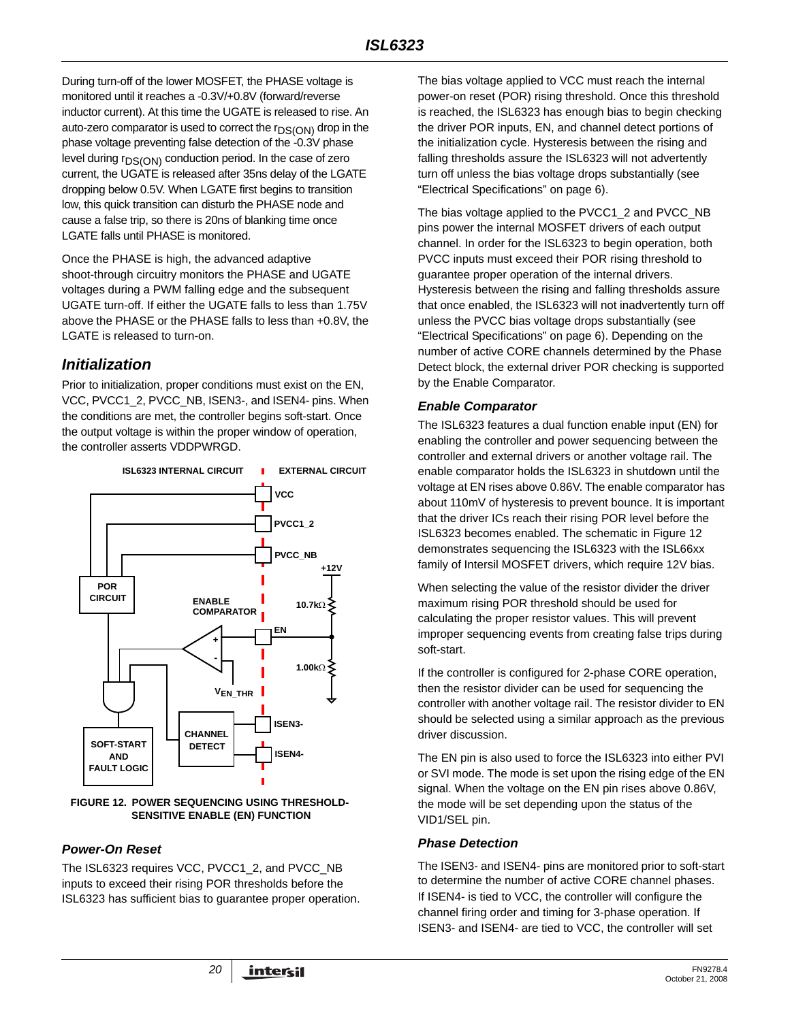During turn-off of the lower MOSFET, the PHASE voltage is monitored until it reaches a -0.3V/+0.8V (forward/reverse inductor current). At this time the UGATE is released to rise. An auto-zero comparator is used to correct the  $r_{DS(ON)}$  drop in the phase voltage preventing false detection of the -0.3V phase level during r<sub>DS(ON)</sub> conduction period. In the case of zero current, the UGATE is released after 35ns delay of the LGATE dropping below 0.5V. When LGATE first begins to transition low, this quick transition can disturb the PHASE node and cause a false trip, so there is 20ns of blanking time once LGATE falls until PHASE is monitored.

Once the PHASE is high, the advanced adaptive shoot-through circuitry monitors the PHASE and UGATE voltages during a PWM falling edge and the subsequent UGATE turn-off. If either the UGATE falls to less than 1.75V above the PHASE or the PHASE falls to less than +0.8V, the LGATE is released to turn-on.

# *Initialization*

Prior to initialization, proper conditions must exist on the EN, VCC, PVCC1\_2, PVCC\_NB, ISEN3-, and ISEN4- pins. When the conditions are met, the controller begins soft-start. Once the output voltage is within the proper window of operation, the controller asserts VDDPWRGD.



#### <span id="page-19-0"></span>**FIGURE 12. POWER SEQUENCING USING THRESHOLD-SENSITIVE ENABLE (EN) FUNCTION**

## *Power-On Reset*

The ISL6323 requires VCC, PVCC1\_2, and PVCC\_NB inputs to exceed their rising POR thresholds before the ISL6323 has sufficient bias to guarantee proper operation. The bias voltage applied to VCC must reach the internal power-on reset (POR) rising threshold. Once this threshold is reached, the ISL6323 has enough bias to begin checking the driver POR inputs, EN, and channel detect portions of the initialization cycle. Hysteresis between the rising and falling thresholds assure the ISL6323 will not advertently turn off unless the bias voltage drops substantially (see "Electrical Specifications" on [page 6](#page-5-1)).

The bias voltage applied to the PVCC1\_2 and PVCC\_NB pins power the internal MOSFET drivers of each output channel. In order for the ISL6323 to begin operation, both PVCC inputs must exceed their POR rising threshold to guarantee proper operation of the internal drivers. Hysteresis between the rising and falling thresholds assure that once enabled, the ISL6323 will not inadvertently turn off unless the PVCC bias voltage drops substantially (see "Electrical Specifications" on [page 6](#page-5-1)). Depending on the number of active CORE channels determined by the Phase Detect block, the external driver POR checking is supported by the Enable Comparator.

## *Enable Comparator*

The ISL6323 features a dual function enable input (EN) for enabling the controller and power sequencing between the controller and external drivers or another voltage rail. The enable comparator holds the ISL6323 in shutdown until the voltage at EN rises above 0.86V. The enable comparator has about 110mV of hysteresis to prevent bounce. It is important that the driver ICs reach their rising POR level before the ISL6323 becomes enabled. The schematic in Figure [12](#page-19-0) demonstrates sequencing the ISL6323 with the ISL66xx family of Intersil MOSFET drivers, which require 12V bias.

When selecting the value of the resistor divider the driver maximum rising POR threshold should be used for calculating the proper resistor values. This will prevent improper sequencing events from creating false trips during soft-start.

If the controller is configured for 2-phase CORE operation, then the resistor divider can be used for sequencing the controller with another voltage rail. The resistor divider to EN should be selected using a similar approach as the previous driver discussion.

The EN pin is also used to force the ISL6323 into either PVI or SVI mode. The mode is set upon the rising edge of the EN signal. When the voltage on the EN pin rises above 0.86V, the mode will be set depending upon the status of the VID1/SEL pin.

## *Phase Detection*

The ISEN3- and ISEN4- pins are monitored prior to soft-start to determine the number of active CORE channel phases. If ISEN4- is tied to VCC, the controller will configure the channel firing order and timing for 3-phase operation. If ISEN3- and ISEN4- are tied to VCC, the controller will set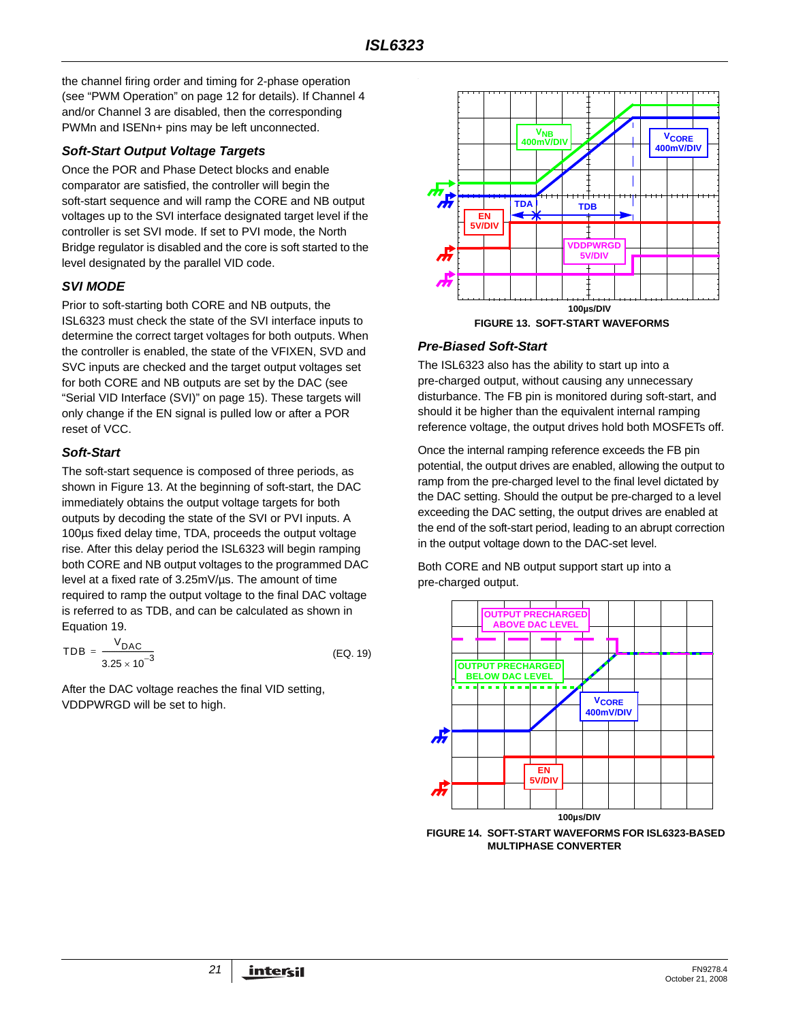the channel firing order and timing for 2-phase operation (see ["PWM Operation" on page 12](#page-11-3) for details). If Channel 4 and/or Channel 3 are disabled, then the corresponding PWMn and ISENn+ pins may be left unconnected.

## *Soft-Start Output Voltage Targets*

Once the POR and Phase Detect blocks and enable comparator are satisfied, the controller will begin the soft-start sequence and will ramp the CORE and NB output voltages up to the SVI interface designated target level if the controller is set SVI mode. If set to PVI mode, the North Bridge regulator is disabled and the core is soft started to the level designated by the parallel VID code.

## *SVI MODE*

Prior to soft-starting both CORE and NB outputs, the ISL6323 must check the state of the SVI interface inputs to determine the correct target voltages for both outputs. When the controller is enabled, the state of the VFIXEN, SVD and SVC inputs are checked and the target output voltages set for both CORE and NB outputs are set by the DAC (see ["Serial VID Interface \(SVI\)" on page 15](#page-14-0)). These targets will only change if the EN signal is pulled low or after a POR reset of VCC.

## *Soft-Start*

The soft-start sequence is composed of three periods, as shown in Figure 13. At the beginning of soft-start, the DAC immediately obtains the output voltage targets for both outputs by decoding the state of the SVI or PVI inputs. A 100µs fixed delay time, TDA, proceeds the output voltage rise. After this delay period the ISL6323 will begin ramping both CORE and NB output voltages to the programmed DAC level at a fixed rate of 3.25mV/µs. The amount of time required to ramp the output voltage to the final DAC voltage is referred to as TDB, and can be calculated as shown in Equation 19.

$$
TDB = \frac{V_{DAC}}{3.25 \times 10^{-3}}
$$
 (EQ. 19)

After the DAC voltage reaches the final VID setting, VDDPWRGD will be set to high.



## *Pre-Biased Soft-Start*

The ISL6323 also has the ability to start up into a pre-charged output, without causing any unnecessary disturbance. The FB pin is monitored during soft-start, and should it be higher than the equivalent internal ramping reference voltage, the output drives hold both MOSFETs off.

Once the internal ramping reference exceeds the FB pin potential, the output drives are enabled, allowing the output to ramp from the pre-charged level to the final level dictated by the DAC setting. Should the output be pre-charged to a level exceeding the DAC setting, the output drives are enabled at the end of the soft-start period, leading to an abrupt correction in the output voltage down to the DAC-set level.

Both CORE and NB output support start up into a pre-charged output.



**FIGURE 14. SOFT-START WAVEFORMS FOR ISL6323-BASED MULTIPHASE CONVERTER**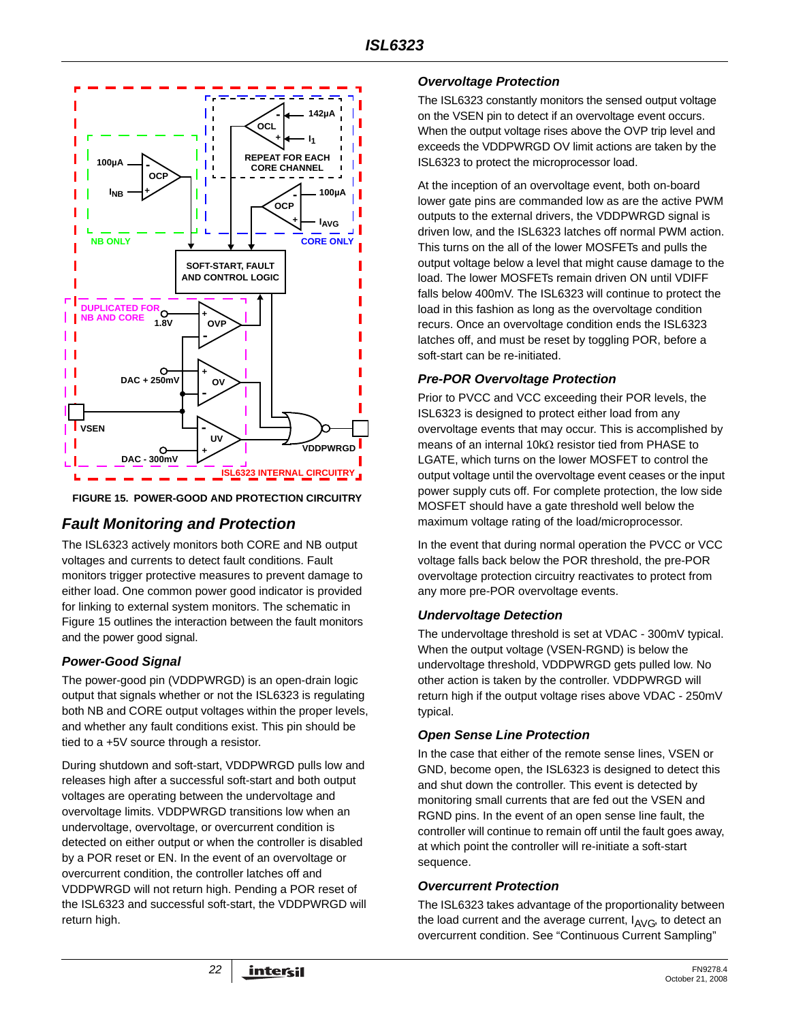

**FIGURE 15. POWER-GOOD AND PROTECTION CIRCUITRY**

# *Fault Monitoring and Protection*

The ISL6323 actively monitors both CORE and NB output voltages and currents to detect fault conditions. Fault monitors trigger protective measures to prevent damage to either load. One common power good indicator is provided for linking to external system monitors. The schematic in Figure 15 outlines the interaction between the fault monitors and the power good signal.

## *Power-Good Signal*

The power-good pin (VDDPWRGD) is an open-drain logic output that signals whether or not the ISL6323 is regulating both NB and CORE output voltages within the proper levels, and whether any fault conditions exist. This pin should be tied to a +5V source through a resistor.

During shutdown and soft-start, VDDPWRGD pulls low and releases high after a successful soft-start and both output voltages are operating between the undervoltage and overvoltage limits. VDDPWRGD transitions low when an undervoltage, overvoltage, or overcurrent condition is detected on either output or when the controller is disabled by a POR reset or EN. In the event of an overvoltage or overcurrent condition, the controller latches off and VDDPWRGD will not return high. Pending a POR reset of the ISL6323 and successful soft-start, the VDDPWRGD will return high.

## *Overvoltage Protection*

The ISL6323 constantly monitors the sensed output voltage on the VSEN pin to detect if an overvoltage event occurs. When the output voltage rises above the OVP trip level and exceeds the VDDPWRGD OV limit actions are taken by the ISL6323 to protect the microprocessor load.

At the inception of an overvoltage event, both on-board lower gate pins are commanded low as are the active PWM outputs to the external drivers, the VDDPWRGD signal is driven low, and the ISL6323 latches off normal PWM action. This turns on the all of the lower MOSFETs and pulls the output voltage below a level that might cause damage to the load. The lower MOSFETs remain driven ON until VDIFF falls below 400mV. The ISL6323 will continue to protect the load in this fashion as long as the overvoltage condition recurs. Once an overvoltage condition ends the ISL6323 latches off, and must be reset by toggling POR, before a soft-start can be re-initiated.

## *Pre-POR Overvoltage Protection*

Prior to PVCC and VCC exceeding their POR levels, the ISL6323 is designed to protect either load from any overvoltage events that may occur. This is accomplished by means of an internal 10kΩ resistor tied from PHASE to LGATE, which turns on the lower MOSFET to control the output voltage until the overvoltage event ceases or the input power supply cuts off. For complete protection, the low side MOSFET should have a gate threshold well below the maximum voltage rating of the load/microprocessor.

In the event that during normal operation the PVCC or VCC voltage falls back below the POR threshold, the pre-POR overvoltage protection circuitry reactivates to protect from any more pre-POR overvoltage events.

### *Undervoltage Detection*

The undervoltage threshold is set at VDAC - 300mV typical. When the output voltage (VSEN-RGND) is below the undervoltage threshold, VDDPWRGD gets pulled low. No other action is taken by the controller. VDDPWRGD will return high if the output voltage rises above VDAC - 250mV typical.

### *Open Sense Line Protection*

In the case that either of the remote sense lines, VSEN or GND, become open, the ISL6323 is designed to detect this and shut down the controller. This event is detected by monitoring small currents that are fed out the VSEN and RGND pins. In the event of an open sense line fault, the controller will continue to remain off until the fault goes away, at which point the controller will re-initiate a soft-start sequence.

### *Overcurrent Protection*

The ISL6323 takes advantage of the proportionality between the load current and the average current,  $I_{AVG}$ , to detect an overcurrent condition. See ["Continuous Current Sampling"](#page-12-4)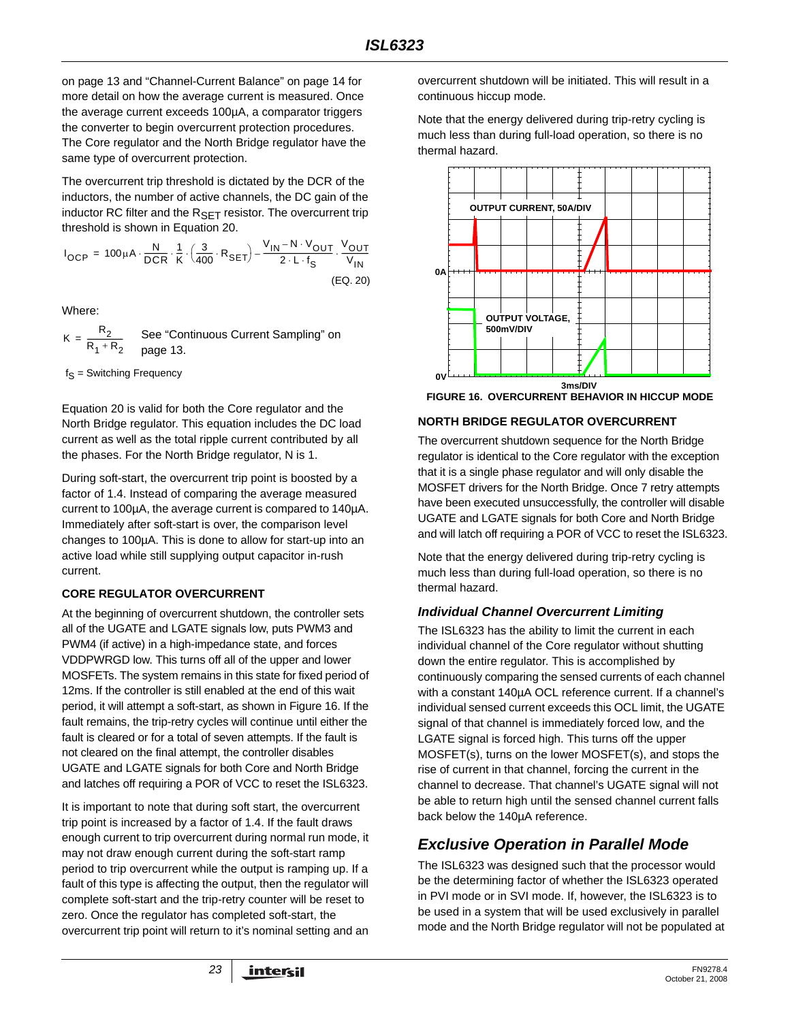[on page 13](#page-12-4) and "Channel-Current Balance" on page 14 for more detail on how the average current is measured. Once the average current exceeds 100µA, a comparator triggers the converter to begin overcurrent protection procedures. The Core regulator and the North Bridge regulator have the same type of overcurrent protection.

The overcurrent trip threshold is dictated by the DCR of the inductors, the number of active channels, the DC gain of the inductor RC filter and the  $R_{\text{SET}}$  resistor. The overcurrent trip threshold is shown in Equation 20.

$$
I_{OCP} = 100 \mu A \cdot \frac{N}{DCR} \cdot \frac{1}{K} \cdot \left(\frac{3}{400} \cdot R_{SET}\right) - \frac{V_{IN} - N \cdot V_{OUT}}{2 \cdot L \cdot f_S} \cdot \frac{V_{OUT}}{V_{IN}}
$$
\n(EQ. 20)

Where:

 $K = \frac{R_2}{R_1}$ See "Continuous Current Sampling" on [page 13.](#page-12-4)

 $f_S$  = Switching Frequency

Equation 20 is valid for both the Core regulator and the North Bridge regulator. This equation includes the DC load current as well as the total ripple current contributed by all the phases. For the North Bridge regulator, N is 1.

During soft-start, the overcurrent trip point is boosted by a factor of 1.4. Instead of comparing the average measured current to 100µA, the average current is compared to 140µA. Immediately after soft-start is over, the comparison level changes to 100µA. This is done to allow for start-up into an active load while still supplying output capacitor in-rush current.

## **CORE REGULATOR OVERCURRENT**

At the beginning of overcurrent shutdown, the controller sets all of the UGATE and LGATE signals low, puts PWM3 and PWM4 (if active) in a high-impedance state, and forces VDDPWRGD low. This turns off all of the upper and lower MOSFETs. The system remains in this state for fixed period of 12ms. If the controller is still enabled at the end of this wait period, it will attempt a soft-start, as shown in Figure 16. If the fault remains, the trip-retry cycles will continue until either the fault is cleared or for a total of seven attempts. If the fault is not cleared on the final attempt, the controller disables UGATE and LGATE signals for both Core and North Bridge and latches off requiring a POR of VCC to reset the ISL6323.

It is important to note that during soft start, the overcurrent trip point is increased by a factor of 1.4. If the fault draws enough current to trip overcurrent during normal run mode, it may not draw enough current during the soft-start ramp period to trip overcurrent while the output is ramping up. If a fault of this type is affecting the output, then the regulator will complete soft-start and the trip-retry counter will be reset to zero. Once the regulator has completed soft-start, the overcurrent trip point will return to it's nominal setting and an

overcurrent shutdown will be initiated. This will result in a continuous hiccup mode.

Note that the energy delivered during trip-retry cycling is much less than during full-load operation, so there is no thermal hazard.



**FIGURE 16. OVERCURRENT BEHAVIOR IN HICCUP MODE**

## **NORTH BRIDGE REGULATOR OVERCURRENT**

The overcurrent shutdown sequence for the North Bridge regulator is identical to the Core regulator with the exception that it is a single phase regulator and will only disable the MOSFET drivers for the North Bridge. Once 7 retry attempts have been executed unsuccessfully, the controller will disable UGATE and LGATE signals for both Core and North Bridge and will latch off requiring a POR of VCC to reset the ISL6323.

Note that the energy delivered during trip-retry cycling is much less than during full-load operation, so there is no thermal hazard.

## *Individual Channel Overcurrent Limiting*

The ISL6323 has the ability to limit the current in each individual channel of the Core regulator without shutting down the entire regulator. This is accomplished by continuously comparing the sensed currents of each channel with a constant 140µA OCL reference current. If a channel's individual sensed current exceeds this OCL limit, the UGATE signal of that channel is immediately forced low, and the LGATE signal is forced high. This turns off the upper MOSFET(s), turns on the lower MOSFET(s), and stops the rise of current in that channel, forcing the current in the channel to decrease. That channel's UGATE signal will not be able to return high until the sensed channel current falls back below the 140µA reference.

# *Exclusive Operation in Parallel Mode*

The ISL6323 was designed such that the processor would be the determining factor of whether the ISL6323 operated in PVI mode or in SVI mode. If, however, the ISL6323 is to be used in a system that will be used exclusively in parallel mode and the North Bridge regulator will not be populated at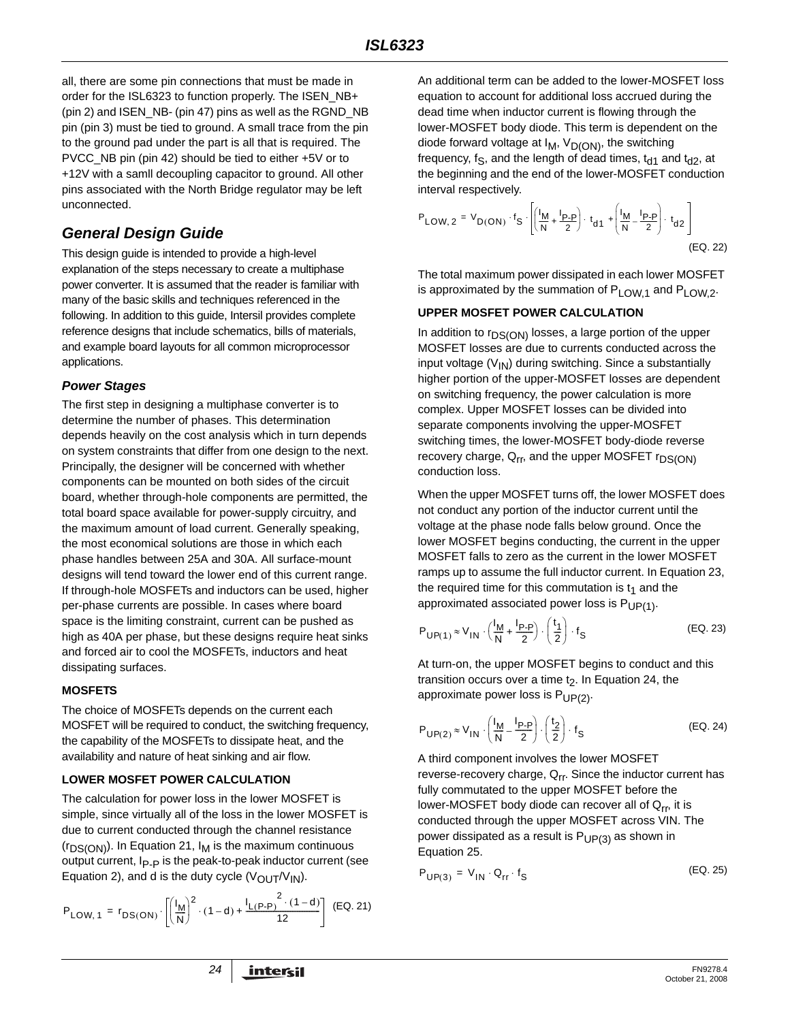all, there are some pin connections that must be made in order for the ISL6323 to function properly. The ISEN\_NB+ (pin 2) and ISEN\_NB- (pin 47) pins as well as the RGND\_NB pin (pin 3) must be tied to ground. A small trace from the pin to the ground pad under the part is all that is required. The PVCC\_NB pin (pin 42) should be tied to either +5V or to +12V with a samll decoupling capacitor to ground. All other pins associated with the North Bridge regulator may be left unconnected.

# *General Design Guide*

This design guide is intended to provide a high-level explanation of the steps necessary to create a multiphase power converter. It is assumed that the reader is familiar with many of the basic skills and techniques referenced in the following. In addition to this guide, Intersil provides complete reference designs that include schematics, bills of materials, and example board layouts for all common microprocessor applications.

## *Power Stages*

The first step in designing a multiphase converter is to determine the number of phases. This determination depends heavily on the cost analysis which in turn depends on system constraints that differ from one design to the next. Principally, the designer will be concerned with whether components can be mounted on both sides of the circuit board, whether through-hole components are permitted, the total board space available for power-supply circuitry, and the maximum amount of load current. Generally speaking, the most economical solutions are those in which each phase handles between 25A and 30A. All surface-mount designs will tend toward the lower end of this current range. If through-hole MOSFETs and inductors can be used, higher per-phase currents are possible. In cases where board space is the limiting constraint, current can be pushed as high as 40A per phase, but these designs require heat sinks and forced air to cool the MOSFETs, inductors and heat dissipating surfaces.

### **MOSFETS**

The choice of MOSFETs depends on the current each MOSFET will be required to conduct, the switching frequency, the capability of the MOSFETs to dissipate heat, and the availability and nature of heat sinking and air flow.

### **LOWER MOSFET POWER CALCULATION**

The calculation for power loss in the lower MOSFET is simple, since virtually all of the loss in the lower MOSFET is due to current conducted through the channel resistance  $(r_{DS(ON)})$ . In Equation 21,  $I_M$  is the maximum continuous output current, I<sub>P-P</sub> is the peak-to-peak inductor current (see Equation 2), and d is the duty cycle  $(V_{\text{OUT}}/V_{\text{IN}})$ .

$$
P_{LOW, 1} = r_{DS(ON)} \cdot \left[ \left( \frac{I_M}{N} \right)^2 \cdot (1 - d) + \frac{I_{L(P-P)}^2 \cdot (1 - d)}{12} \right] \tag{Eq. 21}
$$

An additional term can be added to the lower-MOSFET loss equation to account for additional loss accrued during the dead time when inductor current is flowing through the lower-MOSFET body diode. This term is dependent on the diode forward voltage at  $I_M$ ,  $V_{D(ON)}$ , the switching frequency, f<sub>S</sub>, and the length of dead times,  $t_{d1}$  and  $t_{d2}$ , at the beginning and the end of the lower-MOSFET conduction interval respectively.

(EQ. 22) PLOW 2, VD ON ( ) <sup>f</sup> S I M N ------ <sup>I</sup> P-P <sup>2</sup> <sup>+</sup> ----------- ⎝ ⎠ ⎜ ⎟ ⎛ ⎞ t d1 <sup>⋅</sup> <sup>I</sup> M N ------ <sup>I</sup> P-P <sup>2</sup> – ----------- ⎝ ⎠ ⎜ ⎟ ⎜ ⎟ ⎛ ⎞ t d2 <sup>+</sup> <sup>⋅</sup> <sup>=</sup> ⋅ ⋅

The total maximum power dissipated in each lower MOSFET is approximated by the summation of  $P_{LOW,1}$  and  $P_{LOW,2}$ .

### **UPPER MOSFET POWER CALCULATION**

In addition to  $r_{DS(ON)}$  losses, a large portion of the upper MOSFET losses are due to currents conducted across the input voltage  $(V_{1N})$  during switching. Since a substantially higher portion of the upper-MOSFET losses are dependent on switching frequency, the power calculation is more complex. Upper MOSFET losses can be divided into separate components involving the upper-MOSFET switching times, the lower-MOSFET body-diode reverse recovery charge,  $Q_{rr}$ , and the upper MOSFET  $r_{DS(ON)}$ conduction loss.

When the upper MOSFET turns off, the lower MOSFET does not conduct any portion of the inductor current until the voltage at the phase node falls below ground. Once the lower MOSFET begins conducting, the current in the upper MOSFET falls to zero as the current in the lower MOSFET ramps up to assume the full inductor current. In Equation 23, the required time for this commutation is  $t_1$  and the approximated associated power loss is  $P_{UP(1)}$ .

$$
P_{UP(1)} \approx V_{IN} \cdot \left(\frac{I_M}{N} + \frac{I_{P-P}}{2}\right) \cdot \left(\frac{t_1}{2}\right) \cdot f_S
$$
 (EQ. 23)

At turn-on, the upper MOSFET begins to conduct and this transition occurs over a time  $t<sub>2</sub>$ . In Equation 24, the approximate power loss is  $P_{UP(2)}$ .

$$
P_{UP(2)} \approx V_{1N} \cdot \left(\frac{I_M}{N} - \frac{I_{P-P}}{2}\right) \cdot \left(\frac{t_2}{2}\right) \cdot f_S
$$
 (EQ. 24)

A third component involves the lower MOSFET reverse-recovery charge,  $Q_{rr}$ . Since the inductor current has fully commutated to the upper MOSFET before the lower-MOSFET body diode can recover all of  $Q_{rr}$ , it is conducted through the upper MOSFET across VIN. The power dissipated as a result is  $P_{UP(3)}$  as shown in Equation 25.

$$
P_{UP(3)} = V_{IN} \cdot Q_{rr} \cdot f_S
$$
 (EQ. 25)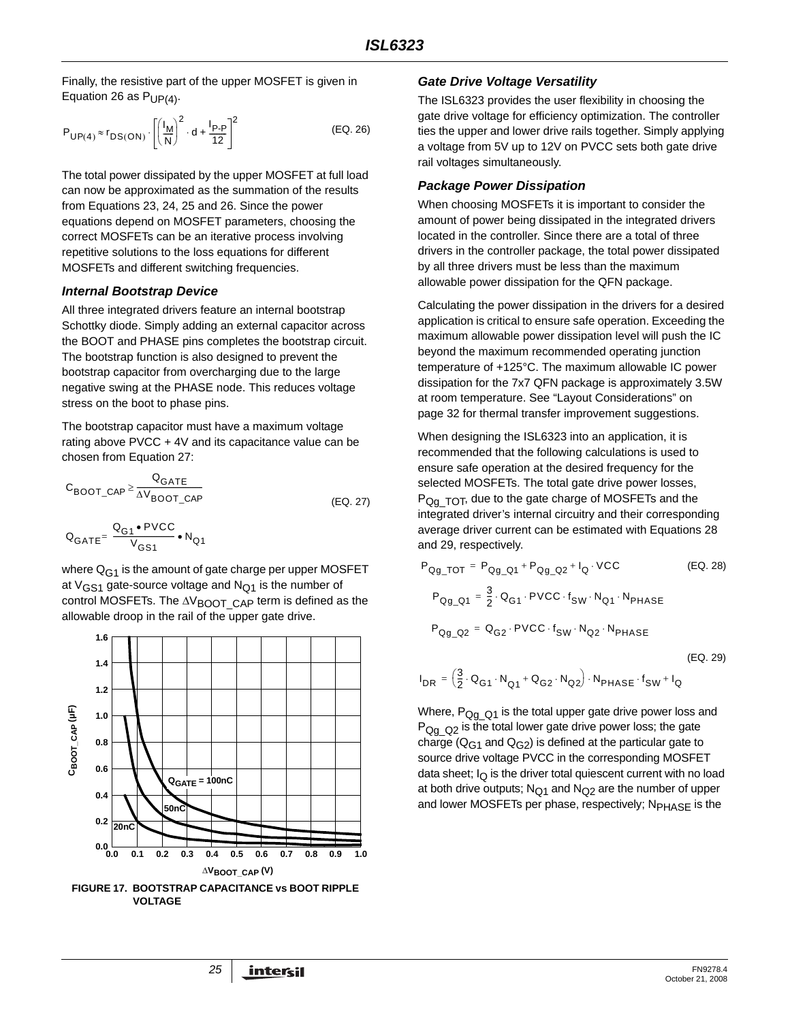Finally, the resistive part of the upper MOSFET is given in Equation 26 as  $P_{UP(4)}$ .

$$
P_{UP(4)} \approx r_{DS(ON)} \cdot \left[ \left( \frac{I_M}{N} \right)^2 \cdot d + \frac{I_{P-P}}{12} \right]^2 \tag{EQ.26}
$$

The total power dissipated by the upper MOSFET at full load can now be approximated as the summation of the results from Equations 23, 24, 25 and 26. Since the power equations depend on MOSFET parameters, choosing the correct MOSFETs can be an iterative process involving repetitive solutions to the loss equations for different MOSFETs and different switching frequencies.

#### *Internal Bootstrap Device*

All three integrated drivers feature an internal bootstrap Schottky diode. Simply adding an external capacitor across the BOOT and PHASE pins completes the bootstrap circuit. The bootstrap function is also designed to prevent the bootstrap capacitor from overcharging due to the large negative swing at the PHASE node. This reduces voltage stress on the boot to phase pins.

The bootstrap capacitor must have a maximum voltage rating above PVCC + 4V and its capacitance value can be chosen from Equation [27:](#page-24-0)

$$
C_{\text{BOOT}\_\text{CAP}} \ge \frac{Q_{\text{GATE}}}{\Delta V_{\text{BOOT}\_\text{CAP}}}
$$
 (EQ. 27)

$$
\mathbf{Q}_{\text{GATE}} \text{=}\ \frac{\mathbf{Q}_{\text{G1}} \bullet \text{PVCC}}{V_{\text{GS1}}} \bullet \text{N}_{\text{Q1}}
$$

where  $Q_{G1}$  is the amount of gate charge per upper MOSFET at  $V_{GS1}$  gate-source voltage and  $N_{O1}$  is the number of control MOSFETs. The  $\Delta V_{\text{BOOT}}$  CAP term is defined as the allowable droop in the rail of the upper gate drive.



*Gate Drive Voltage Versatility*

The ISL6323 provides the user flexibility in choosing the gate drive voltage for efficiency optimization. The controller ties the upper and lower drive rails together. Simply applying a voltage from 5V up to 12V on PVCC sets both gate drive rail voltages simultaneously.

#### *Package Power Dissipation*

When choosing MOSFETs it is important to consider the amount of power being dissipated in the integrated drivers located in the controller. Since there are a total of three drivers in the controller package, the total power dissipated by all three drivers must be less than the maximum allowable power dissipation for the QFN package.

Calculating the power dissipation in the drivers for a desired application is critical to ensure safe operation. Exceeding the maximum allowable power dissipation level will push the IC beyond the maximum recommended operating junction temperature of +125°C. The maximum allowable IC power dissipation for the 7x7 QFN package is approximately 3.5W at room temperature. See ["Layout Considerations" on](#page-31-0)  [page 32](#page-31-0) for thermal transfer improvement suggestions.

<span id="page-24-0"></span>When designing the ISL6323 into an application, it is recommended that the following calculations is used to ensure safe operation at the desired frequency for the selected MOSFETs. The total gate drive power losses,  $P_{\text{Og}}$   $T_{\text{OT}}$ , due to the gate charge of MOSFETs and the integrated driver's internal circuitry and their corresponding average driver current can be estimated with Equations 28 and 29, respectively.

$$
P_{Qg\_TOT} = P_{Qg\_Q1} + P_{Qg\_Q2} + I_Q \cdot VCC
$$
 (EQ. 28)  
\n
$$
P_{Qg\_Q1} = \frac{3}{2} \cdot Q_{G1} \cdot PVCC \cdot f_{SW} \cdot N_{Q1} \cdot N_{PHASE}
$$
  
\n
$$
P_{Qg\_Q2} = Q_{G2} \cdot PVCC \cdot f_{SW} \cdot N_{Q2} \cdot N_{PHASE}
$$

(EQ. 29)

$$
I_{DR} = \left(\frac{3}{2} \cdot Q_{G1} \cdot N_{Q1} + Q_{G2} \cdot N_{Q2}\right) \cdot N_{PHASE} \cdot f_{SW} + I_Q
$$

Where,  $P_{Qq}$   $_{Q1}$  is the total upper gate drive power loss and  $P_{Qq\ Q2}$  is the total lower gate drive power loss; the gate charge ( $Q_{G1}$  and  $Q_{G2}$ ) is defined at the particular gate to source drive voltage PVCC in the corresponding MOSFET data sheet;  $I<sub>O</sub>$  is the driver total quiescent current with no load at both drive outputs;  $N_{Q1}$  and  $N_{Q2}$  are the number of upper and lower MOSFETs per phase, respectively; N<sub>PHASF</sub> is the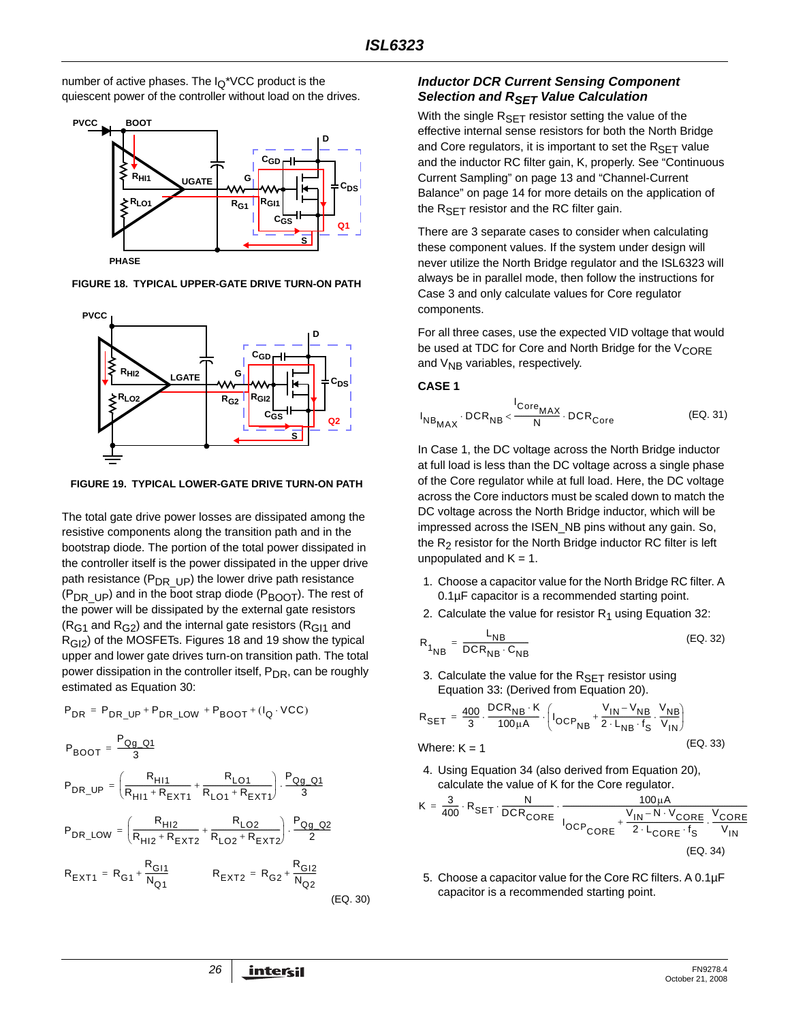number of active phases. The  $I<sub>Q</sub><sup>*</sup> VCC$  product is the quiescent power of the controller without load on the drives.



**FIGURE 18. TYPICAL UPPER-GATE DRIVE TURN-ON PATH**



**FIGURE 19. TYPICAL LOWER-GATE DRIVE TURN-ON PATH**

The total gate drive power losses are dissipated among the resistive components along the transition path and in the bootstrap diode. The portion of the total power dissipated in the controller itself is the power dissipated in the upper drive path resistance ( $P_{DR\_UP}$ ) the lower drive path resistance ( $P_{DR~UP}$ ) and in the boot strap diode ( $P_{BOOT}$ ). The rest of the power will be dissipated by the external gate resistors  $(R<sub>G1</sub>$  and  $R<sub>G2</sub>$ ) and the internal gate resistors ( $R<sub>G11</sub>$  and R<sub>GI2</sub>) of the MOSFETs. Figures 18 and 19 show the typical upper and lower gate drives turn-on transition path. The total power dissipation in the controller itself, P<sub>DR</sub>, can be roughly estimated as Equation [30](#page-25-2):

$$
P_{DR} = P_{DR\_UP} + P_{DR\_LOW} + P_{BOOT} + (I_Q \cdot VCC)
$$
\n
$$
P_{BOOT} = \frac{P_{Qg\_Q1}}{3}
$$
\n
$$
P_{DR\_UP} = \left(\frac{R_{H11}}{R_{H11} + R_{EXT1}} + \frac{R_{LO1}}{R_{LO1} + R_{EXT1}}\right) \cdot \frac{P_{Qg\_Q1}}{3}
$$
\n
$$
P_{DR\_LOW} = \left(\frac{R_{H12}}{R_{H12} + R_{EXT2}} + \frac{R_{LO2}}{R_{LO2} + R_{EXT2}}\right) \cdot \frac{P_{Qg\_Q2}}{2}
$$
\n
$$
R_{EXT1} = R_{G1} + \frac{R_{GI1}}{N_{Q1}} \qquad R_{EXT2} = R_{G2} + \frac{R_{GI2}}{N_{Q2}} \tag{EQ. 30}
$$

## *Inductor DCR Current Sensing Component Selection and RSET Value Calculation*

With the single  $R_{SET}$  resistor setting the value of the effective internal sense resistors for both the North Bridge and Core regulators, it is important to set the  $R_{\text{SET}}$  value and the inductor RC filter gain, K, properly. See ["Continuous](#page-12-4)  [Current Sampling" on page 13](#page-12-4) and "Channel-Current Balance" on page 14 for more details on the application of the  $R_{\text{SFT}}$  resistor and the RC filter gain.

There are 3 separate cases to consider when calculating these component values. If the system under design will never utilize the North Bridge regulator and the ISL6323 will always be in parallel mode, then follow the instructions for Case 3 and only calculate values for Core regulator components.

For all three cases, use the expected VID voltage that would be used at TDC for Core and North Bridge for the  $V_{\text{CORF}}$ and  $V_{\text{NB}}$  variables, respectively.

#### **CASE 1**

$$
I_{NB_{MAX}} \cdot DCR_{NB} < \frac{I_{Core_{MAX}}}{N} \cdot DCR_{Core}
$$
 (EQ. 31)

In Case 1, the DC voltage across the North Bridge inductor at full load is less than the DC voltage across a single phase of the Core regulator while at full load. Here, the DC voltage across the Core inductors must be scaled down to match the DC voltage across the North Bridge inductor, which will be impressed across the ISEN\_NB pins without any gain. So, the  $R_2$  resistor for the North Bridge inductor RC filter is left unpopulated and  $K = 1$ .

- 1. Choose a capacitor value for the North Bridge RC filter. A 0.1µF capacitor is a recommended starting point.
- <span id="page-25-3"></span>2. Calculate the value for resistor  $R_1$  using Equation [32:](#page-25-3)

$$
R_{1}_{NB} = \frac{L_{NB}}{DCR_{NB} \cdot C_{NB}}
$$
 (EQ. 32)

3. Calculate the value for the  $R_{\text{SFT}}$  resistor using Equation [33](#page-25-0): (Derived from Equation 20).

$$
R_{\text{SET}} = \frac{400}{3} \cdot \frac{\text{DCR}_{\text{NB}} \cdot \text{K}}{100 \mu \text{A}} \cdot \left( I_{\text{OCP}_{\text{NB}}} + \frac{V_{\text{IN}} - V_{\text{NB}}}{2 \cdot L_{\text{NB}} \cdot f_{\text{S}}} \cdot \frac{V_{\text{NB}}}{V_{\text{IN}}} \right)
$$

Where: 
$$
K = 1
$$
 (EQ. 33)

<span id="page-25-0"></span>4. Using Equation [34](#page-25-1) (also derived from Equation 20), calculate the value of K for the Core regulator.

$$
K = \frac{3}{400} \cdot R_{SET} \cdot \frac{N}{DCR_{CORE}} \cdot \frac{100 \mu A}{100 P_{CORE} + \frac{V_{IN} - N \cdot V_{CORE}}{2 \cdot L_{CORE} \cdot f_S} \cdot \frac{V_{CORE}}{V_{IN}}}
$$
\n(EQ. 34)

<span id="page-25-2"></span><span id="page-25-1"></span>5. Choose a capacitor value for the Core RC filters. A 0.1µF capacitor is a recommended starting point.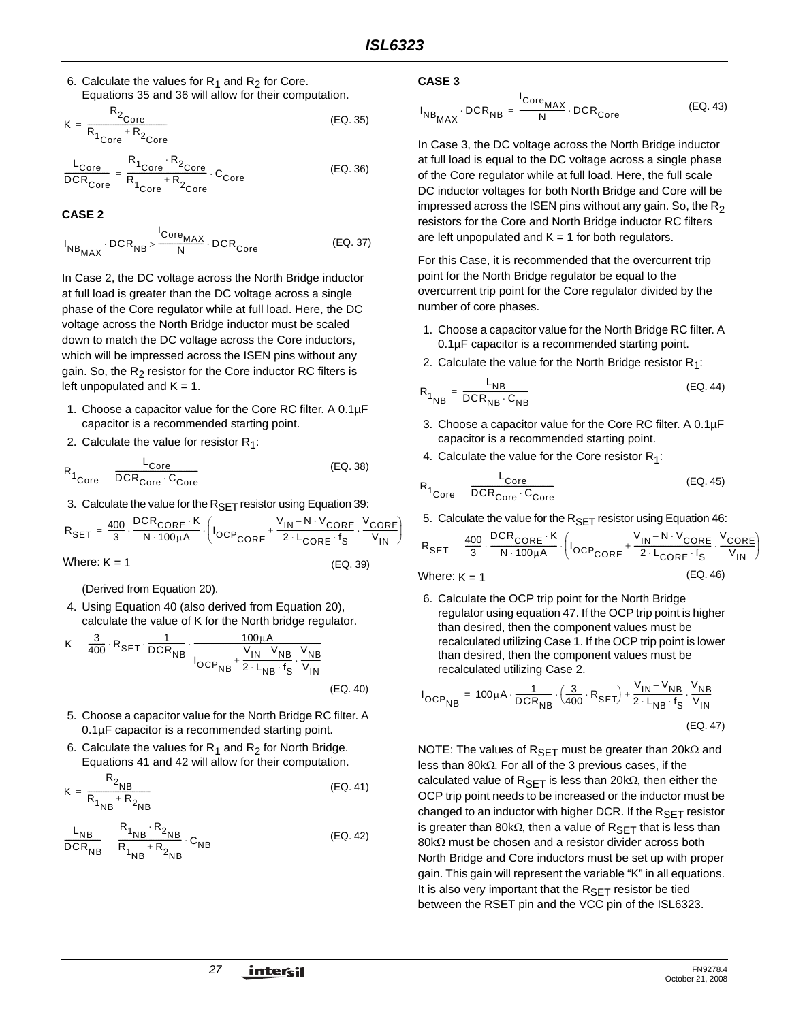6. Calculate the values for  $R_1$  and  $R_2$  for Core. Equations [35](#page-26-4) and [36](#page-26-5) will allow for their computation.

$$
K = \frac{R_{2_{\text{Core}}}}{R_{1_{\text{Core}}} + R_{2_{\text{Core}}}}
$$
(EQ. 35)

$$
\frac{L_{Core}}{DCR_{Core}} = \frac{R_1_{Core} \cdot R_2_{Core}}{R_1_{Core} + R_2_{Core}} \cdot C_{Core}
$$
 (EQ. 36)

**CASE 2**

$$
I_{NB_{MAX}} \cdot DCR_{NB} > \frac{I_{Core_{MAX}}}{N} \cdot DCR_{Core}
$$
 (EQ. 37)

In Case 2, the DC voltage across the North Bridge inductor at full load is greater than the DC voltage across a single phase of the Core regulator while at full load. Here, the DC voltage across the North Bridge inductor must be scaled down to match the DC voltage across the Core inductors, which will be impressed across the ISEN pins without any gain. So, the  $R<sub>2</sub>$  resistor for the Core inductor RC filters is left unpopulated and  $K = 1$ .

- 1. Choose a capacitor value for the Core RC filter. A 0.1µF capacitor is a recommended starting point.
- 2. Calculate the value for resistor  $R_1$ :

$$
R_{1_{\text{Core}}} = \frac{L_{\text{Core}}}{DCR_{\text{Core}} \cdot C_{\text{Core}}}
$$
 (EQ. 38)

3. Calculate the value for the  $R_{\text{SET}}$  resistor using Equation [39:](#page-26-0)

$$
R_{\text{SET}} = \frac{400}{3} \cdot \frac{\text{DCR}_{\text{CORE}} \cdot \text{K}}{N \cdot 100 \mu \text{A}} \cdot \left( I_{\text{OCP}_{\text{CORE}}} + \frac{V_{\text{IN}} - N \cdot V_{\text{CORE}}}{2 \cdot L_{\text{CORE}} \cdot f_{\text{S}}} \cdot \frac{V_{\text{CORE}}}{V_{\text{IN}}}\right)
$$
  
Where: K = 1 (EQ. 39)

(Derived from Equation 20).

4. Using Equation [40](#page-26-1) (also derived from Equation 20), calculate the value of K for the North bridge regulator.

$$
K = \frac{3}{400} \cdot R_{\text{SET}} \cdot \frac{1}{DCR_{\text{NB}}}
$$

$$
I_{OCP_{\text{NB}}} + \frac{V_{\text{IN}} - V_{\text{NB}}}{2 \cdot L_{\text{NB}} \cdot f_{\text{S}}} \cdot \frac{V_{\text{NB}}}{V_{\text{IN}}}
$$
  
(EQ. 40)

- 5. Choose a capacitor value for the North Bridge RC filter. A 0.1µF capacitor is a recommended starting point.
- 6. Calculate the values for  $R_1$  and  $R_2$  for North Bridge. Equations [41](#page-26-2) and [42](#page-26-3) will allow for their computation.

$$
K = \frac{R_{2_{\text{NB}}}}{R_{1_{\text{NB}}} + R_{2_{\text{NB}}}}
$$
(EQ. 41)

$$
\frac{L_{NB}}{DCR_{NB}} = \frac{R_{1_{NB}} \cdot R_{2_{NB}}}{R_{1_{NB}} + R_{2_{NB}}} \cdot C_{NB}
$$
 (EQ. 42)

#### **CASE 3**

<span id="page-26-4"></span>
$$
I_{NB_{MAX}} \cdot DCR_{NB} = \frac{I_{Core_{MAX}}}{N} \cdot DCR_{Core}
$$
 (EQ. 43)

<span id="page-26-5"></span>In Case 3, the DC voltage across the North Bridge inductor at full load is equal to the DC voltage across a single phase of the Core regulator while at full load. Here, the full scale DC inductor voltages for both North Bridge and Core will be impressed across the ISEN pins without any gain. So, the  $R_2$ resistors for the Core and North Bridge inductor RC filters are left unpopulated and  $K = 1$  for both regulators.

For this Case, it is recommended that the overcurrent trip point for the North Bridge regulator be equal to the overcurrent trip point for the Core regulator divided by the number of core phases.

- 1. Choose a capacitor value for the North Bridge RC filter. A 0.1µF capacitor is a recommended starting point.
- 2. Calculate the value for the North Bridge resistor  $R_1$ :

$$
R_{1}_{NB} = \frac{L_{NB}}{DCR_{NB} \cdot C_{NB}}
$$
 (EQ. 44)

- 3. Choose a capacitor value for the Core RC filter. A 0.1µF capacitor is a recommended starting point.
- 4. Calculate the value for the Core resistor  $R_1$ :

$$
R_{1_{\text{Core}}} = \frac{L_{\text{Core}}}{DCR_{\text{Core}} \cdot C_{\text{Core}}}
$$
 (EQ. 45)

5. Calculate the value for the  $R_{\text{SET}}$  resistor using Equation [46:](#page-26-6)

<span id="page-26-0"></span>
$$
R_{\text{SET}} = \frac{400}{3} \cdot \frac{\text{DCR}_{\text{CORE}} \cdot \text{K}}{N \cdot 100 \mu \text{A}} \cdot \left( I_{\text{OCP}_{\text{CORE}}} + \frac{V_{\text{IN}} - N \cdot V_{\text{CORE}}}{2 \cdot L_{\text{CORE}} \cdot f_{\text{S}}} \cdot \frac{V_{\text{CORE}}}{V_{\text{IN}}}\right)
$$
  
Where: K = 1 (EQ. 46)

<span id="page-26-6"></span>6. Calculate the OCP trip point for the North Bridge regulator using equation 47. If the OCP trip point is higher than desired, then the component values must be recalculated utilizing Case 1. If the OCP trip point is lower than desired, then the component values must be recalculated utilizing Case 2.

<span id="page-26-1"></span>
$$
I_{OCP_{NB}} = 100 \mu A \cdot \frac{1}{DCR_{NB}} \cdot \left(\frac{3}{400} \cdot R_{SET}\right) + \frac{V_{IN} - V_{NB}}{2 \cdot L_{NB} \cdot f_S} \cdot \frac{V_{NB}}{V_{IN}}
$$
\n(EQ. 47)

<span id="page-26-3"></span><span id="page-26-2"></span>NOTE: The values of R<sub>SET</sub> must be greater than 20kΩ and less than 80kΩ. For all of the 3 previous cases, if the calculated value of  $R_{\text{SET}}$  is less than 20k $\Omega$ , then either the OCP trip point needs to be increased or the inductor must be changed to an inductor with higher DCR. If the  $R_{\mathsf{SET}}$  resistor is greater than 80kΩ, then a value of  $R_{\sf SET}$  that is less than 80kΩ must be chosen and a resistor divider across both North Bridge and Core inductors must be set up with proper gain. This gain will represent the variable "K" in all equations. It is also very important that the  $R_{\sf SET}$  resistor be tied between the RSET pin and the VCC pin of the ISL6323.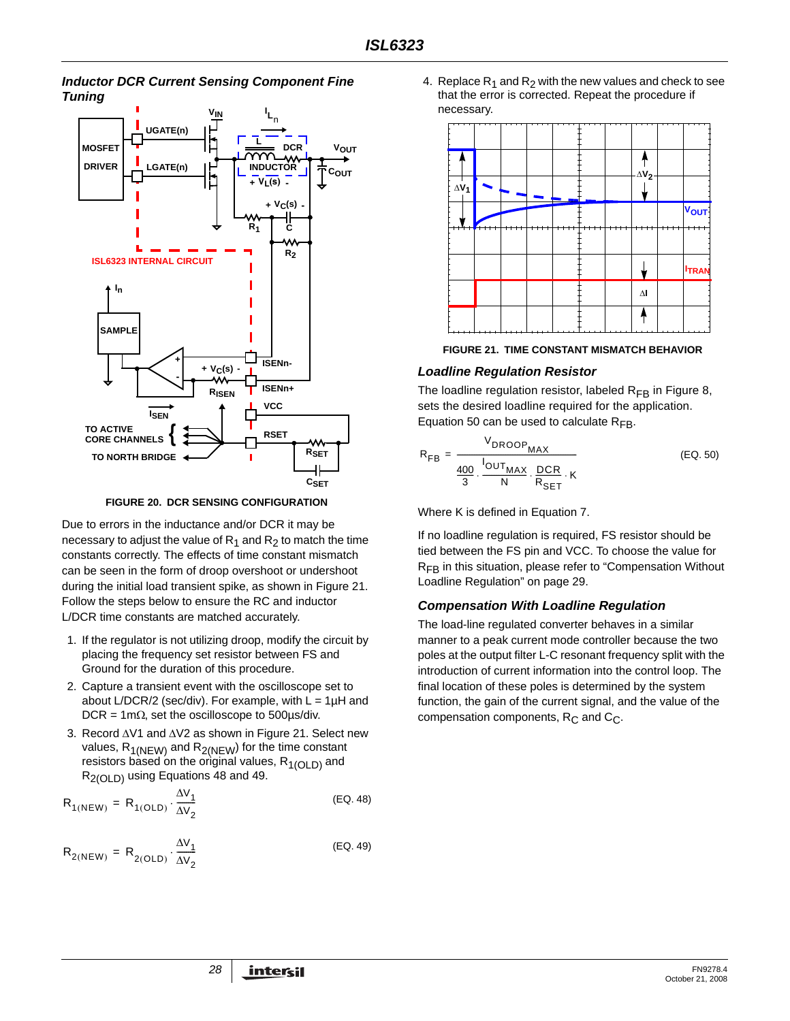## *Inductor DCR Current Sensing Component Fine Tuning*



**FIGURE 20. DCR SENSING CONFIGURATION**

Due to errors in the inductance and/or DCR it may be necessary to adjust the value of  $R_1$  and  $R_2$  to match the time constants correctly. The effects of time constant mismatch can be seen in the form of droop overshoot or undershoot during the initial load transient spike, as shown in Figure 21. Follow the steps below to ensure the RC and inductor L/DCR time constants are matched accurately.

- 1. If the regulator is not utilizing droop, modify the circuit by placing the frequency set resistor between FS and Ground for the duration of this procedure.
- 2. Capture a transient event with the oscilloscope set to about L/DCR/2 (sec/div). For example, with  $L = 1\mu H$  and DCR = 1m $\Omega$ , set the oscilloscope to 500 $\mu$ s/div.
- 3. Record ΔV1 and ΔV2 as shown in Figure 21. Select new values,  $R_{1(NEW)}$  and  $R_{2(NEW)}$  for the time constant resistors based on the original values,  $R_{1(OLD)}$  and R2(OLD) using Equations 48 and 49.

$$
R_{1(NEW)} = R_{1(OLD)} \cdot \frac{\Delta V_1}{\Delta V_2}
$$
 (EQ. 48)

$$
R_{2(NEW)} = R_{2(OLD)} \cdot \frac{\Delta V_1}{\Delta V_2}
$$
 (EQ. 49)

4. Replace  $R_1$  and  $R_2$  with the new values and check to see that the error is corrected. Repeat the procedure if necessary.



**FIGURE 21. TIME CONSTANT MISMATCH BEHAVIOR**

## *Loadline Regulation Resistor*

The loadline regulation resistor, labeled  $R_{FB}$  in Figure 8, sets the desired loadline required for the application. Equation 50 can be used to calculate  $R_{FB}$ .

$$
R_{FB} = \frac{V_{DROOP_{MAX}}}{\frac{400}{3} \cdot \frac{I_{OUT_{MAX}}}{N} \cdot \frac{DCR}{R_{SET}} \cdot K}
$$
 (EQ. 50)

Where K is defined in Equation [7.](#page-12-3)

If no loadline regulation is required, FS resistor should be tied between the FS pin and VCC. To choose the value for R<sub>FB</sub> in this situation, please refer to "Compensation Without [Loadline Regulation" on page 29.](#page-28-0)

## *Compensation With Loadline Regulation*

The load-line regulated converter behaves in a similar manner to a peak current mode controller because the two poles at the output filter L-C resonant frequency split with the introduction of current information into the control loop. The final location of these poles is determined by the system function, the gain of the current signal, and the value of the compensation components,  $R_C$  and  $C_C$ .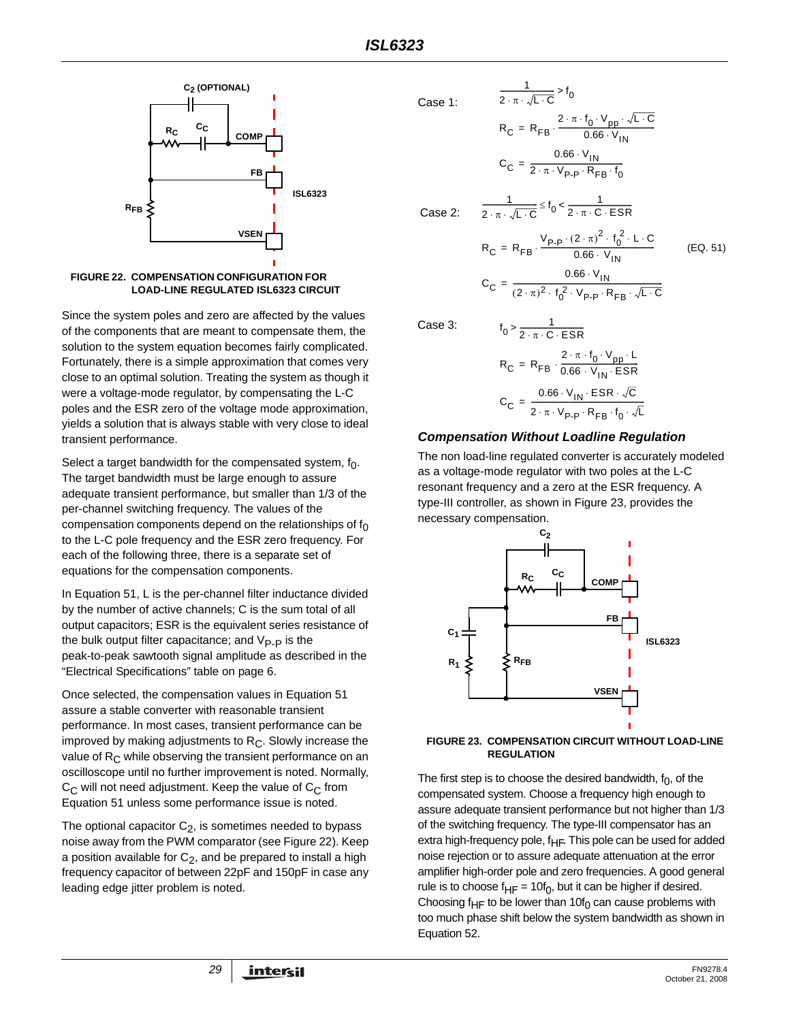



Since the system poles and zero are affected by the values of the components that are meant to compensate them, the solution to the system equation becomes fairly complicated. Fortunately, there is a simple approximation that comes very close to an optimal solution. Treating the system as though it were a voltage-mode regulator, by compensating the L-C poles and the ESR zero of the voltage mode approximation, yields a solution that is always stable with very close to ideal transient performance.

Select a target bandwidth for the compensated system,  $f_0$ . The target bandwidth must be large enough to assure adequate transient performance, but smaller than 1/3 of the per-channel switching frequency. The values of the compensation components depend on the relationships of  $f_0$ to the L-C pole frequency and the ESR zero frequency. For each of the following three, there is a separate set of equations for the compensation components.

In Equation [51,](#page-28-1) L is the per-channel filter inductance divided by the number of active channels; C is the sum total of all output capacitors; ESR is the equivalent series resistance of the bulk output filter capacitance; and  $V_{\text{P-P}}$  is the peak-to-peak sawtooth signal amplitude as described in the "Electrical Specifications" table on [page 6](#page-5-1).

Once selected, the compensation values in Equation [51](#page-28-1)  assure a stable converter with reasonable transient performance. In most cases, transient performance can be improved by making adjustments to  $R<sub>C</sub>$ . Slowly increase the value of  $R<sub>C</sub>$  while observing the transient performance on an oscilloscope until no further improvement is noted. Normally,  $C_{\text{C}}$  will not need adjustment. Keep the value of  $C_{\text{C}}$  from Equation [51](#page-28-1) unless some performance issue is noted.

The optional capacitor  $C_2$ , is sometimes needed to bypass noise away from the PWM comparator (see Figure 22). Keep a position available for  $C_2$ , and be prepared to install a high frequency capacitor of between 22pF and 150pF in case any leading edge jitter problem is noted.

Case 1:

$$
f_{\rm{max}}
$$

$$
Case 2:
$$

$$
R_C = R_{FB} \cdot \frac{P - P}{0.66 \cdot V_{IN}}
$$
  

$$
C_C = \frac{0.66 \cdot V_{IN}}{(2 \cdot \pi)^2 \cdot f_0^2 \cdot V_{P-P} \cdot R_{FB} \cdot \sqrt{L \cdot C}}
$$

 $R_C = R_{FB} \cdot \frac{V_{P-P} \cdot (2 \cdot \pi)^2 \cdot f_0^2 \cdot L \cdot C}{0.66 \cdot V_{\text{tot}}}$ 

<span id="page-28-1"></span>(EQ. 51)

 $R_C = R_{FB} \cdot \frac{2 \cdot \pi \cdot f_0 \cdot V_{pp} \cdot \sqrt{L \cdot C}}{0.66 \cdot V_{1N}}$ 

 $\frac{1}{2 \cdot \pi \cdot \sqrt{L \cdot C}} > f_0$ 

 $C_C = \frac{0.66 \cdot V_{IN}}{2 \cdot \pi \cdot V_{IN} \cdot R}$  $=\frac{1}{2 \cdot \pi \cdot V_{p-p} \cdot R_{FB} \cdot f_0}$ 

 $\frac{1}{2 \cdot \pi \cdot \sqrt{L \cdot C}} \leq f_0 < \frac{1}{2 \cdot \pi \cdot C \cdot ESR}$ 

Case 3:

$$
f_0 > \frac{1}{2 \cdot \pi \cdot C \cdot ESR}
$$
  
\n
$$
R_C = R_{FB} \cdot \frac{2 \cdot \pi \cdot f_0 \cdot V_{pp} \cdot L}{0.66 \cdot V_{IN} \cdot ESR}
$$
  
\n
$$
C_C = \frac{0.66 \cdot V_{IN} \cdot ESR \cdot \sqrt{C}}{2 \cdot \pi \cdot V_{p.p} \cdot R_{FB} \cdot f_0 \cdot \sqrt{L}}
$$

#### <span id="page-28-0"></span>*Compensation Without Loadline Regulation*

The non load-line regulated converter is accurately modeled as a voltage-mode regulator with two poles at the L-C resonant frequency and a zero at the ESR frequency. A type-III controller, as shown in Figure [23](#page-28-2), provides the necessary compensation.



#### <span id="page-28-2"></span>**FIGURE 23. COMPENSATION CIRCUIT WITHOUT LOAD-LINE REGULATION**

The first step is to choose the desired bandwidth,  $f_0$ , of the compensated system. Choose a frequency high enough to assure adequate transient performance but not higher than 1/3 of the switching frequency. The type-III compensator has an extra high-frequency pole,  $f_{HF}$ . This pole can be used for added noise rejection or to assure adequate attenuation at the error amplifier high-order pole and zero frequencies. A good general rule is to choose  $f_{HF} = 10f_0$ , but it can be higher if desired. Choosing f<sub>HF</sub> to be lower than 10f<sub>0</sub> can cause problems with too much phase shift below the system bandwidth as shown in Equation [52.](#page-29-0)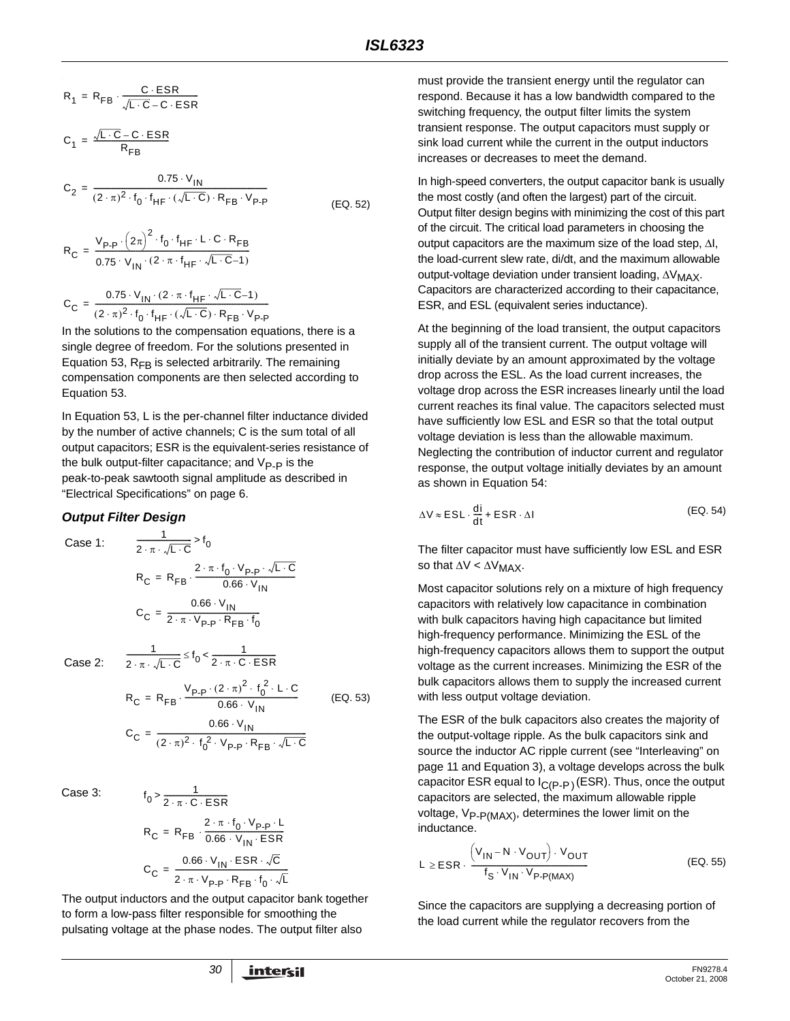$$
R_1 = R_{FB} \cdot \frac{C \cdot ESR}{\sqrt{L \cdot C} - C \cdot ESR}
$$

$$
C_1 = \frac{\sqrt{L \cdot C} - C \cdot ESR}{R_{FB}}
$$

$$
C_2 = \frac{0.75 \cdot V_{IN}}{(2 \cdot \pi)^2 \cdot f_0 \cdot f_{HF} \cdot (\sqrt{L \cdot C}) \cdot R_{FB} \cdot V_{P\cdot P}}
$$
(EQ. 52)

$$
R_C = \frac{V_{P-P} \cdot (2\pi)^2 \cdot f_0 \cdot f_{HF} \cdot L \cdot C \cdot R_{FB}}{0.75 \cdot V_{IN} \cdot (2 \cdot \pi \cdot f_{HF} \cdot \sqrt{L \cdot C} - 1)}
$$

$$
C_C = \frac{0.75 \cdot V_{IN} \cdot (2 \cdot \pi \cdot f_{HF} \cdot \sqrt{L \cdot C} - 1)}{(2 \cdot \pi)^2 \cdot f_0 \cdot f_{HF} \cdot (\sqrt{L \cdot C}) \cdot R_{FB} \cdot V_{P\cdot P}}
$$

In the solutions to the compensation equations, there is a single degree of freedom. For the solutions presented in Equation 53,  $R_{FB}$  is selected arbitrarily. The remaining compensation components are then selected according to Equation 53.

In Equation 53, L is the per-channel filter inductance divided by the number of active channels; C is the sum total of all output capacitors; ESR is the equivalent-series resistance of the bulk output-filter capacitance; and  $V_{\text{P-P}}$  is the peak-to-peak sawtooth signal amplitude as described in "Electrical Specifications" on [page 6](#page-5-1).

#### *Output Filter Design*

Case 1: 
$$
\frac{1}{2 \cdot \pi \cdot \sqrt{L \cdot C}} > f_0
$$

$$
R_C = R_{FB} \cdot \frac{2 \cdot \pi \cdot f_0 \cdot V_{P-P} \cdot \sqrt{L \cdot C}}{0.66 \cdot V_{IN}}
$$

$$
C_C = \frac{0.66 \cdot V_{IN}}{2 \cdot \pi \cdot V_{P-P} \cdot R_{FB} \cdot f_0}
$$

Case 2:

$$
\frac{1}{2 \cdot \pi \cdot \sqrt{L \cdot C}} \le f_0 < \frac{1}{2 \cdot \pi \cdot C \cdot ESR}
$$
\n
$$
R_C = R_{FB} \cdot \frac{V_{P-P} \cdot (2 \cdot \pi)^2 \cdot f_0^2 \cdot L \cdot C}{0.66 \cdot V_{IN}}
$$
\n
$$
C_C = \frac{0.66 \cdot V_{IN}}{(2 \cdot \pi)^2 \cdot f_0^2 \cdot V_{P-P} \cdot R_{FB} \cdot \sqrt{L \cdot C}}
$$
\n(EQ. 53)

 $-c$ 

Case 3:

$$
f_0 > \frac{1}{2 \cdot \pi \cdot C \cdot ESR}
$$
  
\n
$$
R_C = R_{FB} \cdot \frac{2 \cdot \pi \cdot f_0 \cdot V_{P-P} \cdot L}{0.66 \cdot V_{IN} \cdot ESR}
$$
  
\n
$$
C_C = \frac{0.66 \cdot V_{IN} \cdot ESR \cdot \sqrt{C}}{2 \cdot \pi \cdot V_{P-P} \cdot R_{FB} \cdot f_0 \cdot \sqrt{L}}
$$

1

The output inductors and the output capacitor bank together to form a low-pass filter responsible for smoothing the pulsating voltage at the phase nodes. The output filter also

must provide the transient energy until the regulator can respond. Because it has a low bandwidth compared to the switching frequency, the output filter limits the system transient response. The output capacitors must supply or sink load current while the current in the output inductors increases or decreases to meet the demand.

<span id="page-29-0"></span>In high-speed converters, the output capacitor bank is usually the most costly (and often the largest) part of the circuit. Output filter design begins with minimizing the cost of this part of the circuit. The critical load parameters in choosing the output capacitors are the maximum size of the load step, ΔI, the load-current slew rate, di/dt, and the maximum allowable output-voltage deviation under transient loading, ΔV<sub>MAX</sub>. Capacitors are characterized according to their capacitance, ESR, and ESL (equivalent series inductance).

At the beginning of the load transient, the output capacitors supply all of the transient current. The output voltage will initially deviate by an amount approximated by the voltage drop across the ESL. As the load current increases, the voltage drop across the ESR increases linearly until the load current reaches its final value. The capacitors selected must have sufficiently low ESL and ESR so that the total output voltage deviation is less than the allowable maximum. Neglecting the contribution of inductor current and regulator response, the output voltage initially deviates by an amount as shown in Equation [54:](#page-29-1)

<span id="page-29-1"></span>
$$
\Delta V \approx ESL \cdot \frac{di}{dt} + ESR \cdot \Delta I
$$
 (EQ. 54)

The filter capacitor must have sufficiently low ESL and ESR so that  $\Delta V < \Delta V_{MAX}$ .

Most capacitor solutions rely on a mixture of high frequency capacitors with relatively low capacitance in combination with bulk capacitors having high capacitance but limited high-frequency performance. Minimizing the ESL of the high-frequency capacitors allows them to support the output voltage as the current increases. Minimizing the ESR of the bulk capacitors allows them to supply the increased current with less output voltage deviation.

The ESR of the bulk capacitors also creates the majority of the output-voltage ripple. As the bulk capacitors sink and source the inductor AC ripple current (see "Interleaving" on page 11 and Equation 3), a voltage develops across the bulk capacitor ESR equal to  $I_{\text{C}}(P-P)$  (ESR). Thus, once the output capacitors are selected, the maximum allowable ripple voltage,  $V_{P- P(MAX)}$ , determines the lower limit on the inductance.

$$
L \ge ESR \cdot \frac{\left(V_{1N} - N \cdot V_{OUT}\right) \cdot V_{OUT}}{f_S \cdot V_{1N} \cdot V_{P\cdot P(MAX)}}
$$
\n(EQ. 55)

Since the capacitors are supplying a decreasing portion of the load current while the regulator recovers from the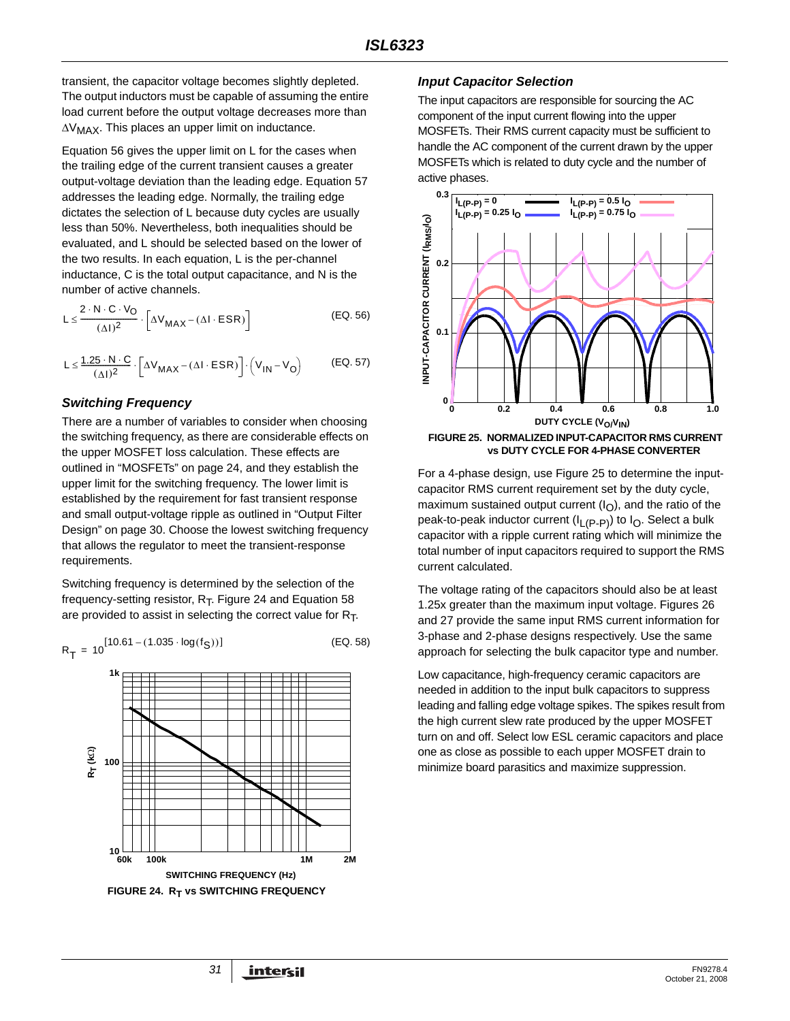transient, the capacitor voltage becomes slightly depleted. The output inductors must be capable of assuming the entire load current before the output voltage decreases more than  $\Delta V_{MAX}$ . This places an upper limit on inductance.

Equation 56 gives the upper limit on L for the cases when the trailing edge of the current transient causes a greater output-voltage deviation than the leading edge. Equation 57 addresses the leading edge. Normally, the trailing edge dictates the selection of L because duty cycles are usually less than 50%. Nevertheless, both inequalities should be evaluated, and L should be selected based on the lower of the two results. In each equation, L is the per-channel inductance, C is the total output capacitance, and N is the number of active channels.

$$
L \leq \frac{2 \cdot N \cdot C \cdot V_O}{(\Delta I)^2} \cdot \left[ \Delta V_{MAX} - (\Delta I \cdot ESR) \right]
$$
 (EQ. 56)

$$
L \leq \frac{1.25 \cdot N \cdot C}{(\Delta I)^2} \cdot \left[ \Delta V_{MAX} - (\Delta I \cdot ESR) \right] \cdot \left( V_{1N} - V_O \right) \tag{EQ.57}
$$

#### *Switching Frequency*

There are a number of variables to consider when choosing the switching frequency, as there are considerable effects on the upper MOSFET loss calculation. These effects are outlined in "MOSFETs" on page 24, and they establish the upper limit for the switching frequency. The lower limit is established by the requirement for fast transient response and small output-voltage ripple as outlined in "Output Filter Design" on page 30. Choose the lowest switching frequency that allows the regulator to meet the transient-response requirements.

Switching frequency is determined by the selection of the frequency-setting resistor,  $R_T$ . Figure 24 and Equation 58 are provided to assist in selecting the correct value for  $R_T$ .



#### <span id="page-30-0"></span>*Input Capacitor Selection*

The input capacitors are responsible for sourcing the AC component of the input current flowing into the upper MOSFETs. Their RMS current capacity must be sufficient to handle the AC component of the current drawn by the upper MOSFETs which is related to duty cycle and the number of active phases.



For a 4-phase design, use Figure 25 to determine the inputcapacitor RMS current requirement set by the duty cycle, maximum sustained output current  $(I<sub>O</sub>)$ , and the ratio of the peak-to-peak inductor current  $(I_L(p-p))$  to  $I_O$ . Select a bulk capacitor with a ripple current rating which will minimize the total number of input capacitors required to support the RMS current calculated.

The voltage rating of the capacitors should also be at least 1.25x greater than the maximum input voltage. Figures 26 and 27 provide the same input RMS current information for 3-phase and 2-phase designs respectively. Use the same approach for selecting the bulk capacitor type and number.

Low capacitance, high-frequency ceramic capacitors are needed in addition to the input bulk capacitors to suppress leading and falling edge voltage spikes. The spikes result from the high current slew rate produced by the upper MOSFET turn on and off. Select low ESL ceramic capacitors and place one as close as possible to each upper MOSFET drain to minimize board parasitics and maximize suppression.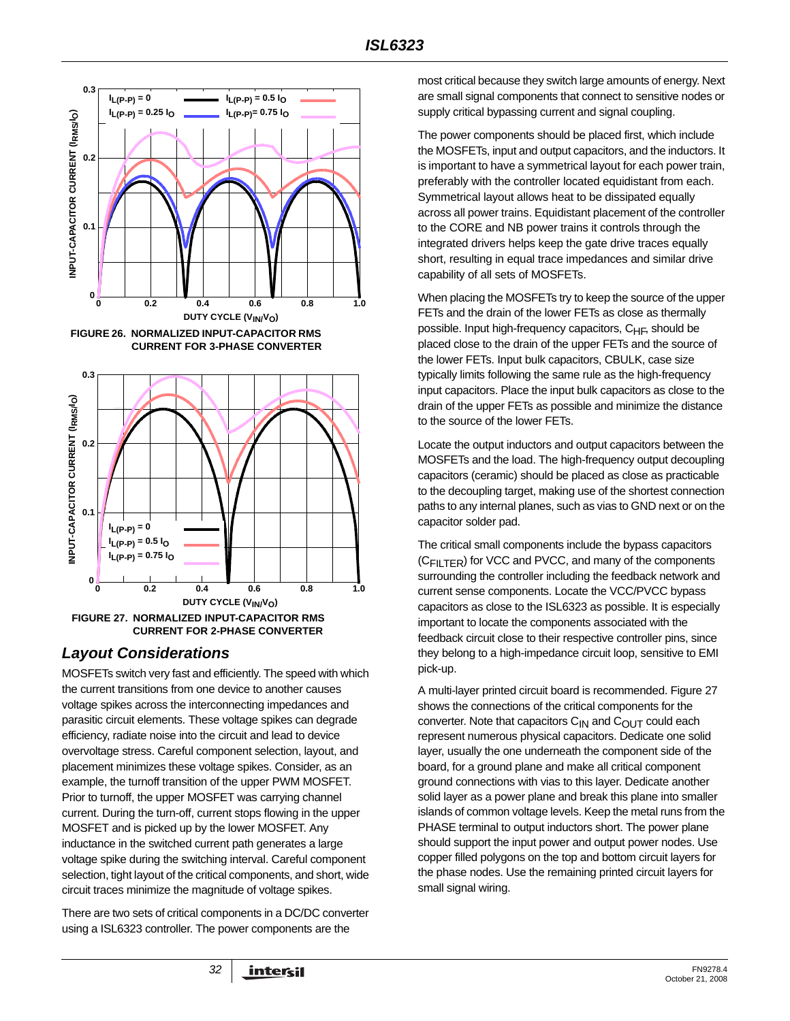

# <span id="page-31-0"></span>*Layout Considerations*

MOSFETs switch very fast and efficiently. The speed with which the current transitions from one device to another causes voltage spikes across the interconnecting impedances and parasitic circuit elements. These voltage spikes can degrade efficiency, radiate noise into the circuit and lead to device overvoltage stress. Careful component selection, layout, and placement minimizes these voltage spikes. Consider, as an example, the turnoff transition of the upper PWM MOSFET. Prior to turnoff, the upper MOSFET was carrying channel current. During the turn-off, current stops flowing in the upper MOSFET and is picked up by the lower MOSFET. Any inductance in the switched current path generates a large voltage spike during the switching interval. Careful component selection, tight layout of the critical components, and short, wide circuit traces minimize the magnitude of voltage spikes.

There are two sets of critical components in a DC/DC converter using a ISL6323 controller. The power components are the

most critical because they switch large amounts of energy. Next are small signal components that connect to sensitive nodes or supply critical bypassing current and signal coupling.

The power components should be placed first, which include the MOSFETs, input and output capacitors, and the inductors. It is important to have a symmetrical layout for each power train, preferably with the controller located equidistant from each. Symmetrical layout allows heat to be dissipated equally across all power trains. Equidistant placement of the controller to the CORE and NB power trains it controls through the integrated drivers helps keep the gate drive traces equally short, resulting in equal trace impedances and similar drive capability of all sets of MOSFETs.

When placing the MOSFETs try to keep the source of the upper FETs and the drain of the lower FETs as close as thermally possible. Input high-frequency capacitors, C<sub>HF</sub>, should be placed close to the drain of the upper FETs and the source of the lower FETs. Input bulk capacitors, CBULK, case size typically limits following the same rule as the high-frequency input capacitors. Place the input bulk capacitors as close to the drain of the upper FETs as possible and minimize the distance to the source of the lower FETs.

Locate the output inductors and output capacitors between the MOSFETs and the load. The high-frequency output decoupling capacitors (ceramic) should be placed as close as practicable to the decoupling target, making use of the shortest connection paths to any internal planes, such as vias to GND next or on the capacitor solder pad.

The critical small components include the bypass capacitors  $(C_{\text{Fill TFR}})$  for VCC and PVCC, and many of the components surrounding the controller including the feedback network and current sense components. Locate the VCC/PVCC bypass capacitors as close to the ISL6323 as possible. It is especially important to locate the components associated with the feedback circuit close to their respective controller pins, since they belong to a high-impedance circuit loop, sensitive to EMI pick-up.

A multi-layer printed circuit board is recommended. Figure 27 shows the connections of the critical components for the converter. Note that capacitors  $C_{1N}$  and  $C_{OUT}$  could each represent numerous physical capacitors. Dedicate one solid layer, usually the one underneath the component side of the board, for a ground plane and make all critical component ground connections with vias to this layer. Dedicate another solid layer as a power plane and break this plane into smaller islands of common voltage levels. Keep the metal runs from the PHASE terminal to output inductors short. The power plane should support the input power and output power nodes. Use copper filled polygons on the top and bottom circuit layers for the phase nodes. Use the remaining printed circuit layers for small signal wiring.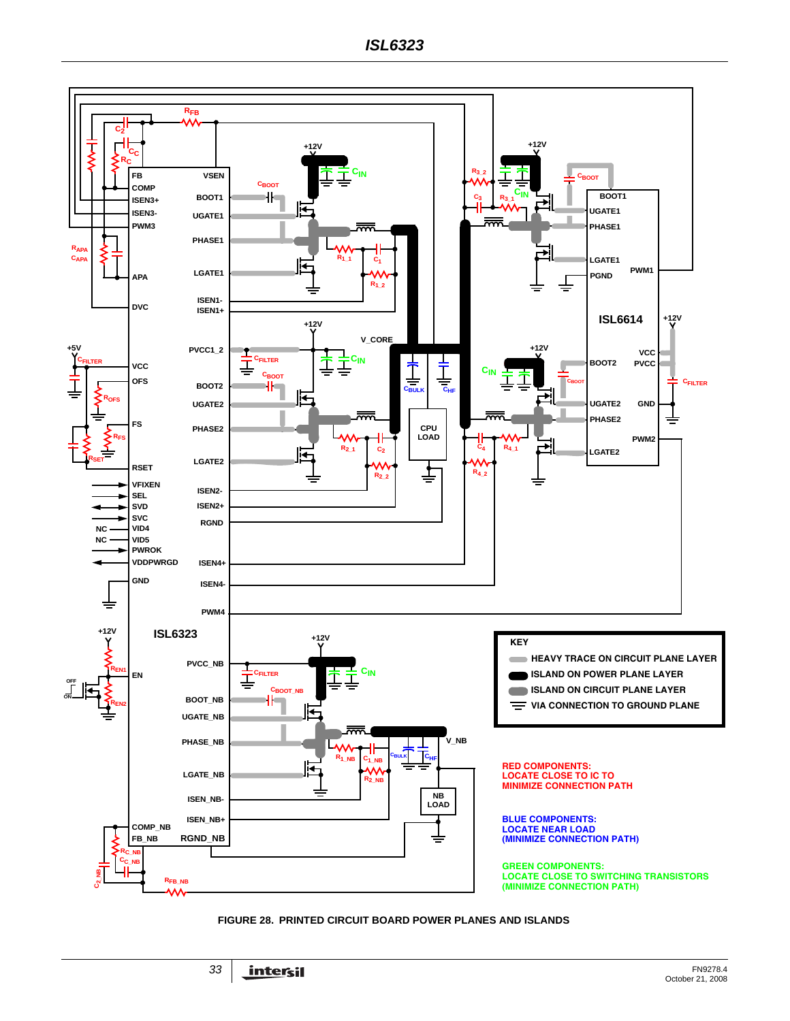

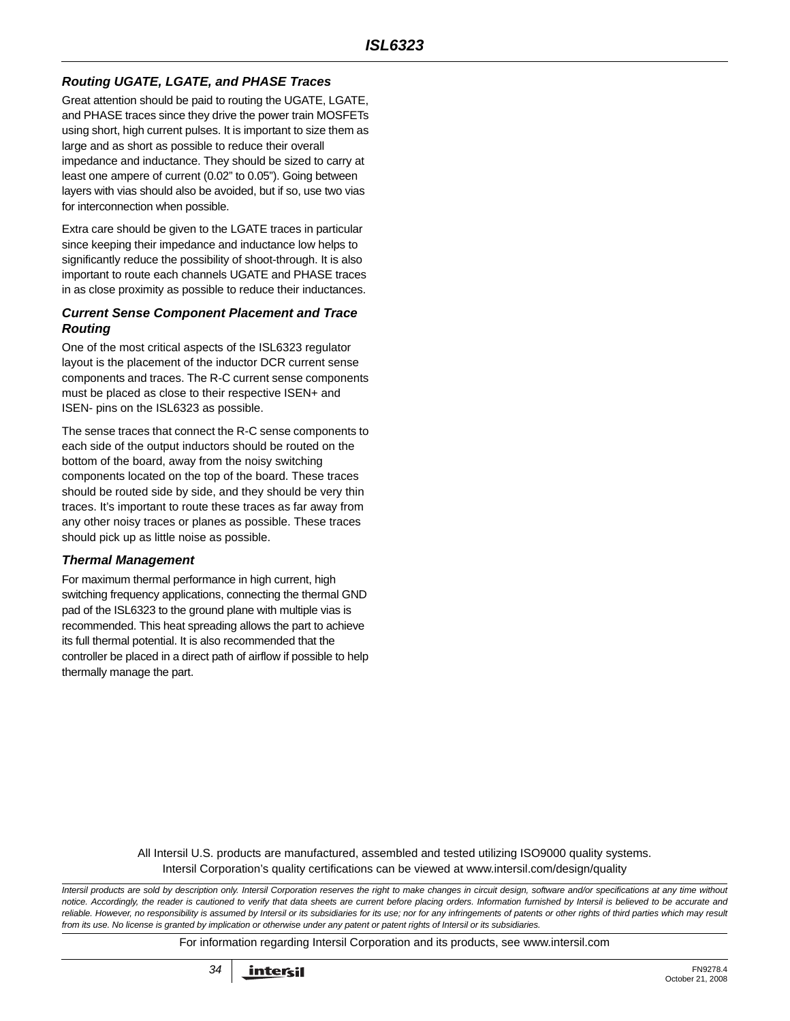## *Routing UGATE, LGATE, and PHASE Traces*

Great attention should be paid to routing the UGATE, LGATE, and PHASE traces since they drive the power train MOSFETs using short, high current pulses. It is important to size them as large and as short as possible to reduce their overall impedance and inductance. They should be sized to carry at least one ampere of current (0.02" to 0.05"). Going between layers with vias should also be avoided, but if so, use two vias for interconnection when possible.

Extra care should be given to the LGATE traces in particular since keeping their impedance and inductance low helps to significantly reduce the possibility of shoot-through. It is also important to route each channels UGATE and PHASE traces in as close proximity as possible to reduce their inductances.

#### *Current Sense Component Placement and Trace Routing*

One of the most critical aspects of the ISL6323 regulator layout is the placement of the inductor DCR current sense components and traces. The R-C current sense components must be placed as close to their respective ISEN+ and ISEN- pins on the ISL6323 as possible.

The sense traces that connect the R-C sense components to each side of the output inductors should be routed on the bottom of the board, away from the noisy switching components located on the top of the board. These traces should be routed side by side, and they should be very thin traces. It's important to route these traces as far away from any other noisy traces or planes as possible. These traces should pick up as little noise as possible.

#### *Thermal Management*

For maximum thermal performance in high current, high switching frequency applications, connecting the thermal GND pad of the ISL6323 to the ground plane with multiple vias is recommended. This heat spreading allows the part to achieve its full thermal potential. It is also recommended that the controller be placed in a direct path of airflow if possible to help thermally manage the part.

> All Intersil U.S. products are manufactured, assembled and tested utilizing ISO9000 quality systems. Intersil Corporation's quality certifications can be viewed at www.intersil.com/design/quality

*Intersil products are sold by description only. Intersil Corporation reserves the right to make changes in circuit design, software and/or specifications at any time without notice. Accordingly, the reader is cautioned to verify that data sheets are current before placing orders. Information furnished by Intersil is believed to be accurate and reliable. However, no responsibility is assumed by Intersil or its subsidiaries for its use; nor for any infringements of patents or other rights of third parties which may result from its use. No license is granted by implication or otherwise under any patent or patent rights of Intersil or its subsidiaries.*

For information regarding Intersil Corporation and its products, see www.intersil.com